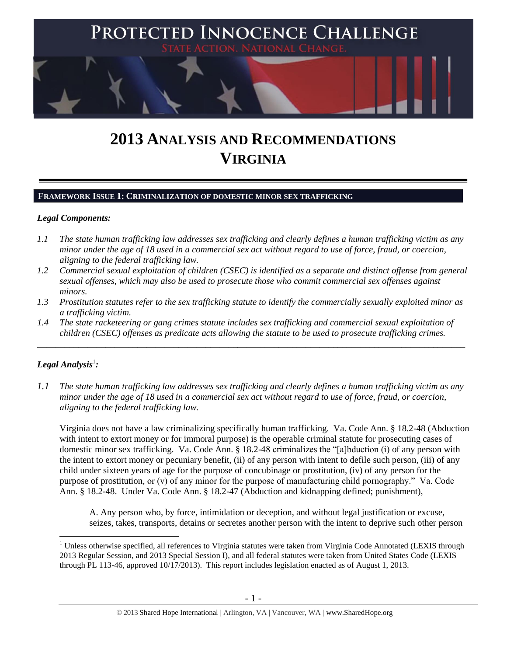

# **2013 ANALYSIS AND RECOMMENDATIONS VIRGINIA**

#### **FRAMEWORK ISSUE 1: CRIMINALIZATION OF DOMESTIC MINOR SEX TRAFFICKING**

#### *Legal Components:*

- *1.1 The state human trafficking law addresses sex trafficking and clearly defines a human trafficking victim as any minor under the age of 18 used in a commercial sex act without regard to use of force, fraud, or coercion, aligning to the federal trafficking law.*
- *1.2 Commercial sexual exploitation of children (CSEC) is identified as a separate and distinct offense from general sexual offenses, which may also be used to prosecute those who commit commercial sex offenses against minors.*
- *1.3 Prostitution statutes refer to the sex trafficking statute to identify the commercially sexually exploited minor as a trafficking victim.*
- *1.4 The state racketeering or gang crimes statute includes sex trafficking and commercial sexual exploitation of children (CSEC) offenses as predicate acts allowing the statute to be used to prosecute trafficking crimes.*

\_\_\_\_\_\_\_\_\_\_\_\_\_\_\_\_\_\_\_\_\_\_\_\_\_\_\_\_\_\_\_\_\_\_\_\_\_\_\_\_\_\_\_\_\_\_\_\_\_\_\_\_\_\_\_\_\_\_\_\_\_\_\_\_\_\_\_\_\_\_\_\_\_\_\_\_\_\_\_\_\_\_\_\_\_\_\_\_\_\_\_\_\_\_

# $\bm{L}$ egal Analysis $^1$ :

 $\overline{a}$ 

*1.1 The state human trafficking law addresses sex trafficking and clearly defines a human trafficking victim as any minor under the age of 18 used in a commercial sex act without regard to use of force, fraud, or coercion, aligning to the federal trafficking law.*

Virginia does not have a law criminalizing specifically human trafficking. Va. Code Ann. § 18.2-48 (Abduction with intent to extort money or for immoral purpose) is the operable criminal statute for prosecuting cases of domestic minor sex trafficking. Va. Code Ann. § 18.2-48 criminalizes the "[a]bduction (i) of any person with the intent to extort money or pecuniary benefit, (ii) of any person with intent to defile such person, (iii) of any child under sixteen years of age for the purpose of concubinage or prostitution, (iv) of any person for the purpose of prostitution, or (v) of any minor for the purpose of manufacturing child pornography." Va. Code Ann. § 18.2-48. Under Va. Code Ann. § 18.2-47 (Abduction and kidnapping defined; punishment),

A. Any person who, by force, intimidation or deception, and without legal justification or excuse, seizes, takes, transports, detains or secretes another person with the intent to deprive such other person

<sup>&</sup>lt;sup>1</sup> Unless otherwise specified, all references to Virginia statutes were taken from Virginia Code Annotated (LEXIS through 2013 Regular Session, and 2013 Special Session I), and all federal statutes were taken from United States Code (LEXIS through PL 113-46, approved 10/17/2013). This report includes legislation enacted as of August 1, 2013.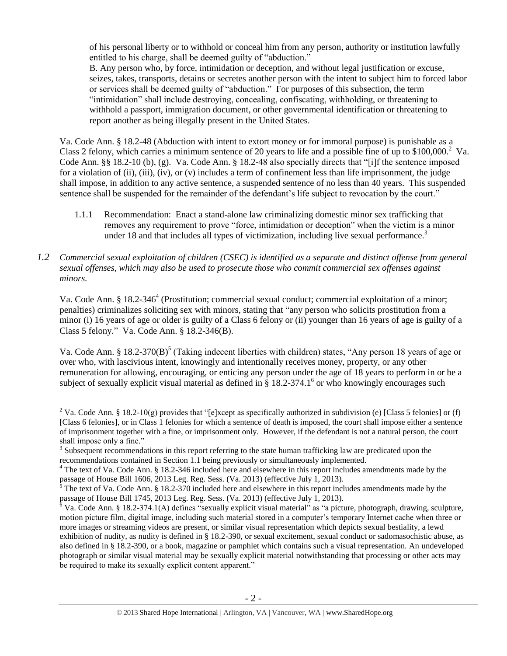of his personal liberty or to withhold or conceal him from any person, authority or institution lawfully entitled to his charge, shall be deemed guilty of "abduction."

<span id="page-1-0"></span>B. Any person who, by force, intimidation or deception, and without legal justification or excuse, seizes, takes, transports, detains or secretes another person with the intent to subject him to forced labor or services shall be deemed guilty of "abduction." For purposes of this subsection, the term "intimidation" shall include destroying, concealing, confiscating, withholding, or threatening to withhold a passport, immigration document, or other governmental identification or threatening to report another as being illegally present in the United States.

Va. Code Ann. § 18.2-48 (Abduction with intent to extort money or for immoral purpose) is punishable as a Class 2 felony, which carries a minimum sentence of 20 years to life and a possible fine of up to  $$100,000$ .<sup>2</sup> Va. Code Ann. §§ 18.2-10 (b), (g). Va. Code Ann. § 18.2-48 also specially directs that "[i]f the sentence imposed for a violation of (ii), (iii), (iv), or (v) includes a term of confinement less than life imprisonment, the judge shall impose, in addition to any active sentence, a suspended sentence of no less than 40 years. This suspended sentence shall be suspended for the remainder of the defendant's life subject to revocation by the court."

- 1.1.1 Recommendation: Enact a stand-alone law criminalizing domestic minor sex trafficking that removes any requirement to prove "force, intimidation or deception" when the victim is a minor under 18 and that includes all types of victimization, including live sexual performance.<sup>3</sup>
- *1.2 Commercial sexual exploitation of children (CSEC) is identified as a separate and distinct offense from general sexual offenses, which may also be used to prosecute those who commit commercial sex offenses against minors.*

<span id="page-1-1"></span>Va. Code Ann. § 18.2-346<sup>4</sup> (Prostitution; commercial sexual conduct; commercial exploitation of a minor; penalties) criminalizes soliciting sex with minors, stating that "any person who solicits prostitution from a minor (i) 16 years of age or older is guilty of a Class 6 felony or (ii) younger than 16 years of age is guilty of a Class 5 felony*.*" Va. Code Ann. § 18.2-346(B).

Va. Code Ann. § 18.2-370(B)<sup>5</sup> (Taking indecent liberties with children) states, "Any person 18 years of age or over who, with lascivious intent, knowingly and intentionally receives money, property, or any other remuneration for allowing, encouraging, or enticing any person under the age of 18 years to perform in or be a subject of sexually explicit visual material as defined in  $\S 18.2$ -374.1<sup>6</sup> or who knowingly encourages such

<sup>&</sup>lt;sup>2</sup> Va. Code Ann. § 18.2-10(g) provides that "[e]xcept as specifically authorized in subdivision (e) [Class 5 felonies] or (f) [Class 6 felonies], or in Class 1 felonies for which a sentence of death is imposed, the court shall impose either a sentence of imprisonment together with a fine, or imprisonment only. However, if the defendant is not a natural person, the court shall impose only a fine."

 $3$  Subsequent recommendations in this report referring to the state human trafficking law are predicated upon the recommendations contained in Section 1.1 being previously or simultaneously implemented.

 $4$  The text of Va. Code Ann. § 18.2-346 included here and elsewhere in this report includes amendments made by the passage of House Bill 1606, 2013 Leg. Reg. Sess. (Va. 2013) (effective July 1, 2013).

The text of Va. Code Ann. § 18.2-370 included here and elsewhere in this report includes amendments made by the passage of House Bill 1745, 2013 Leg. Reg. Sess. (Va. 2013) (effective July 1, 2013).

 $6$  Va. Code Ann. § 18.2-374.1(A) defines "sexually explicit visual material" as "a picture, photograph, drawing, sculpture, motion picture film, digital image, including such material stored in a computer's temporary Internet cache when three or more images or streaming videos are present, or similar visual representation which depicts sexual bestiality, a lewd exhibition of nudity, as nudity is defined in § 18.2-390, or sexual excitement, sexual conduct or sadomasochistic abuse, as also defined in § 18.2-390, or a book, magazine or pamphlet which contains such a visual representation. An undeveloped photograph or similar visual material may be sexually explicit material notwithstanding that processing or other acts may be required to make its sexually explicit content apparent."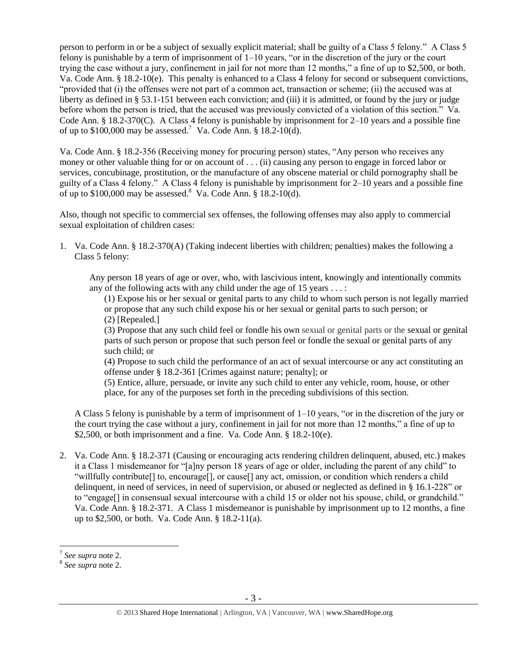person to perform in or be a subject of sexually explicit material; shall be guilty of a Class 5 felony." A Class 5 felony is punishable by a term of imprisonment of 1–10 years, "or in the discretion of the jury or the court trying the case without a jury, confinement in jail for not more than 12 months," a fine of up to \$2,500, or both. Va. Code Ann. § 18.2-10(e). This penalty is enhanced to a Class 4 felony for second or subsequent convictions, "provided that (i) the offenses were not part of a common act, transaction or scheme; (ii) the accused was at liberty as defined in § 53.1-151 between each conviction; and (iii) it is admitted, or found by the jury or judge before whom the person is tried, that the accused was previously convicted of a violation of this section." Va. Code Ann. § 18.2-370(C). A Class 4 felony is punishable by imprisonment for 2–10 years and a possible fine of up to  $$100,000$  may be assessed.<sup>7</sup> Va. Code Ann. § 18.2-10(d).

Va. Code Ann. § 18.2-356 (Receiving money for procuring person) states, "Any person who receives any money or other valuable thing for or on account of . . . (ii) causing any person to engage in forced labor or services, concubinage, prostitution, or the manufacture of any obscene material or child pornography shall be guilty of a Class 4 felony." A Class 4 felony is punishable by imprisonment for 2–10 years and a possible fine of up to  $$100,000$  may be assessed.<sup>8</sup> Va. Code Ann. §  $18.2-10(d)$ .

Also, though not specific to commercial sex offenses, the following offenses may also apply to commercial sexual exploitation of children cases:

1. Va. Code Ann. § 18.2-370(A) (Taking indecent liberties with children; penalties) makes the following a Class 5 felony:

Any person 18 years of age or over, who, with lascivious intent, knowingly and intentionally commits any of the following acts with any child under the age of 15 years  $\dots$ :

(1) Expose his or her sexual or genital parts to any child to whom such person is not legally married or propose that any such child expose his or her sexual or genital parts to such person; or

(2) [Repealed.]

(3) Propose that any such child feel or fondle his own sexual or genital parts or the sexual or genital parts of such person or propose that such person feel or fondle the sexual or genital parts of any such child; or

(4) Propose to such child the performance of an act of sexual intercourse or any act constituting an offense under § 18.2-361 [Crimes against nature; penalty]; or

(5) Entice, allure, persuade, or invite any such child to enter any vehicle, room, house, or other place, for any of the purposes set forth in the preceding subdivisions of this section.

A Class 5 felony is punishable by a term of imprisonment of 1–10 years, "or in the discretion of the jury or the court trying the case without a jury, confinement in jail for not more than 12 months," a fine of up to \$2,500, or both imprisonment and a fine. Va. Code Ann. § 18.2-10(e).

2. Va. Code Ann. § 18.2-371 (Causing or encouraging acts rendering children delinquent, abused, etc.) makes it a Class 1 misdemeanor for "[a]ny person 18 years of age or older, including the parent of any child" to "willfully contribute[] to, encourage[], or cause[] any act, omission, or condition which renders a child delinquent, in need of services, in need of supervision, or abused or neglected as defined in § 16.1-228" or to "engage[] in consensual sexual intercourse with a child 15 or older not his spouse, child, or grandchild." Va. Code Ann. § 18.2-371. A Class 1 misdemeanor is punishable by imprisonment up to 12 months, a fine up to \$2,500, or both. Va. Code Ann. § 18.2-11(a).

 7 *See supra* note [2.](#page-1-0) 8 *See supra* note [2.](#page-1-0)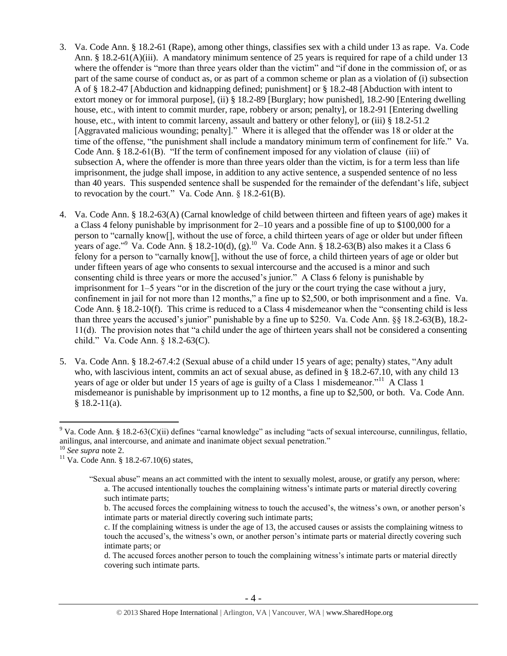- 3. Va. Code Ann. § 18.2-61 (Rape), among other things, classifies sex with a child under 13 as rape. Va. Code Ann. § 18.2-61(A)(iii). A mandatory minimum sentence of 25 years is required for rape of a child under 13 where the offender is "more than three years older than the victim" and "if done in the commission of, or as part of the same course of conduct as, or as part of a common scheme or plan as a violation of (i) subsection A of § 18.2-47 [Abduction and kidnapping defined; punishment] or § 18.2-48 [Abduction with intent to extort money or for immoral purpose], (ii) § 18.2-89 [Burglary; how punished], 18.2-90 [Entering dwelling house, etc., with intent to commit murder, rape, robbery or arson; penalty], or 18.2-91 [Entering dwelling house, etc., with intent to commit larceny, assault and battery or other felony], or (iii) § 18.2-51.2 [Aggravated malicious wounding; penalty]." Where it is alleged that the offender was 18 or older at the time of the offense, "the punishment shall include a mandatory minimum term of confinement for life." Va. Code Ann. § 18.2-61(B). "If the term of confinement imposed for any violation of clause (iii) of subsection A, where the offender is more than three years older than the victim, is for a term less than life imprisonment, the judge shall impose, in addition to any active sentence, a suspended sentence of no less than 40 years. This suspended sentence shall be suspended for the remainder of the defendant's life, subject to revocation by the court." Va. Code Ann. § 18.2-61(B).
- 4. Va. Code Ann. § 18.2-63(A) (Carnal knowledge of child between thirteen and fifteen years of age) makes it a Class 4 felony punishable by imprisonment for 2–10 years and a possible fine of up to \$100,000 for a person to "carnally know[], without the use of force, a child thirteen years of age or older but under fifteen years of age."<sup>9</sup> Va. Code Ann. § 18.2-10(d), (g).<sup>10</sup> Va. Code Ann. § 18.2-63(B) also makes it a Class 6 felony for a person to "carnally know[], without the use of force, a child thirteen years of age or older but under fifteen years of age who consents to sexual intercourse and the accused is a minor and such consenting child is three years or more the accused's junior." A Class 6 felony is punishable by imprisonment for 1–5 years "or in the discretion of the jury or the court trying the case without a jury, confinement in jail for not more than 12 months," a fine up to \$2,500, or both imprisonment and a fine. Va. Code Ann. § 18.2-10(f). This crime is reduced to a Class 4 misdemeanor when the "consenting child is less than three years the accused's junior" punishable by a fine up to \$250. Va. Code Ann. §§ 18.2-63(B), 18.2- 11(d). The provision notes that "a child under the age of thirteen years shall not be considered a consenting child." Va. Code Ann. § 18.2-63(C).
- 5. Va. Code Ann. § 18.2-67.4:2 (Sexual abuse of a child under 15 years of age; penalty) states, "Any adult who, with lascivious intent, commits an act of sexual abuse, as defined in § 18.2-67.10, with any child 13 years of age or older but under 15 years of age is guilty of a Class 1 misdemeanor."<sup>11</sup> A Class 1 misdemeanor is punishable by imprisonment up to 12 months, a fine up to \$2,500, or both. Va. Code Ann.  $§$  18.2-11(a).

<sup>9</sup> Va. Code Ann. § 18.2-63(C)(ii) defines "carnal knowledge" as including "acts of sexual intercourse, cunnilingus, fellatio, anilingus, anal intercourse, and animate and inanimate object sexual penetration."

<sup>10</sup> *See supra* note [2.](#page-1-0)

<sup>&</sup>lt;sup>11</sup> Va. Code Ann. § 18.2-67.10(6) states,

<sup>&</sup>quot;Sexual abuse" means an act committed with the intent to sexually molest, arouse, or gratify any person, where: a. The accused intentionally touches the complaining witness's intimate parts or material directly covering such intimate parts;

<span id="page-3-0"></span>b. The accused forces the complaining witness to touch the accused's, the witness's own, or another person's intimate parts or material directly covering such intimate parts;

c. If the complaining witness is under the age of 13, the accused causes or assists the complaining witness to touch the accused's, the witness's own, or another person's intimate parts or material directly covering such intimate parts; or

d. The accused forces another person to touch the complaining witness's intimate parts or material directly covering such intimate parts.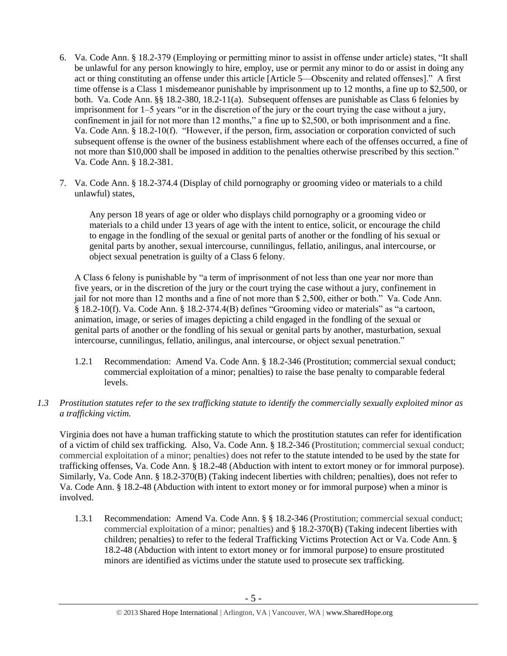- 6. Va. Code Ann. § 18.2-379 (Employing or permitting minor to assist in offense under article) states, "It shall be unlawful for any person knowingly to hire, employ, use or permit any minor to do or assist in doing any act or thing constituting an offense under this article [Article 5—Obscenity and related offenses]." A first time offense is a Class 1 misdemeanor punishable by imprisonment up to 12 months, a fine up to \$2,500, or both. Va. Code Ann. §§ 18.2-380, 18.2-11(a). Subsequent offenses are punishable as Class 6 felonies by imprisonment for 1–5 years "or in the discretion of the jury or the court trying the case without a jury, confinement in jail for not more than 12 months," a fine up to \$2,500, or both imprisonment and a fine. Va. Code Ann. § 18.2-10(f). "However, if the person, firm, association or corporation convicted of such subsequent offense is the owner of the business establishment where each of the offenses occurred, a fine of not more than \$10,000 shall be imposed in addition to the penalties otherwise prescribed by this section." Va. Code Ann. § 18.2-381.
- 7. Va. Code Ann. § 18.2-374.4 (Display of child pornography or grooming video or materials to a child unlawful) states,

Any person 18 years of age or older who displays child pornography or a grooming video or materials to a child under 13 years of age with the intent to entice, solicit, or encourage the child to engage in the fondling of the sexual or genital parts of another or the fondling of his sexual or genital parts by another, sexual intercourse, cunnilingus, fellatio, anilingus, anal intercourse, or object sexual penetration is guilty of a Class 6 felony.

A Class 6 felony is punishable by "a term of imprisonment of not less than one year nor more than five years, or in the discretion of the jury or the court trying the case without a jury, confinement in jail for not more than 12 months and a fine of not more than \$ 2,500, either or both." Va. Code Ann. § 18.2-10(f). Va. Code Ann. § 18.2-374.4(B) defines "Grooming video or materials" as "a cartoon, animation, image, or series of images depicting a child engaged in the fondling of the sexual or genital parts of another or the fondling of his sexual or genital parts by another, masturbation, sexual intercourse, cunnilingus, fellatio, anilingus, anal intercourse, or object sexual penetration."

- 1.2.1 Recommendation: Amend Va. Code Ann. § 18.2-346 (Prostitution; commercial sexual conduct; commercial exploitation of a minor; penalties) to raise the base penalty to comparable federal levels.
- *1.3 Prostitution statutes refer to the sex trafficking statute to identify the commercially sexually exploited minor as a trafficking victim.*

Virginia does not have a human trafficking statute to which the prostitution statutes can refer for identification of a victim of child sex trafficking. Also, Va. Code Ann. § 18.2-346 (Prostitution; commercial sexual conduct; commercial exploitation of a minor; penalties) does not refer to the statute intended to be used by the state for trafficking offenses, Va. Code Ann. § 18.2-48 (Abduction with intent to extort money or for immoral purpose). Similarly, Va. Code Ann. § 18.2-370(B) (Taking indecent liberties with children; penalties), does not refer to Va. Code Ann. § 18.2-48 (Abduction with intent to extort money or for immoral purpose) when a minor is involved.

1.3.1 Recommendation: Amend Va. Code Ann. § § 18.2-346 (Prostitution; commercial sexual conduct; commercial exploitation of a minor; penalties) and § 18.2-370(B) (Taking indecent liberties with children; penalties) to refer to the federal Trafficking Victims Protection Act or Va. Code Ann. § 18.2-48 (Abduction with intent to extort money or for immoral purpose) to ensure prostituted minors are identified as victims under the statute used to prosecute sex trafficking.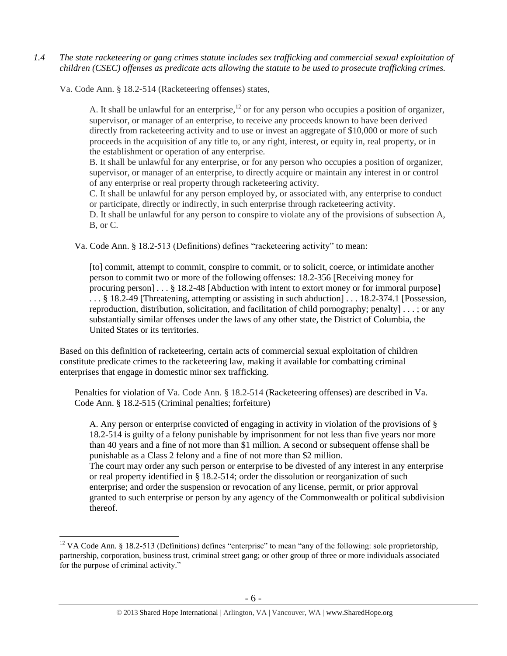*1.4 The state racketeering or gang crimes statute includes sex trafficking and commercial sexual exploitation of children (CSEC) offenses as predicate acts allowing the statute to be used to prosecute trafficking crimes.* 

Va. Code Ann. § 18.2-514 (Racketeering offenses) states,

 $\overline{a}$ 

A. It shall be unlawful for an enterprise,<sup>12</sup> or for any person who occupies a position of organizer, supervisor, or manager of an enterprise, to receive any proceeds known to have been derived directly from racketeering activity and to use or invest an aggregate of \$10,000 or more of such proceeds in the acquisition of any title to, or any right, interest, or equity in, real property, or in the establishment or operation of any enterprise.

B. It shall be unlawful for any enterprise, or for any person who occupies a position of organizer, supervisor, or manager of an enterprise, to directly acquire or maintain any interest in or control of any enterprise or real property through racketeering activity.

C. It shall be unlawful for any person employed by, or associated with, any enterprise to conduct or participate, directly or indirectly, in such enterprise through racketeering activity.

D. It shall be unlawful for any person to conspire to violate any of the provisions of subsection A, B, or C.

Va. Code Ann. § 18.2-513 (Definitions) defines "racketeering activity" to mean:

[to] commit, attempt to commit, conspire to commit, or to solicit, coerce, or intimidate another person to commit two or more of the following offenses: [18.2-356](https://a.next.westlaw.com/Link/Document/FullText?findType=L&pubNum=1000040&cite=VASTS18.2-356&originatingDoc=NE39F68D0341B11DEA7CD81F2617D4421&refType=LQ&originationContext=document&transitionType=DocumentItem&contextData=(sc.Document)) [Receiving money for procuring person] . . . § 18.2-48 [Abduction with intent to extort money or for immoral purpose] . . . § 18.2-49 [Threatening, attempting or assisting in such abduction] . . . 18.2-374.1 [Possession, reproduction, distribution, solicitation, and facilitation of child pornography; penalty] . . . ; or any substantially similar offenses under the laws of any other state, the District of Columbia, the United States or its territories.

Based on this definition of racketeering, certain acts of commercial sexual exploitation of children constitute predicate crimes to the racketeering law, making it available for combatting criminal enterprises that engage in domestic minor sex trafficking.

Penalties for violation of Va. Code Ann. § 18.2-514 (Racketeering offenses) are described in Va. Code Ann. § 18.2-515 (Criminal penalties; forfeiture)

A. Any person or enterprise convicted of engaging in activity in violation of the provisions of § 18.2-514 is guilty of a felony punishable by imprisonment for not less than five years nor more than 40 years and a fine of not more than \$1 million. A second or subsequent offense shall be punishable as a Class 2 felony and a fine of not more than \$2 million. The court may order any such person or enterprise to be divested of any interest in any enterprise or real property identified in § 18.2-514; order the dissolution or reorganization of such enterprise; and order the suspension or revocation of any license, permit, or prior approval granted to such enterprise or person by any agency of the Commonwealth or political subdivision thereof.

 $12$  VA Code Ann. § 18.2-513 (Definitions) defines "enterprise" to mean "any of the following: sole proprietorship, partnership, corporation, business trust, criminal street gang; or other group of three or more individuals associated for the purpose of criminal activity."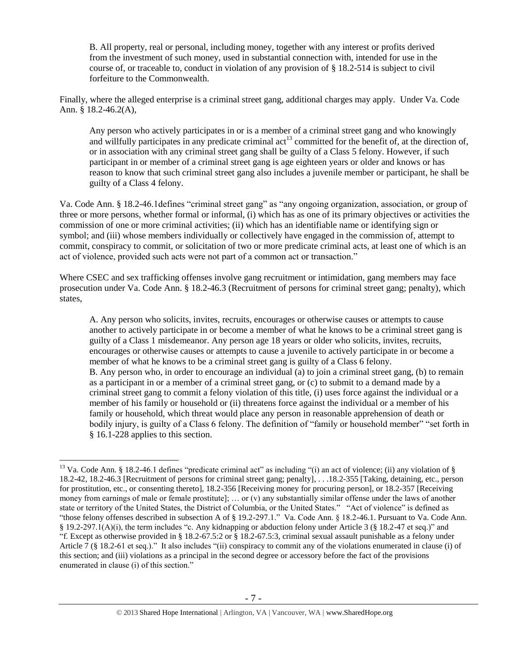B. All property, real or personal, including money, together with any interest or profits derived from the investment of such money, used in substantial connection with, intended for use in the course of, or traceable to, conduct in violation of any provision of § 18.2-514 is subject to civil forfeiture to the Commonwealth.

Finally, where the alleged enterprise is a criminal street gang, additional charges may apply. Under Va. Code Ann. § 18.2-46.2(A),

Any person who actively participates in or is a member of a criminal street gang and who knowingly and willfully participates in any predicate criminal  $\text{act}^{13}$  committed for the benefit of, at the direction of, or in association with any criminal street gang shall be guilty of a Class 5 felony. However, if such participant in or member of a criminal street gang is age eighteen years or older and knows or has reason to know that such criminal street gang also includes a juvenile member or participant, he shall be guilty of a Class 4 felony.

Va. Code Ann. § 18.2-46.1defines "criminal street gang" as "any ongoing organization, association, or group of three or more persons, whether formal or informal, (i) which has as one of its primary objectives or activities the commission of one or more criminal activities; (ii) which has an identifiable name or identifying sign or symbol; and (iii) whose members individually or collectively have engaged in the commission of, attempt to commit, conspiracy to commit, or solicitation of two or more predicate criminal acts, at least one of which is an act of violence, provided such acts were not part of a common act or transaction."

Where CSEC and sex trafficking offenses involve gang recruitment or intimidation, gang members may face prosecution under Va. Code Ann. § 18.2-46.3 (Recruitment of persons for criminal street gang; penalty), which states,

A. Any person who solicits, invites, recruits, encourages or otherwise causes or attempts to cause another to actively participate in or become a member of what he knows to be a criminal street gang is guilty of a Class 1 misdemeanor. Any person age 18 years or older who solicits, invites, recruits, encourages or otherwise causes or attempts to cause a juvenile to actively participate in or become a member of what he knows to be a criminal street gang is guilty of a Class 6 felony. B. Any person who, in order to encourage an individual (a) to join a criminal street gang, (b) to remain as a participant in or a member of a criminal street gang, or (c) to submit to a demand made by a criminal street gang to commit a felony violation of this title, (i) uses force against the individual or a member of his family or household or (ii) threatens force against the individual or a member of his family or household, which threat would place any person in reasonable apprehension of death or bodily injury, is guilty of a Class 6 felony. The definition of "family or household member" "set forth in § 16.1-228 applies to this section.

<sup>&</sup>lt;sup>13</sup> Va. Code Ann. § 18.2-46.1 defines "predicate criminal act" as including "(i) an act of violence; (ii) any violation of § 18.2-42, 18.2-46.3 [Recruitment of persons for criminal street gang; penalty], . . .18.2-355 [Taking, detaining, etc., person for prostitution, etc., or consenting thereto], 18.2-356 [Receiving money for procuring person], or 18.2-357 [Receiving money from earnings of male or female prostitute]; … or (v) any substantially similar offense under the laws of another state or territory of the United States, the District of Columbia, or the United States." "Act of violence" is defined as "those felony offenses described in subsection A of § 19.2-297.1." Va. Code Ann. § 18.2-46.1. Pursuant to Va. Code Ann. § 19.2-297.1(A)(i), the term includes "c. Any kidnapping or abduction felony under Article 3 (§ 18.2-47 et seq.)" and "f. Except as otherwise provided in § 18.2-67.5:2 or § 18.2-67.5:3, criminal sexual assault punishable as a felony under Article 7 (§ 18.2-61 et seq.)." It also includes "(ii) conspiracy to commit any of the violations enumerated in clause (i) of this section; and (iii) violations as a principal in the second degree or accessory before the fact of the provisions enumerated in clause (i) of this section."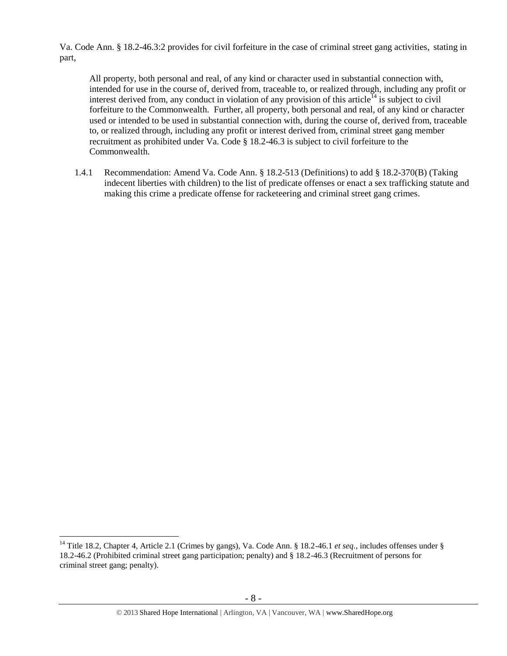Va. Code Ann. § 18.2-46.3:2 provides for civil forfeiture in the case of criminal street gang activities, stating in part,

All property, both personal and real, of any kind or character used in substantial connection with, intended for use in the course of, derived from, traceable to, or realized through, including any profit or interest derived from, any conduct in violation of any provision of this article<sup>14</sup> is subject to civil forfeiture to the Commonwealth. Further, all property, both personal and real, of any kind or character used or intended to be used in substantial connection with, during the course of, derived from, traceable to, or realized through, including any profit or interest derived from, criminal street gang member recruitment as prohibited under Va. Code § 18.2-46.3 is subject to civil forfeiture to the Commonwealth.

1.4.1 Recommendation: Amend Va. Code Ann. § 18.2-513 (Definitions) to add § 18.2-370(B) (Taking indecent liberties with children) to the list of predicate offenses or enact a sex trafficking statute and making this crime a predicate offense for racketeering and criminal street gang crimes.

<sup>&</sup>lt;sup>14</sup> Title 18.2, Chapter 4, Article 2.1 (Crimes by gangs), Va. Code Ann. § 18.2-46.1 *et seq.*, includes offenses under § 18.2-46.2 (Prohibited criminal street gang participation; penalty) and § 18.2-46.3 (Recruitment of persons for criminal street gang; penalty).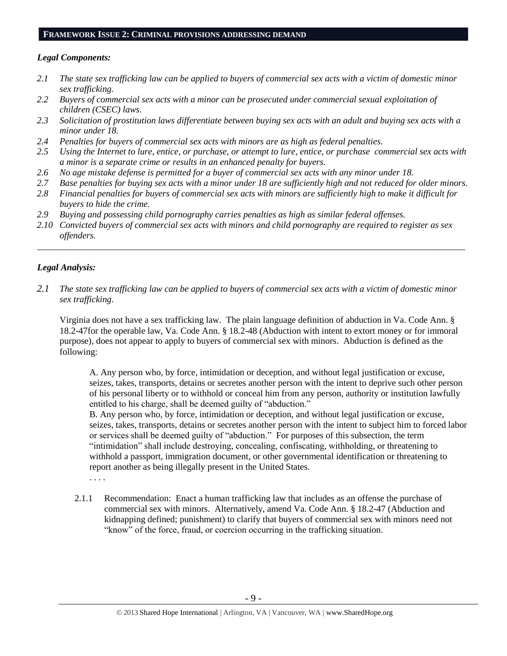#### **FRAMEWORK ISSUE 2: CRIMINAL PROVISIONS ADDRESSING DEMAND**

## *Legal Components:*

- *2.1 The state sex trafficking law can be applied to buyers of commercial sex acts with a victim of domestic minor sex trafficking.*
- *2.2 Buyers of commercial sex acts with a minor can be prosecuted under commercial sexual exploitation of children (CSEC) laws.*
- *2.3 Solicitation of prostitution laws differentiate between buying sex acts with an adult and buying sex acts with a minor under 18.*
- *2.4 Penalties for buyers of commercial sex acts with minors are as high as federal penalties.*
- *2.5 Using the Internet to lure, entice, or purchase, or attempt to lure, entice, or purchase commercial sex acts with a minor is a separate crime or results in an enhanced penalty for buyers.*
- *2.6 No age mistake defense is permitted for a buyer of commercial sex acts with any minor under 18.*
- *2.7 Base penalties for buying sex acts with a minor under 18 are sufficiently high and not reduced for older minors.*
- *2.8 Financial penalties for buyers of commercial sex acts with minors are sufficiently high to make it difficult for buyers to hide the crime.*
- *2.9 Buying and possessing child pornography carries penalties as high as similar federal offenses.*
- *2.10 Convicted buyers of commercial sex acts with minors and child pornography are required to register as sex offenders.*

\_\_\_\_\_\_\_\_\_\_\_\_\_\_\_\_\_\_\_\_\_\_\_\_\_\_\_\_\_\_\_\_\_\_\_\_\_\_\_\_\_\_\_\_\_\_\_\_\_\_\_\_\_\_\_\_\_\_\_\_\_\_\_\_\_\_\_\_\_\_\_\_\_\_\_\_\_\_\_\_\_\_\_\_\_\_\_\_\_\_\_\_\_\_

# *Legal Analysis:*

*2.1 The state sex trafficking law can be applied to buyers of commercial sex acts with a victim of domestic minor sex trafficking.*

Virginia does not have a sex trafficking law. The plain language definition of abduction in Va. Code Ann. § 18.2-47for the operable law, Va. Code Ann. § 18.2-48 (Abduction with intent to extort money or for immoral purpose), does not appear to apply to buyers of commercial sex with minors. Abduction is defined as the following:

A. Any person who, by force, intimidation or deception, and without legal justification or excuse, seizes, takes, transports, detains or secretes another person with the intent to deprive such other person of his personal liberty or to withhold or conceal him from any person, authority or institution lawfully entitled to his charge, shall be deemed guilty of "abduction."

B. Any person who, by force, intimidation or deception, and without legal justification or excuse, seizes, takes, transports, detains or secretes another person with the intent to subject him to forced labor or services shall be deemed guilty of "abduction." For purposes of this subsection, the term "intimidation" shall include destroying, concealing, confiscating, withholding, or threatening to withhold a passport, immigration document, or other governmental identification or threatening to report another as being illegally present in the United States.

. . . .

2.1.1 Recommendation: Enact a human trafficking law that includes as an offense the purchase of commercial sex with minors. Alternatively, amend Va. Code Ann. § 18.2-47 (Abduction and kidnapping defined; punishment) to clarify that buyers of commercial sex with minors need not "know" of the force, fraud, or coercion occurring in the trafficking situation.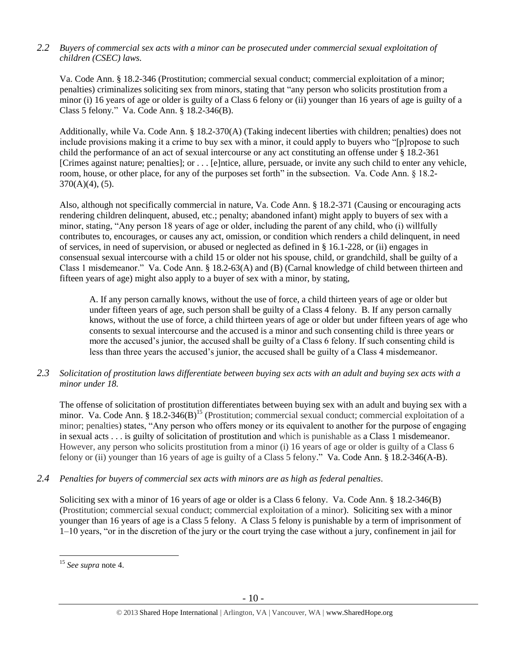# *2.2 Buyers of commercial sex acts with a minor can be prosecuted under commercial sexual exploitation of children (CSEC) laws.*

Va. Code Ann. § 18.2-346 (Prostitution; commercial sexual conduct; commercial exploitation of a minor; penalties) criminalizes soliciting sex from minors, stating that "any person who solicits prostitution from a minor (i) 16 years of age or older is guilty of a Class 6 felony or (ii) younger than 16 years of age is guilty of a Class 5 felony*.*" Va. Code Ann. § 18.2-346(B).

Additionally, while Va. Code Ann. § 18.2-370(A) (Taking indecent liberties with children; penalties) does not include provisions making it a crime to buy sex with a minor, it could apply to buyers who "[p]ropose to such child the performance of an act of sexual intercourse or any act constituting an offense under § 18.2-361 [Crimes against nature; penalties]; or . . . [e]ntice, allure, persuade, or invite any such child to enter any vehicle, room, house, or other place, for any of the purposes set forth" in the subsection. Va. Code Ann. § 18.2- 370(A)(4), (5).

Also, although not specifically commercial in nature, Va. Code Ann. § 18.2-371 (Causing or encouraging acts rendering children delinquent, abused, etc.; penalty; abandoned infant) might apply to buyers of sex with a minor, stating, "Any person 18 years of age or older, including the parent of any child, who (i) willfully contributes to, encourages, or causes any act, omission, or condition which renders a child delinquent, in need of services, in need of supervision, or abused or neglected as defined in § 16.1-228, or (ii) engages in consensual sexual intercourse with a child 15 or older not his spouse, child, or grandchild, shall be guilty of a Class 1 misdemeanor." Va. Code Ann. § 18.2-63(A) and (B) (Carnal knowledge of child between thirteen and fifteen years of age) might also apply to a buyer of sex with a minor, by stating,

A. If any person carnally knows, without the use of force, a child thirteen years of age or older but under fifteen years of age, such person shall be guilty of a Class 4 felony. B. If any person carnally knows, without the use of force, a child thirteen years of age or older but under fifteen years of age who consents to sexual intercourse and the accused is a minor and such consenting child is three years or more the accused's junior, the accused shall be guilty of a Class 6 felony. If such consenting child is less than three years the accused's junior, the accused shall be guilty of a Class 4 misdemeanor.

*2.3 Solicitation of prostitution laws differentiate between buying sex acts with an adult and buying sex acts with a minor under 18.*

The offense of solicitation of prostitution differentiates between buying sex with an adult and buying sex with a minor. Va. Code Ann. § 18.2-346(B)<sup>15</sup> (Prostitution; commercial sexual conduct; commercial exploitation of a minor; penalties) states, "Any person who offers money or its equivalent to another for the purpose of engaging in sexual acts . . . is guilty of solicitation of prostitution and which is punishable as a Class 1 misdemeanor. However, any person who solicits prostitution from a minor (i) 16 years of age or older is guilty of a Class 6 felony or (ii) younger than 16 years of age is guilty of a Class 5 felony." Va. Code Ann. § 18.2-346(A-B).

*2.4 Penalties for buyers of commercial sex acts with minors are as high as federal penalties.*

Soliciting sex with a minor of 16 years of age or older is a Class 6 felony. Va. Code Ann. § 18.2-346(B) (Prostitution; commercial sexual conduct; commercial exploitation of a minor). Soliciting sex with a minor younger than 16 years of age is a Class 5 felony. A Class 5 felony is punishable by a term of imprisonment of 1–10 years, "or in the discretion of the jury or the court trying the case without a jury, confinement in jail for

<sup>15</sup> *See supra* note [4.](#page-1-1)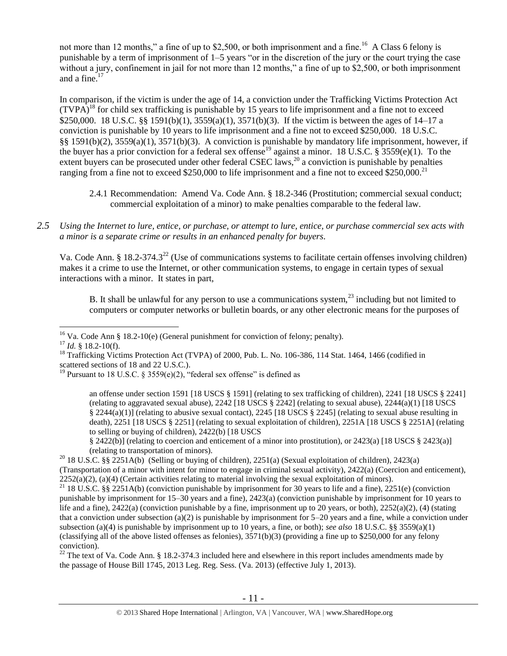not more than 12 months," a fine of up to \$2,500, or both imprisonment and a fine.<sup>16</sup> A Class 6 felony is punishable by a term of imprisonment of 1–5 years "or in the discretion of the jury or the court trying the case without a jury, confinement in jail for not more than 12 months," a fine of up to \$2,500, or both imprisonment and a fine.<sup>17</sup>

<span id="page-10-0"></span>In comparison, if the victim is under the age of 14, a conviction under the Trafficking Victims Protection Act  $(TVPA)^{18}$  for child sex trafficking is punishable by 15 years to life imprisonment and a fine not to exceed \$250,000. 18 U.S.C. §§ 1591(b)(1), 3559(a)(1), 3571(b)(3). If the victim is between the ages of 14–17 a conviction is punishable by 10 years to life imprisonment and a fine not to exceed \$250,000. 18 U.S.C. §§ 1591(b)(2), 3559(a)(1), 3571(b)(3). A conviction is punishable by mandatory life imprisonment, however, if the buyer has a prior conviction for a federal sex offense<sup>19</sup> against a minor. 18 U.S.C. §  $3559(e)(1)$ . To the extent buyers can be prosecuted under other federal CSEC laws,  $^{20}$  a conviction is punishable by penalties ranging from a fine not to exceed \$250,000 to life imprisonment and a fine not to exceed \$250,000.<sup>21</sup>

- <span id="page-10-1"></span>2.4.1 Recommendation: Amend Va. Code Ann. § 18.2-346 (Prostitution; commercial sexual conduct; commercial exploitation of a minor) to make penalties comparable to the federal law.
- *2.5 Using the Internet to lure, entice, or purchase, or attempt to lure, entice, or purchase commercial sex acts with a minor is a separate crime or results in an enhanced penalty for buyers.*

Va. Code Ann. § 18.2-374.3<sup>22</sup> (Use of communications systems to facilitate certain offenses involving children) makes it a crime to use the Internet, or other communication systems, to engage in certain types of sexual interactions with a minor. It states in part,

<span id="page-10-3"></span><span id="page-10-2"></span>B. It shall be unlawful for any person to use a communications system,  $^{23}$  including but not limited to computers or computer networks or bulletin boards, or any other electronic means for the purposes of

 $\overline{a}$ 

§ 2422(b)] (relating to coercion and enticement of a minor into prostitution), or 2423(a) [18 USCS § 2423(a)] (relating to transportation of minors).

 $^{22}$  The text of Va. Code Ann. § 18.2-374.3 included here and elsewhere in this report includes amendments made by the passage of House Bill 1745, 2013 Leg. Reg. Sess. (Va. 2013) (effective July 1, 2013).

<sup>&</sup>lt;sup>16</sup> Va. Code Ann § 18.2-10(e) (General punishment for conviction of felony; penalty).

 $17$  *Id.* § 18.2-10(f).

<sup>&</sup>lt;sup>18</sup> Trafficking Victims Protection Act (TVPA) of 2000, Pub. L. No. 106-386, 114 Stat. 1464, 1466 (codified in scattered sections of 18 and 22 U.S.C.).

<sup>&</sup>lt;sup>19</sup> Pursuant to 18 U.S.C. § 3559 $(e)(2)$ , "federal sex offense" is defined as

an offense under section 1591 [18 USCS § 1591] (relating to sex trafficking of children), 2241 [18 USCS § 2241] (relating to aggravated sexual abuse), 2242 [18 USCS § 2242] (relating to sexual abuse), 2244(a)(1) [18 USCS § 2244(a)(1)] (relating to abusive sexual contact), 2245 [18 USCS § 2245] (relating to sexual abuse resulting in death), 2251 [18 USCS § 2251] (relating to sexual exploitation of children), 2251A [18 USCS § 2251A] (relating to selling or buying of children), 2422(b) [18 USCS

<sup>&</sup>lt;sup>20</sup> 18 U.S.C. §§ 2251A(b) (Selling or buying of children), 2251(a) (Sexual exploitation of children), 2423(a) (Transportation of a minor with intent for minor to engage in criminal sexual activity), 2422(a) (Coercion and enticement),  $2252(a)(2)$ , (a)(4) (Certain activities relating to material involving the sexual exploitation of minors).

 $2252(a)(2)$ ,  $(a)(7)$  (Serian activities relating to material arrival punishable by imprisonment for 30 years to life and a fine), 2251(e) (conviction  $180$  years to life and a fine), 2251(e) (conviction punishable by imprisonment for 15–30 years and a fine), 2423(a) (conviction punishable by imprisonment for 10 years to life and a fine),  $2422(a)$  (conviction punishable by a fine, imprisonment up to 20 years, or both),  $2252(a)(2)$ , (4) (stating that a conviction under subsection (a)(2) is punishable by imprisonment for  $5-20$  years and a fine, while a conviction under subsection (a)(4) is punishable by imprisonment up to 10 years, a fine, or both); *see also* 18 U.S.C. §§ 3559(a)(1) (classifying all of the above listed offenses as felonies),  $3571(b)(3)$  (providing a fine up to \$250,000 for any felony conviction).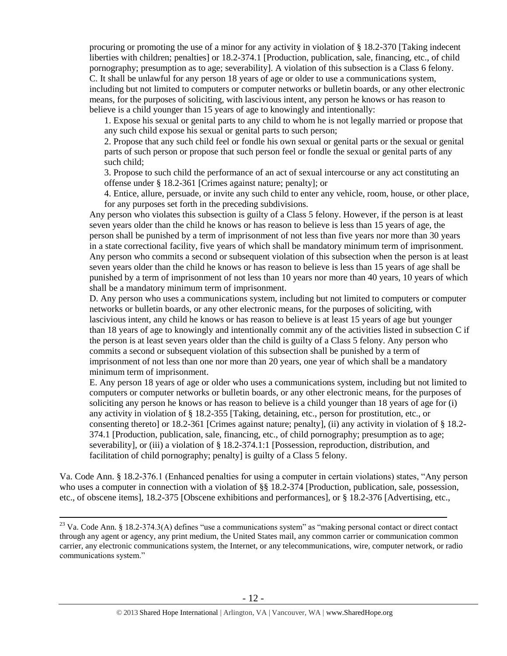procuring or promoting the use of a minor for any activity in violation of § 18.2-370 [Taking indecent liberties with children; penalties] or 18.2-374.1 [Production, publication, sale, financing, etc., of child pornography; presumption as to age; severability]. A violation of this subsection is a Class 6 felony. C. It shall be unlawful for any person 18 years of age or older to use a communications system, including but not limited to computers or computer networks or bulletin boards, or any other electronic means, for the purposes of soliciting, with lascivious intent, any person he knows or has reason to believe is a child younger than 15 years of age to knowingly and intentionally:

1. Expose his sexual or genital parts to any child to whom he is not legally married or propose that any such child expose his sexual or genital parts to such person;

2. Propose that any such child feel or fondle his own sexual or genital parts or the sexual or genital parts of such person or propose that such person feel or fondle the sexual or genital parts of any such child;

3. Propose to such child the performance of an act of sexual intercourse or any act constituting an offense under § 18.2-361 [Crimes against nature; penalty]; or

4. Entice, allure, persuade, or invite any such child to enter any vehicle, room, house, or other place, for any purposes set forth in the preceding subdivisions.

Any person who violates this subsection is guilty of a Class 5 felony. However, if the person is at least seven years older than the child he knows or has reason to believe is less than 15 years of age, the person shall be punished by a term of imprisonment of not less than five years nor more than 30 years in a state correctional facility, five years of which shall be mandatory minimum term of imprisonment. Any person who commits a second or subsequent violation of this subsection when the person is at least seven years older than the child he knows or has reason to believe is less than 15 years of age shall be punished by a term of imprisonment of not less than 10 years nor more than 40 years, 10 years of which shall be a mandatory minimum term of imprisonment.

D. Any person who uses a communications system, including but not limited to computers or computer networks or bulletin boards, or any other electronic means, for the purposes of soliciting, with lascivious intent, any child he knows or has reason to believe is at least 15 years of age but younger than 18 years of age to knowingly and intentionally commit any of the activities listed in subsection C if the person is at least seven years older than the child is guilty of a Class 5 felony. Any person who commits a second or subsequent violation of this subsection shall be punished by a term of imprisonment of not less than one nor more than 20 years, one year of which shall be a mandatory minimum term of imprisonment.

E. Any person 18 years of age or older who uses a communications system, including but not limited to computers or computer networks or bulletin boards, or any other electronic means, for the purposes of soliciting any person he knows or has reason to believe is a child younger than 18 years of age for (i) any activity in violation of § 18.2-355 [Taking, detaining, etc., person for prostitution, etc., or consenting thereto] or 18.2-361 [Crimes against nature; penalty], (ii) any activity in violation of § 18.2- 374.1 [Production, publication, sale, financing, etc., of child pornography; presumption as to age; severability], or (iii) a violation of § 18.2-374.1:1 [Possession, reproduction, distribution, and facilitation of child pornography; penalty] is guilty of a Class 5 felony.

Va. Code Ann. § 18.2-376.1 (Enhanced penalties for using a computer in certain violations) states, "Any person who uses a computer in connection with a violation of §§ 18.2-374 [Production, publication, sale, possession, etc., of obscene items], 18.2-375 [Obscene exhibitions and performances], or § 18.2-376 [Advertising, etc.,

 $23$  Va. Code Ann. § 18.2-374.3(A) defines "use a communications system" as "making personal contact or direct contact through any agent or agency, any print medium, the United States mail, any common carrier or communication common carrier, any electronic communications system, the Internet, or any telecommunications, wire, computer network, or radio communications system."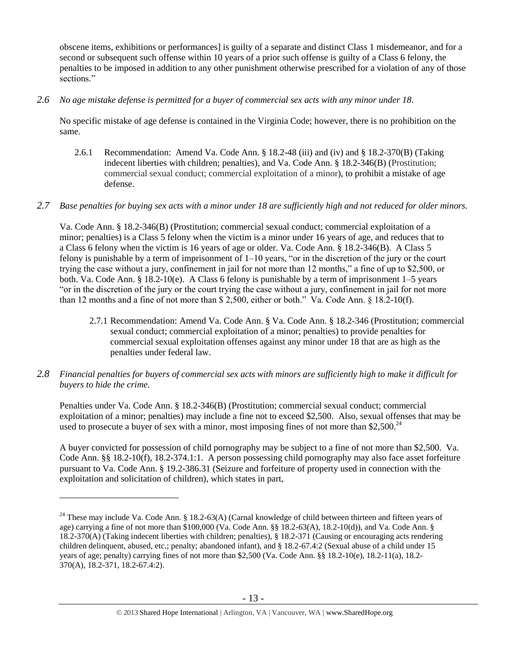obscene items, exhibitions or performances] is guilty of a separate and distinct Class 1 misdemeanor, and for a second or subsequent such offense within 10 years of a prior such offense is guilty of a Class 6 felony, the penalties to be imposed in addition to any other punishment otherwise prescribed for a violation of any of those sections."

*2.6 No age mistake defense is permitted for a buyer of commercial sex acts with any minor under 18.*

No specific mistake of age defense is contained in the Virginia Code; however, there is no prohibition on the same.

2.6.1 Recommendation: Amend Va. Code Ann. § 18.2-48 (iii) and (iv) and § 18.2-370(B) (Taking indecent liberties with children; penalties), and Va. Code Ann. § 18.2-346(B) (Prostitution; commercial sexual conduct; commercial exploitation of a minor), to prohibit a mistake of age defense.

# *2.7 Base penalties for buying sex acts with a minor under 18 are sufficiently high and not reduced for older minors.*

Va. Code Ann. § 18.2-346(B) (Prostitution; commercial sexual conduct; commercial exploitation of a minor; penalties) is a Class 5 felony when the victim is a minor under 16 years of age, and reduces that to a Class 6 felony when the victim is 16 years of age or older. Va. Code Ann. § 18.2-346(B). A Class 5 felony is punishable by a term of imprisonment of 1–10 years, "or in the discretion of the jury or the court trying the case without a jury, confinement in jail for not more than 12 months," a fine of up to \$2,500, or both. Va. Code Ann. § 18.2-10(e). A Class 6 felony is punishable by a term of imprisonment 1–5 years "or in the discretion of the jury or the court trying the case without a jury, confinement in jail for not more than 12 months and a fine of not more than \$ 2,500, either or both." Va. Code Ann. § 18.2-10(f).

- 2.7.1 Recommendation: Amend Va. Code Ann. § Va. Code Ann. § 18.2-346 (Prostitution; commercial sexual conduct; commercial exploitation of a minor; penalties) to provide penalties for commercial sexual exploitation offenses against any minor under 18 that are as high as the penalties under federal law.
- *2.8 Financial penalties for buyers of commercial sex acts with minors are sufficiently high to make it difficult for buyers to hide the crime.*

Penalties under Va. Code Ann. § 18.2-346(B) (Prostitution; commercial sexual conduct; commercial exploitation of a minor; penalties) may include a fine not to exceed \$2,500. Also, sexual offenses that may be used to prosecute a buyer of sex with a minor, most imposing fines of not more than \$2,500. $^{24}$ 

A buyer convicted for possession of child pornography may be subject to a fine of not more than \$2,500. Va. Code Ann. §§ 18.2-10(f), 18.2-374.1:1. A person possessing child pornography may also face asset forfeiture pursuant to Va. Code Ann. § 19.2-386.31 (Seizure and forfeiture of property used in connection with the exploitation and solicitation of children), which states in part,

<sup>&</sup>lt;sup>24</sup> These may include Va. Code Ann. § 18.2-63(A) (Carnal knowledge of child between thirteen and fifteen years of age) carrying a fine of not more than \$100,000 (Va. Code Ann. §§ 18.2-63(A), 18.2-10(d)), and Va. Code Ann. § 18.2-370(A) (Taking indecent liberties with children; penalties), § 18.2-371 (Causing or encouraging acts rendering children delinquent, abused, etc.; penalty; abandoned infant), and § 18.2-67.4:2 (Sexual abuse of a child under 15 years of age; penalty) carrying fines of not more than \$2,500 (Va. Code Ann. §§ 18.2-10(e), 18.2-11(a), 18.2- 370(A), 18.2-371, 18.2-67.4:2).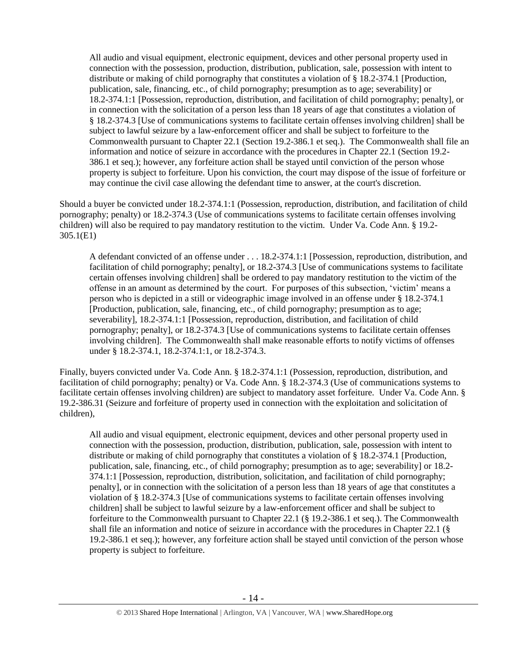All audio and visual equipment, electronic equipment, devices and other personal property used in connection with the possession, production, distribution, publication, sale, possession with intent to distribute or making of child pornography that constitutes a violation of § 18.2-374.1 [Production, publication, sale, financing, etc., of child pornography; presumption as to age; severability] or 18.2-374.1:1 [Possession, reproduction, distribution, and facilitation of child pornography; penalty], or in connection with the solicitation of a person less than 18 years of age that constitutes a violation of § 18.2-374.3 [Use of communications systems to facilitate certain offenses involving children] shall be subject to lawful seizure by a law-enforcement officer and shall be subject to forfeiture to the Commonwealth pursuant to Chapter 22.1 (Section 19.2-386.1 et seq.). The Commonwealth shall file an information and notice of seizure in accordance with the procedures in Chapter 22.1 (Section 19.2- 386.1 et seq.); however, any forfeiture action shall be stayed until conviction of the person whose property is subject to forfeiture. Upon his conviction, the court may dispose of the issue of forfeiture or may continue the civil case allowing the defendant time to answer, at the court's discretion.

Should a buyer be convicted under 18.2-374.1:1 (Possession, reproduction, distribution, and facilitation of child pornography; penalty) or 18.2-374.3 (Use of communications systems to facilitate certain offenses involving children) will also be required to pay mandatory restitution to the victim. Under Va. Code Ann. § 19.2- 305.1(E1)

A defendant convicted of an offense under . . . 18.2-374.1:1 [Possession, reproduction, distribution, and facilitation of child pornography; penalty], or 18.2-374.3 [Use of communications systems to facilitate certain offenses involving children] shall be ordered to pay mandatory restitution to the victim of the offense in an amount as determined by the court. For purposes of this subsection, 'victim' means a person who is depicted in a still or videographic image involved in an offense under § 18.2-374.1 [Production, publication, sale, financing, etc., of child pornography; presumption as to age; severability], 18.2-374.1:1 [Possession, reproduction, distribution, and facilitation of child pornography; penalty], or 18.2-374.3 [Use of communications systems to facilitate certain offenses involving children]. The Commonwealth shall make reasonable efforts to notify victims of offenses under § 18.2-374.1, 18.2-374.1:1, or 18.2-374.3.

Finally, buyers convicted under Va. Code Ann. § 18.2-374.1:1 (Possession, reproduction, distribution, and facilitation of child pornography; penalty) or Va. Code Ann. § 18.2-374.3 (Use of communications systems to facilitate certain offenses involving children) are subject to mandatory asset forfeiture. Under Va. Code Ann. § 19.2-386.31 (Seizure and forfeiture of property used in connection with the exploitation and solicitation of children),

All audio and visual equipment, electronic equipment, devices and other personal property used in connection with the possession, production, distribution, publication, sale, possession with intent to distribute or making of child pornography that constitutes a violation of § 18.2-374.1 [Production, publication, sale, financing, etc., of child pornography; presumption as to age; severability] or 18.2- 374.1:1 [Possession, reproduction, distribution, solicitation, and facilitation of child pornography; penalty], or in connection with the solicitation of a person less than 18 years of age that constitutes a violation of § 18.2-374.3 [Use of communications systems to facilitate certain offenses involving children] shall be subject to lawful seizure by a law-enforcement officer and shall be subject to forfeiture to the Commonwealth pursuant to Chapter 22.1 (§ 19.2-386.1 et seq.). The Commonwealth shall file an information and notice of seizure in accordance with the procedures in Chapter 22.1 (§ 19.2-386.1 et seq.); however, any forfeiture action shall be stayed until conviction of the person whose property is subject to forfeiture.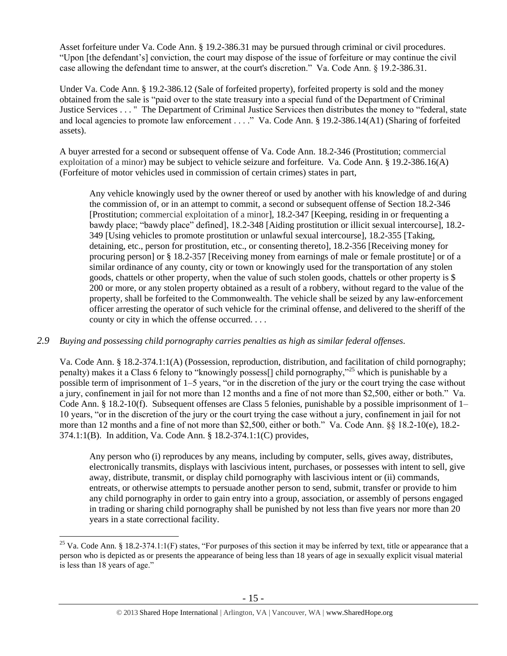Asset forfeiture under Va. Code Ann. § 19.2-386.31 may be pursued through criminal or civil procedures. "Upon [the defendant's] conviction, the court may dispose of the issue of forfeiture or may continue the civil case allowing the defendant time to answer, at the court's discretion." Va. Code Ann. § 19.2-386.31.

Under Va. Code Ann. § 19.2-386.12 (Sale of forfeited property), forfeited property is sold and the money obtained from the sale is "paid over to the state treasury into a special fund of the Department of Criminal Justice Services . . . " The Department of Criminal Justice Services then distributes the money to "federal, state and local agencies to promote law enforcement . . . ." Va. Code Ann. § 19.2-386.14(A1) (Sharing of forfeited assets).

A buyer arrested for a second or subsequent offense of Va. Code Ann. 18.2-346 (Prostitution; commercial exploitation of a minor) may be subject to vehicle seizure and forfeiture. Va. Code Ann. § 19.2-386.16(A) (Forfeiture of motor vehicles used in commission of certain crimes) states in part,

Any vehicle knowingly used by the owner thereof or used by another with his knowledge of and during the commission of, or in an attempt to commit, a second or subsequent offense of Section 18.2-346 [Prostitution; commercial exploitation of a minor], 18.2-347 [Keeping, residing in or frequenting a bawdy place; "bawdy place" defined], 18.2-348 [Aiding prostitution or illicit sexual intercourse], 18.2- 349 [Using vehicles to promote prostitution or unlawful sexual intercourse], 18.2-355 [Taking, detaining, etc., person for prostitution, etc., or consenting thereto], 18.2-356 [Receiving money for procuring person] or § 18.2-357 [Receiving money from earnings of male or female prostitute] or of a similar ordinance of any county, city or town or knowingly used for the transportation of any stolen goods, chattels or other property, when the value of such stolen goods, chattels or other property is \$ 200 or more, or any stolen property obtained as a result of a robbery, without regard to the value of the property, shall be forfeited to the Commonwealth. The vehicle shall be seized by any law-enforcement officer arresting the operator of such vehicle for the criminal offense, and delivered to the sheriff of the county or city in which the offense occurred. . . .

# *2.9 Buying and possessing child pornography carries penalties as high as similar federal offenses.*

 $\overline{a}$ 

Va. Code Ann. § 18.2-374.1:1(A) (Possession, reproduction, distribution, and facilitation of child pornography; penalty) makes it a Class 6 felony to "knowingly possess[] child pornography,"<sup>25</sup> which is punishable by a possible term of imprisonment of 1–5 years, "or in the discretion of the jury or the court trying the case without a jury, confinement in jail for not more than 12 months and a fine of not more than \$2,500, either or both." Va. Code Ann. § 18.2-10(f). Subsequent offenses are Class 5 felonies, punishable by a possible imprisonment of 1– 10 years, "or in the discretion of the jury or the court trying the case without a jury, confinement in jail for not more than 12 months and a fine of not more than \$2,500, either or both." Va. Code Ann. §§ 18.2-10(e), 18.2-374.1:1(B). In addition, Va. Code Ann. § 18.2-374.1:1(C) provides,

Any person who (i) reproduces by any means, including by computer, sells, gives away, distributes, electronically transmits, displays with lascivious intent, purchases, or possesses with intent to sell, give away, distribute, transmit, or display child pornography with lascivious intent or (ii) commands, entreats, or otherwise attempts to persuade another person to send, submit, transfer or provide to him any child pornography in order to gain entry into a group, association, or assembly of persons engaged in trading or sharing child pornography shall be punished by not less than five years nor more than 20 years in a state correctional facility.

<sup>&</sup>lt;sup>25</sup> Va. Code Ann. § 18.2-374.1:1(F) states, "For purposes of this section it may be inferred by text, title or appearance that a person who is depicted as or presents the appearance of being less than 18 years of age in sexually explicit visual material is less than 18 years of age."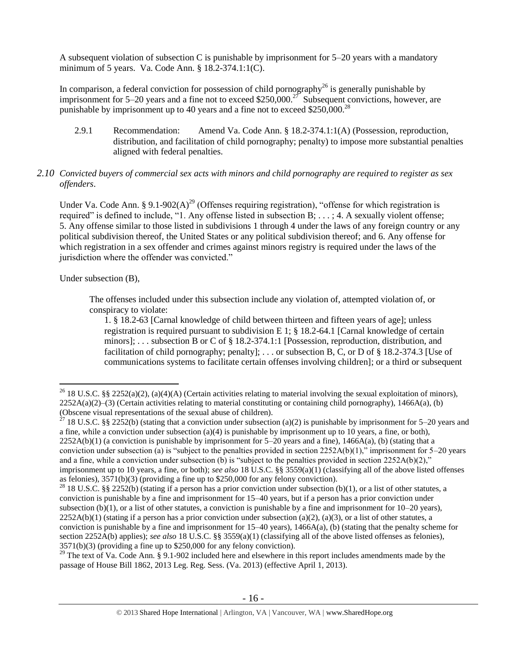A subsequent violation of subsection C is punishable by imprisonment for 5–20 years with a mandatory minimum of 5 years. Va. Code Ann. § 18.2-374.1:1(C).

In comparison, a federal conviction for possession of child pornography<sup>26</sup> is generally punishable by imprisonment for 5–20 years and a fine not to exceed \$250,000.<sup>27</sup> Subsequent convictions, however, are punishable by imprisonment up to 40 years and a fine not to exceed \$250,000.<sup>28</sup>

2.9.1 Recommendation: Amend Va. Code Ann. § 18.2-374.1:1(A) (Possession, reproduction, distribution, and facilitation of child pornography; penalty) to impose more substantial penalties aligned with federal penalties.

## *2.10 Convicted buyers of commercial sex acts with minors and child pornography are required to register as sex offenders*.

<span id="page-15-0"></span>Under Va. Code Ann. § 9.1-902(A)<sup>29</sup> (Offenses requiring registration), "offense for which registration is required" is defined to include, "1. Any offense listed in subsection B; . . . ; 4. A sexually violent offense; 5. Any offense similar to those listed in subdivisions 1 through 4 under the laws of any foreign country or any political subdivision thereof, the United States or any political subdivision thereof; and 6. Any offense for which registration in a sex offender and crimes against minors registry is required under the laws of the jurisdiction where the offender was convicted."

Under subsection (B),

The offenses included under this subsection include any violation of, attempted violation of, or conspiracy to violate:

1. § 18.2-63 [Carnal knowledge of child between thirteen and fifteen years of age]; unless registration is required pursuant to subdivision E 1;  $\S$  18.2-64.1 [Carnal knowledge of certain minors]; . . . subsection B or C of § 18.2-374.1:1 [Possession, reproduction, distribution, and facilitation of child pornography; penalty]; . . . or subsection B, C, or D of § 18.2-374.3 [Use of communications systems to facilitate certain offenses involving children]; or a third or subsequent

 $\overline{a}$ <sup>26</sup> 18 U.S.C. §§ 2252(a)(2), (a)(4)(A) (Certain activities relating to material involving the sexual exploitation of minors),  $2252A(a)(2)$ –(3) (Certain activities relating to material constituting or containing child pornography), 1466A(a), (b) (Obscene visual representations of the sexual abuse of children).

<sup>&</sup>lt;sup>27</sup> 18 U.S.C. §§ 2252(b) (stating that a conviction under subsection (a)(2) is punishable by imprisonment for 5–20 years and a fine, while a conviction under subsection  $(a)(4)$  is punishable by imprisonment up to 10 years, a fine, or both),  $2252A(b)(1)$  (a conviction is punishable by imprisonment for  $5-20$  years and a fine),  $1466A(a)$ , (b) (stating that a conviction under subsection (a) is "subject to the penalties provided in section  $2252A(b)(1)$ ," imprisonment for  $5-20$  years and a fine, while a conviction under subsection (b) is "subject to the penalties provided in section  $2252A(b)(2)$ ," imprisonment up to 10 years, a fine, or both); *see also* 18 U.S.C. §§ 3559(a)(1) (classifying all of the above listed offenses as felonies), 3571(b)(3) (providing a fine up to \$250,000 for any felony conviction).

<sup>&</sup>lt;sup>28</sup> 18 U.S.C. §§ 2252(b) (stating if a person has a prior conviction under subsection (b)(1), or a list of other statutes, a conviction is punishable by a fine and imprisonment for 15–40 years, but if a person has a prior conviction under subsection (b)(1), or a list of other statutes, a conviction is punishable by a fine and imprisonment for  $10-20$  years),  $2252A(b)(1)$  (stating if a person has a prior conviction under subsection (a)(2), (a)(3), or a list of other statutes, a conviction is punishable by a fine and imprisonment for  $15-40$  years),  $1466A(a)$ , (b) (stating that the penalty scheme for section 2252A(b) applies); *see also* 18 U.S.C. §§ 3559(a)(1) (classifying all of the above listed offenses as felonies), 3571(b)(3) (providing a fine up to \$250,000 for any felony conviction).

<sup>&</sup>lt;sup>29</sup> The text of Va. Code Ann.  $\S 9.1$ -902 included here and elsewhere in this report includes amendments made by the passage of House Bill 1862, 2013 Leg. Reg. Sess. (Va. 2013) (effective April 1, 2013).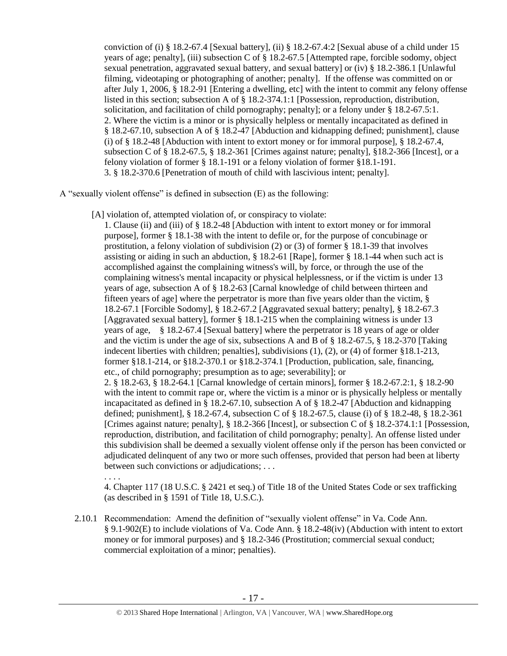conviction of (i) § 18.2-67.4 [Sexual battery], (ii) § 18.2-67.4:2 [Sexual abuse of a child under 15 years of age; penalty], (iii) subsection C of § 18.2-67.5 [Attempted rape, forcible sodomy, object sexual penetration, aggravated sexual battery, and sexual battery] or (iv) § 18.2-386.1 [Unlawful filming, videotaping or photographing of another; penalty]. If the offense was committed on or after July 1, 2006, § 18.2-91 [Entering a dwelling, etc] with the intent to commit any felony offense listed in this section; subsection A of § 18.2-374.1:1 [Possession, reproduction, distribution, solicitation, and facilitation of child pornography; penalty]; or a felony under § 18.2-67.5:1. 2. Where the victim is a minor or is physically helpless or mentally incapacitated as defined in § 18.2-67.10, subsection A of § 18.2-47 [Abduction and kidnapping defined; punishment], clause (i) of § 18.2-48 [Abduction with intent to extort money or for immoral purpose], § 18.2-67.4, subsection C of § 18.2-67.5, § 18.2-361 [Crimes against nature; penalty], §18.2-366 [Incest], or a felony violation of former § 18.1-191 or a felony violation of former §18.1-191. 3. § 18.2-370.6 [Penetration of mouth of child with lascivious intent; penalty].

A "sexually violent offense" is defined in subsection (E) as the following:

[A] violation of, attempted violation of, or conspiracy to violate:

1. Clause (ii) and (iii) of § 18.2-48 [Abduction with intent to extort money or for immoral purpose], former § 18.1-38 with the intent to defile or, for the purpose of concubinage or prostitution, a felony violation of subdivision (2) or (3) of former § 18.1-39 that involves assisting or aiding in such an abduction, § 18.2-61 [Rape], former § 18.1-44 when such act is accomplished against the complaining witness's will, by force, or through the use of the complaining witness's mental incapacity or physical helplessness, or if the victim is under 13 years of age, subsection A of § 18.2-63 [Carnal knowledge of child between thirteen and fifteen years of age] where the perpetrator is more than five years older than the victim, § 18.2-67.1 [Forcible Sodomy], § 18.2-67.2 [Aggravated sexual battery; penalty], § 18.2-67.3 [Aggravated sexual battery], former § 18.1-215 when the complaining witness is under 13 years of age, § 18.2-67.4 [Sexual battery] where the perpetrator is 18 years of age or older and the victim is under the age of six, subsections A and B of § 18.2-67.5, § 18.2-370 [Taking indecent liberties with children; penalties], subdivisions (1), (2), or (4) of former §18.1-213, former §18.1-214, or §18.2-370.1 or §18.2-374.1 [Production, publication, sale, financing, etc., of child pornography; presumption as to age; severability]; or 2. § 18.2-63, § 18.2-64.1 [Carnal knowledge of certain minors], former § 18.2-67.2:1, § 18.2-90 with the intent to commit rape or, where the victim is a minor or is physically helpless or mentally incapacitated as defined in § 18.2-67.10, subsection A of § 18.2-47 [Abduction and kidnapping defined; punishment], § 18.2-67.4, subsection C of § 18.2-67.5, clause (i) of § 18.2-48, § 18.2-361 [Crimes against nature; penalty], § 18.2-366 [Incest], or subsection C of § 18.2-374.1:1 [Possession, reproduction, distribution, and facilitation of child pornography; penalty]. An offense listed under this subdivision shall be deemed a sexually violent offense only if the person has been convicted or adjudicated delinquent of any two or more such offenses, provided that person had been at liberty between such convictions or adjudications; . . .

. . . .

4. Chapter 117 (18 U.S.C. § 2421 et seq.) of Title 18 of the United States Code or sex trafficking (as described in § 1591 of Title 18, U.S.C.).

2.10.1 Recommendation: Amend the definition of "sexually violent offense" in Va. Code Ann. § 9.1-902(E) to include violations of Va. Code Ann. § 18.2-48(iv) (Abduction with intent to extort money or for immoral purposes) and § 18.2-346 (Prostitution; commercial sexual conduct; commercial exploitation of a minor; penalties).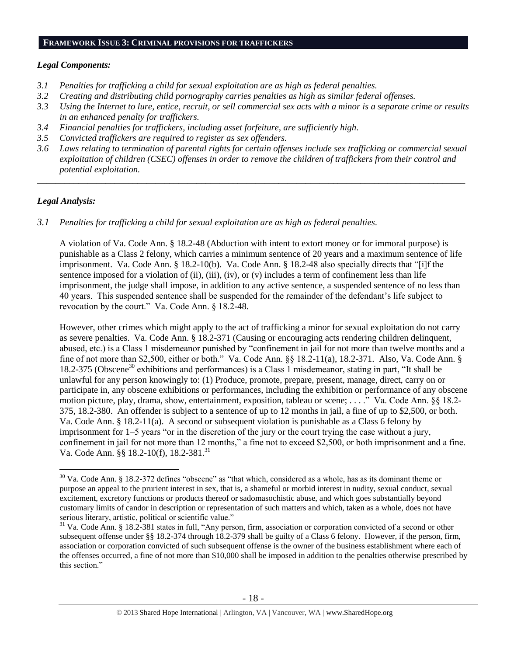#### **FRAMEWORK ISSUE 3: CRIMINAL PROVISIONS FOR TRAFFICKERS**

#### *Legal Components:*

- *3.1 Penalties for trafficking a child for sexual exploitation are as high as federal penalties.*
- *3.2 Creating and distributing child pornography carries penalties as high as similar federal offenses.*
- *3.3 Using the Internet to lure, entice, recruit, or sell commercial sex acts with a minor is a separate crime or results in an enhanced penalty for traffickers.*
- *3.4 Financial penalties for traffickers, including asset forfeiture, are sufficiently high*.
- *3.5 Convicted traffickers are required to register as sex offenders.*
- *3.6 Laws relating to termination of parental rights for certain offenses include sex trafficking or commercial sexual exploitation of children (CSEC) offenses in order to remove the children of traffickers from their control and potential exploitation.*

*\_\_\_\_\_\_\_\_\_\_\_\_\_\_\_\_\_\_\_\_\_\_\_\_\_\_\_\_\_\_\_\_\_\_\_\_\_\_\_\_\_\_\_\_\_\_\_\_\_\_\_\_\_\_\_\_\_\_\_\_\_\_\_\_\_\_\_\_\_\_\_\_\_\_\_\_\_\_\_\_\_\_\_\_\_\_\_\_\_\_\_\_\_\_*

## *Legal Analysis:*

 $\overline{a}$ 

*3.1 Penalties for trafficking a child for sexual exploitation are as high as federal penalties.* 

A violation of Va. Code Ann. § 18.2-48 (Abduction with intent to extort money or for immoral purpose) is punishable as a Class 2 felony, which carries a minimum sentence of 20 years and a maximum sentence of life imprisonment. Va. Code Ann. § 18.2-10(b). Va. Code Ann. § 18.2-48 also specially directs that "[i]f the sentence imposed for a violation of (ii), (iii), (iv), or (v) includes a term of confinement less than life imprisonment, the judge shall impose, in addition to any active sentence, a suspended sentence of no less than 40 years. This suspended sentence shall be suspended for the remainder of the defendant's life subject to revocation by the court." Va. Code Ann. § 18.2-48.

However, other crimes which might apply to the act of trafficking a minor for sexual exploitation do not carry as severe penalties. Va. Code Ann. § 18.2-371 (Causing or encouraging acts rendering children delinquent, abused, etc.) is a Class 1 misdemeanor punished by "confinement in jail for not more than twelve months and a fine of not more than \$2,500, either or both." Va. Code Ann. §§ 18.2-11(a), 18.2-371. Also, Va. Code Ann. § 18.2-375 (Obscene<sup>30</sup> exhibitions and performances) is a Class 1 misdemeanor, stating in part, "It shall be unlawful for any person knowingly to: (1) Produce, promote, prepare, present, manage, direct, carry on or participate in, any obscene exhibitions or performances, including the exhibition or performance of any obscene motion picture, play, drama, show, entertainment, exposition, tableau or scene; . . . ." Va. Code Ann. §§ 18.2-375, 18.2-380. An offender is subject to a sentence of up to 12 months in jail, a fine of up to \$2,500, or both. Va. Code Ann. § 18.2-11(a). A second or subsequent violation is punishable as a Class 6 felony by imprisonment for 1–5 years "or in the discretion of the jury or the court trying the case without a jury, confinement in jail for not more than 12 months," a fine not to exceed \$2,500, or both imprisonment and a fine. Va. Code Ann. §§ 18.2-10(f), 18.2-381.<sup>31</sup>

 $30$  Va. Code Ann. § 18.2-372 defines "obscene" as "that which, considered as a whole, has as its dominant theme or purpose an appeal to the prurient interest in sex, that is, a shameful or morbid interest in nudity, sexual conduct, sexual excitement, excretory functions or products thereof or sadomasochistic abuse, and which goes substantially beyond customary limits of candor in description or representation of such matters and which, taken as a whole, does not have serious literary, artistic, political or scientific value."

<sup>&</sup>lt;sup>31</sup> Va. Code Ann. § 18.2-381 states in full, "Any person, firm, association or corporation convicted of a second or other subsequent offense under §§ 18.2-374 through 18.2-379 shall be guilty of a Class 6 felony. However, if the person, firm, association or corporation convicted of such subsequent offense is the owner of the business establishment where each of the offenses occurred, a fine of not more than \$10,000 shall be imposed in addition to the penalties otherwise prescribed by this section."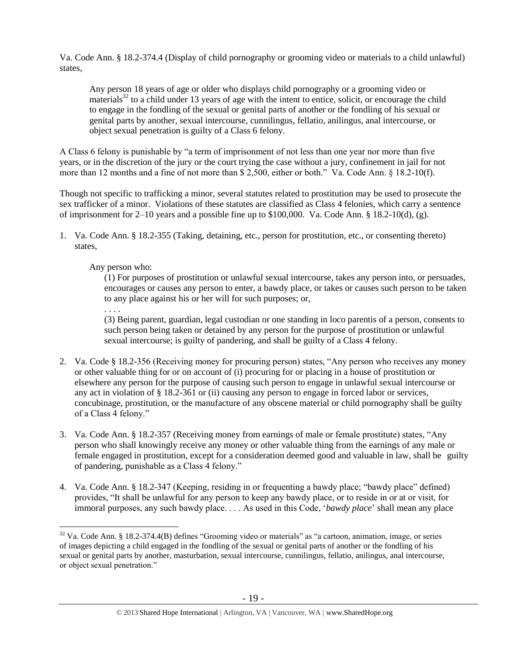Va. Code Ann. § 18.2-374.4 (Display of child pornography or grooming video or materials to a child unlawful) states,

Any person 18 years of age or older who displays child pornography or a grooming video or materials<sup>32</sup> to a child under 13 years of age with the intent to entice, solicit, or encourage the child to engage in the fondling of the sexual or genital parts of another or the fondling of his sexual or genital parts by another, sexual intercourse, cunnilingus, fellatio, anilingus, anal intercourse, or object sexual penetration is guilty of a Class 6 felony.

A Class 6 felony is punishable by "a term of imprisonment of not less than one year nor more than five years, or in the discretion of the jury or the court trying the case without a jury, confinement in jail for not more than 12 months and a fine of not more than \$ 2,500, either or both." Va. Code Ann. § 18.2-10(f).

Though not specific to trafficking a minor, several statutes related to prostitution may be used to prosecute the sex trafficker of a minor. Violations of these statutes are classified as Class 4 felonies, which carry a sentence of imprisonment for 2–10 years and a possible fine up to \$100,000. Va. Code Ann. § 18.2-10(d), (g).

1. Va. Code Ann. § 18.2-355 (Taking, detaining, etc., person for prostitution, etc., or consenting thereto) states,

# Any person who:

(1) For purposes of prostitution or unlawful sexual intercourse, takes any person into, or persuades, encourages or causes any person to enter, a bawdy place, or takes or causes such person to be taken to any place against his or her will for such purposes; or,

. . . .

(3) Being parent, guardian, legal custodian or one standing in loco parentis of a person, consents to such person being taken or detained by any person for the purpose of prostitution or unlawful sexual intercourse; is guilty of pandering, and shall be guilty of a Class 4 felony.

- 2. Va. Code § 18.2-356 (Receiving money for procuring person) states, "Any person who receives any money or other valuable thing for or on account of (i) procuring for or placing in a house of prostitution or elsewhere any person for the purpose of causing such person to engage in unlawful sexual intercourse or any act in violation of § 18.2-361 or (ii) causing any person to engage in forced labor or services, concubinage, prostitution, or the manufacture of any obscene material or child pornography shall be guilty of a Class 4 felony."
- 3. Va. Code Ann. § 18.2-357 (Receiving money from earnings of male or female prostitute) states, "Any person who shall knowingly receive any money or other valuable thing from the earnings of any male or female engaged in prostitution, except for a consideration deemed good and valuable in law, shall be guilty of pandering, punishable as a Class 4 felony."
- 4. Va. Code Ann. § 18.2-347 (Keeping, residing in or frequenting a bawdy place; "bawdy place" defined) provides, "It shall be unlawful for any person to keep any bawdy place, or to reside in or at or visit, for immoral purposes, any such bawdy place. . . . As used in this Code, '*bawdy place*' shall mean any place

 $\overline{a}$  $32$  Va. Code Ann. § 18.2-374.4(B) defines "Grooming video or materials" as "a cartoon, animation, image, or series of images depicting a child engaged in the fondling of the sexual or genital parts of another or the fondling of his sexual or genital parts by another, masturbation, sexual intercourse, cunnilingus, fellatio, anilingus, anal intercourse, or object sexual penetration."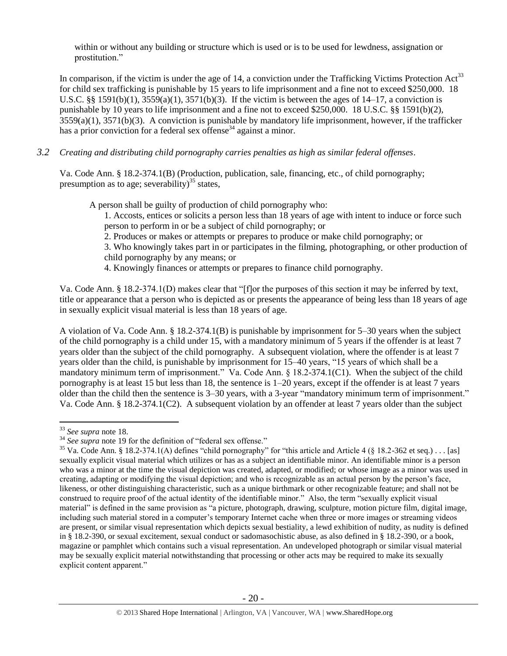within or without any building or structure which is used or is to be used for lewdness, assignation or prostitution."

In comparison, if the victim is under the age of 14, a conviction under the Trafficking Victims Protection  $Act^{33}$ for child sex trafficking is punishable by 15 years to life imprisonment and a fine not to exceed \$250,000. 18 U.S.C. §§ 1591(b)(1),  $3559(a)(1)$ ,  $3571(b)(3)$ . If the victim is between the ages of 14–17, a conviction is punishable by 10 years to life imprisonment and a fine not to exceed \$250,000. 18 U.S.C. §§ 1591(b)(2), 3559(a)(1), 3571(b)(3). A conviction is punishable by mandatory life imprisonment, however, if the trafficker has a prior conviction for a federal sex offense<sup>34</sup> against a minor.

*3.2 Creating and distributing child pornography carries penalties as high as similar federal offenses*.

Va. Code Ann. § 18.2-374.1(B) (Production, publication, sale, financing, etc., of child pornography; presumption as to age; severability)<sup>35</sup> states,

A person shall be guilty of production of child pornography who:

<span id="page-19-0"></span>1. Accosts, entices or solicits a person less than 18 years of age with intent to induce or force such person to perform in or be a subject of child pornography; or

2. Produces or makes or attempts or prepares to produce or make child pornography; or

3. Who knowingly takes part in or participates in the filming, photographing, or other production of child pornography by any means; or

4. Knowingly finances or attempts or prepares to finance child pornography.

Va. Code Ann. § 18.2-374.1(D) makes clear that "[f]or the purposes of this section it may be inferred by text, title or appearance that a person who is depicted as or presents the appearance of being less than 18 years of age in sexually explicit visual material is less than 18 years of age.

A violation of Va. Code Ann. § 18.2-374.1(B) is punishable by imprisonment for 5–30 years when the subject of the child pornography is a child under 15, with a mandatory minimum of 5 years if the offender is at least 7 years older than the subject of the child pornography. A subsequent violation, where the offender is at least 7 years older than the child, is punishable by imprisonment for 15–40 years, "15 years of which shall be a mandatory minimum term of imprisonment." Va. Code Ann. § 18.2-374.1(C1). When the subject of the child pornography is at least 15 but less than 18, the sentence is 1–20 years, except if the offender is at least 7 years older than the child then the sentence is 3–30 years, with a 3-year "mandatory minimum term of imprisonment." Va. Code Ann. § 18.2-374.1(C2). A subsequent violation by an offender at least 7 years older than the subject

<sup>33</sup> *See supra* note [18.](#page-10-0)

<sup>&</sup>lt;sup>34</sup> See supra note [19](#page-10-1) for the definition of "federal sex offense."

<sup>&</sup>lt;sup>35</sup> Va. Code Ann. § 18.2-374.1(A) defines "child pornography" for "this article and Article 4 (§ 18.2-362 et seq.) . . . [as] sexually explicit visual material which utilizes or has as a subject an identifiable minor. An identifiable minor is a person who was a minor at the time the visual depiction was created, adapted, or modified; or whose image as a minor was used in creating, adapting or modifying the visual depiction; and who is recognizable as an actual person by the person's face, likeness, or other distinguishing characteristic, such as a unique birthmark or other recognizable feature; and shall not be construed to require proof of the actual identity of the identifiable minor." Also, the term "sexually explicit visual material" is defined in the same provision as "a picture, photograph, drawing, sculpture, motion picture film, digital image, including such material stored in a computer's temporary Internet cache when three or more images or streaming videos are present, or similar visual representation which depicts sexual bestiality, a lewd exhibition of nudity, as nudity is defined in § 18.2-390, or sexual excitement, sexual conduct or sadomasochistic abuse, as also defined in § 18.2-390, or a book, magazine or pamphlet which contains such a visual representation. An undeveloped photograph or similar visual material may be sexually explicit material notwithstanding that processing or other acts may be required to make its sexually explicit content apparent."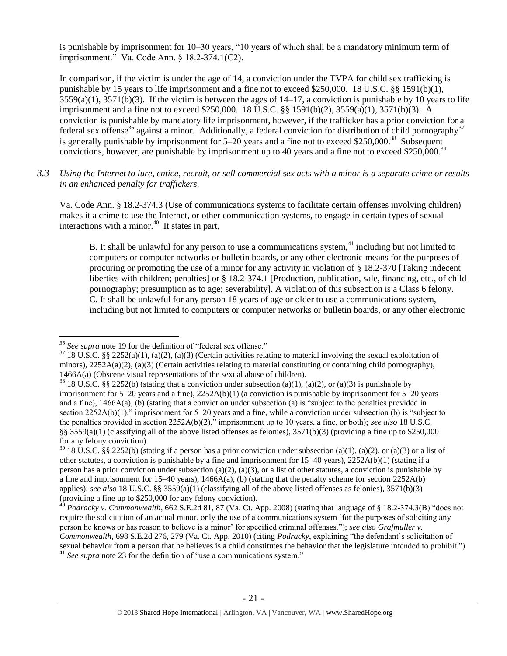is punishable by imprisonment for 10–30 years, "10 years of which shall be a mandatory minimum term of imprisonment." Va. Code Ann. § 18.2-374.1(C2).

In comparison, if the victim is under the age of 14, a conviction under the TVPA for child sex trafficking is punishable by 15 years to life imprisonment and a fine not to exceed \$250,000. 18 U.S.C. §§ 1591(b)(1),  $3559(a)(1)$ ,  $3571(b)(3)$ . If the victim is between the ages of  $14-17$ , a conviction is punishable by 10 years to life imprisonment and a fine not to exceed \$250,000. 18 U.S.C. §§ 1591(b)(2), 3559(a)(1), 3571(b)(3). A conviction is punishable by mandatory life imprisonment, however, if the trafficker has a prior conviction for a federal sex offense<sup>36</sup> against a minor. Additionally, a federal conviction for distribution of child pornography<sup>37</sup> is generally punishable by imprisonment for  $5-20$  years and a fine not to exceed \$250,000.<sup>38</sup> Subsequent convictions, however, are punishable by imprisonment up to 40 years and a fine not to exceed \$250,000.<sup>39</sup>

*3.3 Using the Internet to lure, entice, recruit, or sell commercial sex acts with a minor is a separate crime or results in an enhanced penalty for traffickers.*

Va. Code Ann. § 18.2-374.3 (Use of communications systems to facilitate certain offenses involving children) makes it a crime to use the Internet, or other communication systems, to engage in certain types of sexual interactions with a minor. $40$  It states in part,

B. It shall be unlawful for any person to use a communications system,  $41$  including but not limited to computers or computer networks or bulletin boards, or any other electronic means for the purposes of procuring or promoting the use of a minor for any activity in violation of § 18.2-370 [Taking indecent liberties with children; penalties] or § 18.2-374.1 [Production, publication, sale, financing, etc., of child pornography; presumption as to age; severability]. A violation of this subsection is a Class 6 felony. C. It shall be unlawful for any person 18 years of age or older to use a communications system, including but not limited to computers or computer networks or bulletin boards, or any other electronic

 $-21 -$ 

 $\overline{a}$ *<sup>36</sup> See supra* note [19](#page-10-1) for the definition of "federal sex offense."

 $37\,18\,$  U.S.C. §§ 2252(a)(1), (a)(2), (a)(3) (Certain activities relating to material involving the sexual exploitation of minors),  $2252A(a)(2)$ ,  $(a)(3)$  (Certain activities relating to material constituting or containing child pornography), 1466A(a) (Obscene visual representations of the sexual abuse of children).

<sup>&</sup>lt;sup>38</sup> 18 U.S.C. §§ 2252(b) (stating that a conviction under subsection (a)(1), (a)(2), or (a)(3) is punishable by imprisonment for 5–20 years and a fine), 2252A(b)(1) (a conviction is punishable by imprisonment for 5–20 years and a fine), 1466A(a), (b) (stating that a conviction under subsection (a) is "subject to the penalties provided in section 2252A(b)(1)," imprisonment for 5–20 years and a fine, while a conviction under subsection (b) is "subject to the penalties provided in section 2252A(b)(2)," imprisonment up to 10 years, a fine, or both); *see also* 18 U.S.C. §§ 3559(a)(1) (classifying all of the above listed offenses as felonies), 3571(b)(3) (providing a fine up to \$250,000 for any felony conviction).

 $39$  18 U.S.C. §§ 2252(b) (stating if a person has a prior conviction under subsection (a)(1), (a)(2), or (a)(3) or a list of other statutes, a conviction is punishable by a fine and imprisonment for 15–40 years), 2252A(b)(1) (stating if a person has a prior conviction under subsection (a)(2), (a)(3), or a list of other statutes, a conviction is punishable by a fine and imprisonment for  $15-40$  years),  $1466A(a)$ , (b) (stating that the penalty scheme for section  $2252A(b)$ applies); *see also* 18 U.S.C. §§ 3559(a)(1) (classifying all of the above listed offenses as felonies), 3571(b)(3) (providing a fine up to \$250,000 for any felony conviction).

<sup>40</sup> *Podracky v. Commonwealth*, 662 S.E.2d 81, 87 (Va. Ct. App. 2008) (stating that language of § 18.2-374.3(B) "does not require the solicitation of an actual minor, only the use of a communications system 'for the purposes of soliciting any person he knows or has reason to believe is a minor' for specified criminal offenses."); *see also Grafmuller v. Commonwealth*, 698 S.E.2d 276, 279 (Va. Ct. App. 2010) (citing *Podracky*, explaining "the defendant's solicitation of sexual behavior from a person that he believes is a child constitutes the behavior that the legislature intended to prohibit.") <sup>41</sup> See supra note [23](#page-10-2) for the definition of "use a communications system."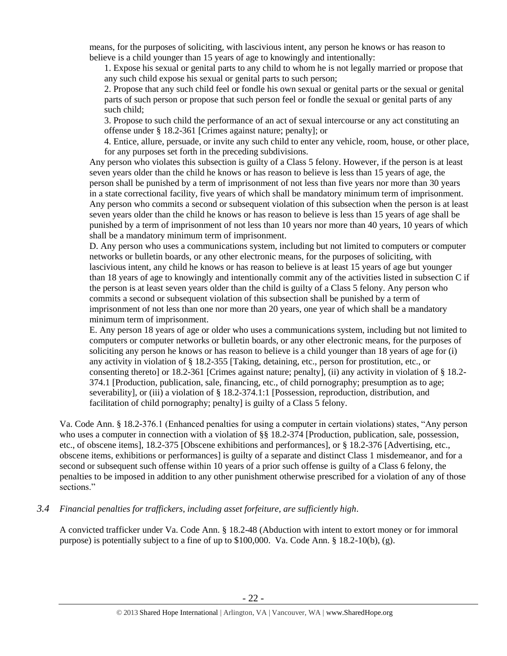means, for the purposes of soliciting, with lascivious intent, any person he knows or has reason to believe is a child younger than 15 years of age to knowingly and intentionally:

1. Expose his sexual or genital parts to any child to whom he is not legally married or propose that any such child expose his sexual or genital parts to such person;

2. Propose that any such child feel or fondle his own sexual or genital parts or the sexual or genital parts of such person or propose that such person feel or fondle the sexual or genital parts of any such child;

3. Propose to such child the performance of an act of sexual intercourse or any act constituting an offense under § 18.2-361 [Crimes against nature; penalty]; or

4. Entice, allure, persuade, or invite any such child to enter any vehicle, room, house, or other place, for any purposes set forth in the preceding subdivisions.

Any person who violates this subsection is guilty of a Class 5 felony. However, if the person is at least seven years older than the child he knows or has reason to believe is less than 15 years of age, the person shall be punished by a term of imprisonment of not less than five years nor more than 30 years in a state correctional facility, five years of which shall be mandatory minimum term of imprisonment. Any person who commits a second or subsequent violation of this subsection when the person is at least seven years older than the child he knows or has reason to believe is less than 15 years of age shall be punished by a term of imprisonment of not less than 10 years nor more than 40 years, 10 years of which shall be a mandatory minimum term of imprisonment.

D. Any person who uses a communications system, including but not limited to computers or computer networks or bulletin boards, or any other electronic means, for the purposes of soliciting, with lascivious intent, any child he knows or has reason to believe is at least 15 years of age but younger than 18 years of age to knowingly and intentionally commit any of the activities listed in subsection C if the person is at least seven years older than the child is guilty of a Class 5 felony. Any person who commits a second or subsequent violation of this subsection shall be punished by a term of imprisonment of not less than one nor more than 20 years, one year of which shall be a mandatory minimum term of imprisonment.

E. Any person 18 years of age or older who uses a communications system, including but not limited to computers or computer networks or bulletin boards, or any other electronic means, for the purposes of soliciting any person he knows or has reason to believe is a child younger than 18 years of age for (i) any activity in violation of § 18.2-355 [Taking, detaining, etc., person for prostitution, etc., or consenting thereto] or 18.2-361 [Crimes against nature; penalty], (ii) any activity in violation of § 18.2- 374.1 [Production, publication, sale, financing, etc., of child pornography; presumption as to age; severability], or (iii) a violation of § 18.2-374.1:1 [Possession, reproduction, distribution, and facilitation of child pornography; penalty] is guilty of a Class 5 felony.

Va. Code Ann. § 18.2-376.1 (Enhanced penalties for using a computer in certain violations) states, "Any person who uses a computer in connection with a violation of §§ 18.2-374 [Production, publication, sale, possession, etc., of obscene items], 18.2-375 [Obscene exhibitions and performances], or § 18.2-376 [Advertising, etc., obscene items, exhibitions or performances] is guilty of a separate and distinct Class 1 misdemeanor, and for a second or subsequent such offense within 10 years of a prior such offense is guilty of a Class 6 felony, the penalties to be imposed in addition to any other punishment otherwise prescribed for a violation of any of those sections."

#### *3.4 Financial penalties for traffickers, including asset forfeiture, are sufficiently high*.

A convicted trafficker under Va. Code Ann. § 18.2-48 (Abduction with intent to extort money or for immoral purpose) is potentially subject to a fine of up to \$100,000. Va. Code Ann. § 18.2-10(b), (g).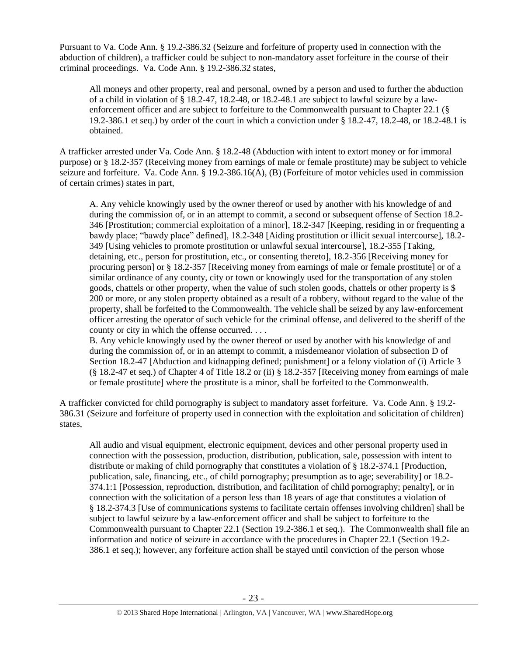Pursuant to Va. Code Ann. § 19.2-386.32 (Seizure and forfeiture of property used in connection with the abduction of children), a trafficker could be subject to non-mandatory asset forfeiture in the course of their criminal proceedings. Va. Code Ann. § 19.2-386.32 states,

All moneys and other property, real and personal, owned by a person and used to further the abduction of a child in violation of § 18.2-47, 18.2-48, or 18.2-48.1 are subject to lawful seizure by a lawenforcement officer and are subject to forfeiture to the Commonwealth pursuant to Chapter 22.1 (§ 19.2-386.1 et seq.) by order of the court in which a conviction under § 18.2-47, 18.2-48, or 18.2-48.1 is obtained.

A trafficker arrested under Va. Code Ann. § 18.2-48 (Abduction with intent to extort money or for immoral purpose) or § 18.2-357 (Receiving money from earnings of male or female prostitute) may be subject to vehicle seizure and forfeiture. Va. Code Ann. § 19.2-386.16(A), (B) (Forfeiture of motor vehicles used in commission of certain crimes) states in part,

A. Any vehicle knowingly used by the owner thereof or used by another with his knowledge of and during the commission of, or in an attempt to commit, a second or subsequent offense of Section 18.2- 346 [Prostitution; commercial exploitation of a minor], 18.2-347 [Keeping, residing in or frequenting a bawdy place; "bawdy place" defined], 18.2-348 [Aiding prostitution or illicit sexual intercourse], 18.2- 349 [Using vehicles to promote prostitution or unlawful sexual intercourse], 18.2-355 [Taking, detaining, etc., person for prostitution, etc., or consenting thereto], 18.2-356 [Receiving money for procuring person] or § 18.2-357 [Receiving money from earnings of male or female prostitute] or of a similar ordinance of any county, city or town or knowingly used for the transportation of any stolen goods, chattels or other property, when the value of such stolen goods, chattels or other property is \$ 200 or more, or any stolen property obtained as a result of a robbery, without regard to the value of the property, shall be forfeited to the Commonwealth. The vehicle shall be seized by any law-enforcement officer arresting the operator of such vehicle for the criminal offense, and delivered to the sheriff of the county or city in which the offense occurred. . . .

B. Any vehicle knowingly used by the owner thereof or used by another with his knowledge of and during the commission of, or in an attempt to commit, a misdemeanor violation of subsection D of Section 18.2-47 [Abduction and kidnapping defined; punishment] or a felony violation of (i) Article 3 (§ 18.2-47 et seq.) of Chapter 4 of Title 18.2 or (ii) § 18.2-357 [Receiving money from earnings of male or female prostitute] where the prostitute is a minor, shall be forfeited to the Commonwealth.

A trafficker convicted for child pornography is subject to mandatory asset forfeiture. Va. Code Ann. § 19.2- 386.31 (Seizure and forfeiture of property used in connection with the exploitation and solicitation of children) states,

All audio and visual equipment, electronic equipment, devices and other personal property used in connection with the possession, production, distribution, publication, sale, possession with intent to distribute or making of child pornography that constitutes a violation of § 18.2-374.1 [Production, publication, sale, financing, etc., of child pornography; presumption as to age; severability] or 18.2- 374.1:1 [Possession, reproduction, distribution, and facilitation of child pornography; penalty], or in connection with the solicitation of a person less than 18 years of age that constitutes a violation of § 18.2-374.3 [Use of communications systems to facilitate certain offenses involving children] shall be subject to lawful seizure by a law-enforcement officer and shall be subject to forfeiture to the Commonwealth pursuant to Chapter 22.1 (Section 19.2-386.1 et seq.). The Commonwealth shall file an information and notice of seizure in accordance with the procedures in Chapter 22.1 (Section 19.2- 386.1 et seq.); however, any forfeiture action shall be stayed until conviction of the person whose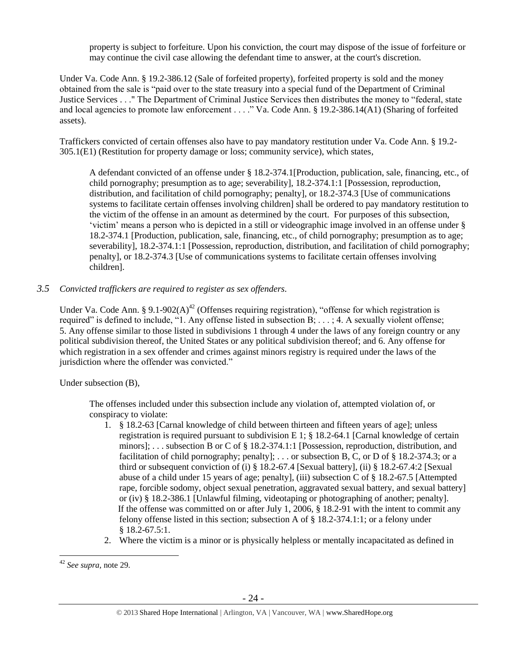property is subject to forfeiture. Upon his conviction, the court may dispose of the issue of forfeiture or may continue the civil case allowing the defendant time to answer, at the court's discretion.

Under Va. Code Ann. § 19.2-386.12 (Sale of forfeited property), forfeited property is sold and the money obtained from the sale is "paid over to the state treasury into a special fund of the Department of Criminal Justice Services . . ." The Department of Criminal Justice Services then distributes the money to "federal, state and local agencies to promote law enforcement . . . ." Va. Code Ann. § 19.2-386.14(A1) (Sharing of forfeited assets).

Traffickers convicted of certain offenses also have to pay mandatory restitution under Va. Code Ann. § 19.2- 305.1(E1) (Restitution for property damage or loss; community service), which states,

A defendant convicted of an offense under § 18.2-374.1[Production, publication, sale, financing, etc., of child pornography; presumption as to age; severability], 18.2-374.1:1 [Possession, reproduction, distribution, and facilitation of child pornography; penalty], or 18.2-374.3 [Use of communications systems to facilitate certain offenses involving children] shall be ordered to pay mandatory restitution to the victim of the offense in an amount as determined by the court. For purposes of this subsection, 'victim' means a person who is depicted in a still or videographic image involved in an offense under § 18.2-374.1 [Production, publication, sale, financing, etc., of child pornography; presumption as to age; severability], 18.2-374.1:1 [Possession, reproduction, distribution, and facilitation of child pornography; penalty], or 18.2-374.3 [Use of communications systems to facilitate certain offenses involving children].

*3.5 Convicted traffickers are required to register as sex offenders.*

Under Va. Code Ann. § 9.1-902(A)<sup>42</sup> (Offenses requiring registration), "offense for which registration is required" is defined to include, "1. Any offense listed in subsection B; . . . ; 4. A sexually violent offense; 5. Any offense similar to those listed in subdivisions 1 through 4 under the laws of any foreign country or any political subdivision thereof, the United States or any political subdivision thereof; and 6. Any offense for which registration in a sex offender and crimes against minors registry is required under the laws of the jurisdiction where the offender was convicted."

Under subsection (B),

The offenses included under this subsection include any violation of, attempted violation of, or conspiracy to violate:

- 1. § 18.2-63 [Carnal knowledge of child between thirteen and fifteen years of age]; unless registration is required pursuant to subdivision E 1;  $\S$  18.2-64.1 [Carnal knowledge of certain minors]; . . . subsection B or C of § 18.2-374.1:1 [Possession, reproduction, distribution, and facilitation of child pornography; penalty]; ... or subsection B, C, or D of  $\S$  18.2-374.3; or a third or subsequent conviction of (i) § 18.2-67.4 [Sexual battery], (ii) § 18.2-67.4:2 [Sexual abuse of a child under 15 years of age; penalty], (iii) subsection C of § 18.2-67.5 [Attempted rape, forcible sodomy, object sexual penetration, aggravated sexual battery, and sexual battery] or (iv) § 18.2-386.1 [Unlawful filming, videotaping or photographing of another; penalty]. If the offense was committed on or after July 1, 2006, § 18.2-91 with the intent to commit any felony offense listed in this section; subsection A of  $\S 18.2-374.1:1$ ; or a felony under § 18.2-67.5:1.
- 2. Where the victim is a minor or is physically helpless or mentally incapacitated as defined in

 $\overline{a}$ <sup>42</sup> *See supra,* note [29.](#page-15-0)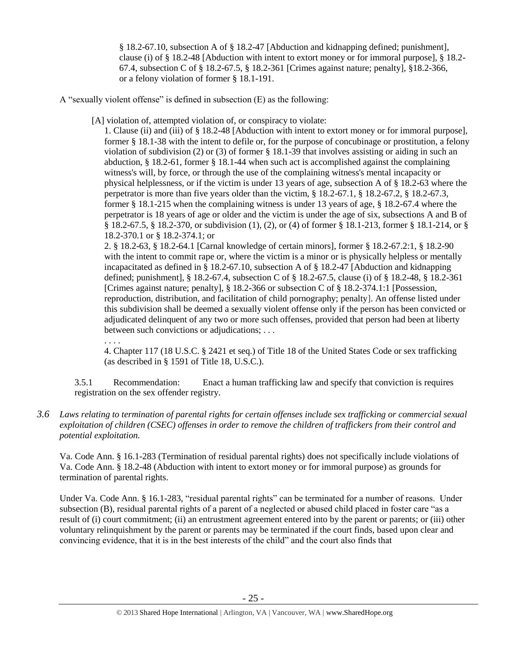§ 18.2-67.10, subsection A of § 18.2-47 [Abduction and kidnapping defined; punishment], clause (i) of § 18.2-48 [Abduction with intent to extort money or for immoral purpose], § 18.2- 67.4, subsection C of § 18.2-67.5, § 18.2-361 [Crimes against nature; penalty], §18.2-366, or a felony violation of former § 18.1-191.

A "sexually violent offense" is defined in subsection (E) as the following:

[A] violation of, attempted violation of, or conspiracy to violate:

1. Clause (ii) and (iii) of § 18.2-48 [Abduction with intent to extort money or for immoral purpose], former § 18.1-38 with the intent to defile or, for the purpose of concubinage or prostitution, a felony violation of subdivision (2) or (3) of former § 18.1-39 that involves assisting or aiding in such an abduction, § 18.2-61, former § 18.1-44 when such act is accomplished against the complaining witness's will, by force, or through the use of the complaining witness's mental incapacity or physical helplessness, or if the victim is under 13 years of age, subsection A of § 18.2-63 where the perpetrator is more than five years older than the victim, § 18.2-67.1, § 18.2-67.2, § 18.2-67.3, former § 18.1-215 when the complaining witness is under 13 years of age, § 18.2-67.4 where the perpetrator is 18 years of age or older and the victim is under the age of six, subsections A and B of § 18.2-67.5, § 18.2-370, or subdivision (1), (2), or (4) of former § 18.1-213, former § 18.1-214, or § 18.2-370.1 or § 18.2-374.1; or

2. § 18.2-63, § 18.2-64.1 [Carnal knowledge of certain minors], former § 18.2-67.2:1, § 18.2-90 with the intent to commit rape or, where the victim is a minor or is physically helpless or mentally incapacitated as defined in § 18.2-67.10, subsection A of § 18.2-47 [Abduction and kidnapping defined; punishment], § 18.2-67.4, subsection C of § 18.2-67.5, clause (i) of § 18.2-48, § 18.2-361 [Crimes against nature; penalty], § 18.2-366 or subsection C of § 18.2-374.1:1 [Possession, reproduction, distribution, and facilitation of child pornography; penalty]. An offense listed under this subdivision shall be deemed a sexually violent offense only if the person has been convicted or adjudicated delinquent of any two or more such offenses, provided that person had been at liberty between such convictions or adjudications; . . .

. . . .

4. Chapter 117 (18 U.S.C. § 2421 et seq.) of Title 18 of the United States Code or sex trafficking (as described in § 1591 of Title 18, U.S.C.).

3.5.1 Recommendation: Enact a human trafficking law and specify that conviction is requires registration on the sex offender registry.

*3.6 Laws relating to termination of parental rights for certain offenses include sex trafficking or commercial sexual exploitation of children (CSEC) offenses in order to remove the children of traffickers from their control and potential exploitation.* 

Va. Code Ann. § 16.1-283 (Termination of residual parental rights) does not specifically include violations of Va. Code Ann. § 18.2-48 (Abduction with intent to extort money or for immoral purpose) as grounds for termination of parental rights.

Under Va. Code Ann. § 16.1-283, "residual parental rights" can be terminated for a number of reasons. Under subsection (B), residual parental rights of a parent of a neglected or abused child placed in foster care "as a result of (i) court commitment; (ii) an entrustment agreement entered into by the parent or parents; or (iii) other voluntary relinquishment by the parent or parents may be terminated if the court finds, based upon clear and convincing evidence, that it is in the best interests of the child" and the court also finds that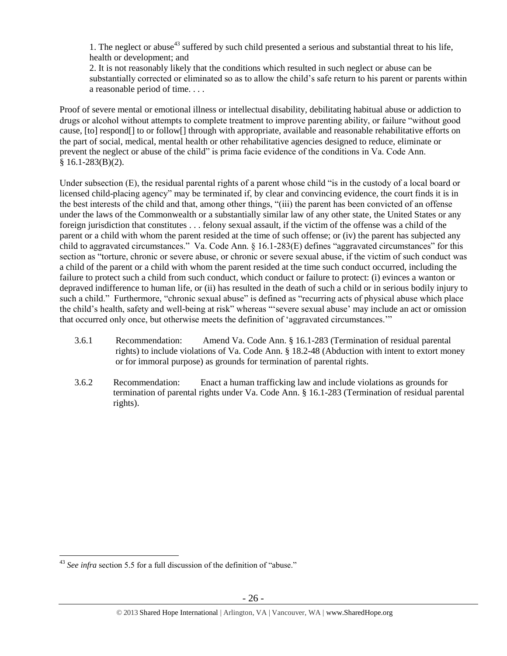1. The neglect or abuse<sup>43</sup> suffered by such child presented a serious and substantial threat to his life, health or development; and

2. It is not reasonably likely that the conditions which resulted in such neglect or abuse can be substantially corrected or eliminated so as to allow the child's safe return to his parent or parents within a reasonable period of time. . . .

Proof of severe mental or emotional illness or intellectual disability, debilitating habitual abuse or addiction to drugs or alcohol without attempts to complete treatment to improve parenting ability, or failure "without good cause, [to] respond[] to or follow[] through with appropriate, available and reasonable rehabilitative efforts on the part of social, medical, mental health or other rehabilitative agencies designed to reduce, eliminate or prevent the neglect or abuse of the child" is prima facie evidence of the conditions in Va. Code Ann.  $§ 16.1-283(B)(2).$ 

Under subsection (E), the residual parental rights of a parent whose child "is in the custody of a local board or licensed child-placing agency" may be terminated if, by clear and convincing evidence, the court finds it is in the best interests of the child and that, among other things, "(iii) the parent has been convicted of an offense under the laws of the Commonwealth or a substantially similar law of any other state, the United States or any foreign jurisdiction that constitutes . . . felony sexual assault, if the victim of the offense was a child of the parent or a child with whom the parent resided at the time of such offense; or (iv) the parent has subjected any child to aggravated circumstances." Va. Code Ann. § 16.1-283(E) defines "aggravated circumstances" for this section as "torture, chronic or severe abuse, or chronic or severe sexual abuse, if the victim of such conduct was a child of the parent or a child with whom the parent resided at the time such conduct occurred, including the failure to protect such a child from such conduct, which conduct or failure to protect: (i) evinces a wanton or depraved indifference to human life, or (ii) has resulted in the death of such a child or in serious bodily injury to such a child." Furthermore, "chronic sexual abuse" is defined as "recurring acts of physical abuse which place the child's health, safety and well-being at risk" whereas "'severe sexual abuse' may include an act or omission that occurred only once, but otherwise meets the definition of 'aggravated circumstances.'"

- 3.6.1 Recommendation: Amend Va. Code Ann. § 16.1-283 (Termination of residual parental rights) to include violations of Va. Code Ann. § 18.2-48 (Abduction with intent to extort money or for immoral purpose) as grounds for termination of parental rights.
- 3.6.2 Recommendation: Enact a human trafficking law and include violations as grounds for termination of parental rights under Va. Code Ann. § 16.1-283 (Termination of residual parental rights).

<sup>&</sup>lt;sup>43</sup> See infra section 5.5 for a full discussion of the definition of "abuse."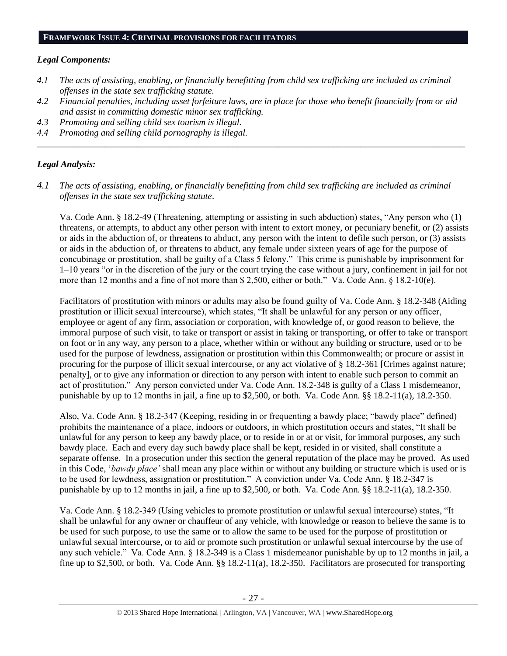#### **FRAMEWORK ISSUE 4: CRIMINAL PROVISIONS FOR FACILITATORS**

#### *Legal Components:*

- *4.1 The acts of assisting, enabling, or financially benefitting from child sex trafficking are included as criminal offenses in the state sex trafficking statute.*
- *4.2 Financial penalties, including asset forfeiture laws, are in place for those who benefit financially from or aid and assist in committing domestic minor sex trafficking.*

*\_\_\_\_\_\_\_\_\_\_\_\_\_\_\_\_\_\_\_\_\_\_\_\_\_\_\_\_\_\_\_\_\_\_\_\_\_\_\_\_\_\_\_\_\_\_\_\_\_\_\_\_\_\_\_\_\_\_\_\_\_\_\_\_\_\_\_\_\_\_\_\_\_\_\_\_\_\_\_\_\_\_\_\_\_\_\_\_\_\_\_\_\_\_*

- *4.3 Promoting and selling child sex tourism is illegal.*
- *4.4 Promoting and selling child pornography is illegal.*

# *Legal Analysis:*

*4.1 The acts of assisting, enabling, or financially benefitting from child sex trafficking are included as criminal offenses in the state sex trafficking statute*.

Va. Code Ann. § 18.2-49 (Threatening, attempting or assisting in such abduction) states, "Any person who (1) threatens, or attempts, to abduct any other person with intent to extort money, or pecuniary benefit, or (2) assists or aids in the abduction of, or threatens to abduct, any person with the intent to defile such person, or (3) assists or aids in the abduction of, or threatens to abduct, any female under sixteen years of age for the purpose of concubinage or prostitution, shall be guilty of a Class 5 felony." This crime is punishable by imprisonment for 1–10 years "or in the discretion of the jury or the court trying the case without a jury, confinement in jail for not more than 12 months and a fine of not more than \$ 2,500, either or both." Va. Code Ann. § 18.2-10(e).

Facilitators of prostitution with minors or adults may also be found guilty of Va. Code Ann. § 18.2-348 (Aiding prostitution or illicit sexual intercourse), which states, "It shall be unlawful for any person or any officer, employee or agent of any firm, association or corporation, with knowledge of, or good reason to believe, the immoral purpose of such visit, to take or transport or assist in taking or transporting, or offer to take or transport on foot or in any way, any person to a place, whether within or without any building or structure, used or to be used for the purpose of lewdness, assignation or prostitution within this Commonwealth; or procure or assist in procuring for the purpose of illicit sexual intercourse, or any act violative of § 18.2-361 [Crimes against nature; penalty], or to give any information or direction to any person with intent to enable such person to commit an act of prostitution." Any person convicted under Va. Code Ann. 18.2-348 is guilty of a Class 1 misdemeanor, punishable by up to 12 months in jail, a fine up to \$2,500, or both. Va. Code Ann. §§ 18.2-11(a), 18.2-350.

Also, Va. Code Ann. § 18.2-347 (Keeping, residing in or frequenting a bawdy place; "bawdy place" defined) prohibits the maintenance of a place, indoors or outdoors, in which prostitution occurs and states, "It shall be unlawful for any person to keep any bawdy place, or to reside in or at or visit, for immoral purposes, any such bawdy place. Each and every day such bawdy place shall be kept, resided in or visited, shall constitute a separate offense. In a prosecution under this section the general reputation of the place may be proved. As used in this Code, '*bawdy place'* shall mean any place within or without any building or structure which is used or is to be used for lewdness, assignation or prostitution." A conviction under Va. Code Ann. § 18.2-347 is punishable by up to 12 months in jail, a fine up to  $$2,500$ , or both. Va. Code Ann. §§ 18.2-11(a), 18.2-350.

Va. Code Ann. § 18.2-349 (Using vehicles to promote prostitution or unlawful sexual intercourse) states, "It shall be unlawful for any owner or chauffeur of any vehicle, with knowledge or reason to believe the same is to be used for such purpose, to use the same or to allow the same to be used for the purpose of prostitution or unlawful sexual intercourse, or to aid or promote such prostitution or unlawful sexual intercourse by the use of any such vehicle." Va. Code Ann. § 18.2-349 is a Class 1 misdemeanor punishable by up to 12 months in jail, a fine up to \$2,500, or both. Va. Code Ann. §§ 18.2-11(a), 18.2-350. Facilitators are prosecuted for transporting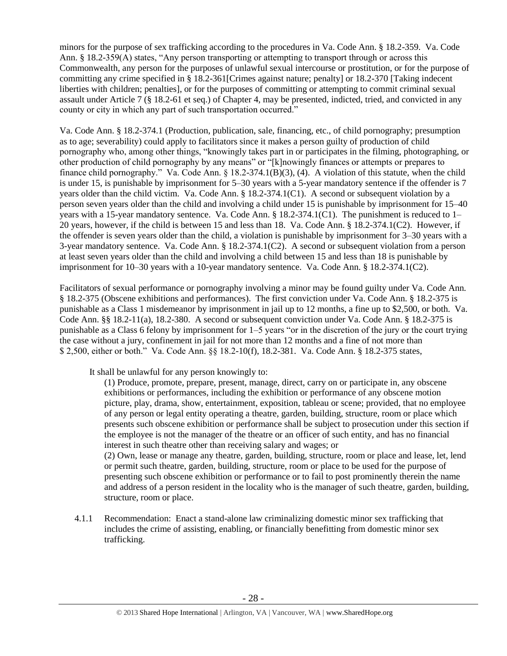minors for the purpose of sex trafficking according to the procedures in Va. Code Ann. § 18.2-359. Va. Code Ann. § 18.2-359(A) states, "Any person transporting or attempting to transport through or across this Commonwealth, any person for the purposes of unlawful sexual intercourse or prostitution, or for the purpose of committing any crime specified in § 18.2-361[Crimes against nature; penalty] or 18.2-370 [Taking indecent liberties with children; penalties], or for the purposes of committing or attempting to commit criminal sexual assault under Article 7 (§ 18.2-61 et seq.) of Chapter 4, may be presented, indicted, tried, and convicted in any county or city in which any part of such transportation occurred."

Va. Code Ann. § 18.2-374.1 (Production, publication, sale, financing, etc., of child pornography; presumption as to age; severability) could apply to facilitators since it makes a person guilty of production of child pornography who, among other things, "knowingly takes part in or participates in the filming, photographing, or other production of child pornography by any means" or "[k]nowingly finances or attempts or prepares to finance child pornography." Va. Code Ann.  $\S$  18.2-374.1(B)(3), (4). A violation of this statute, when the child is under 15, is punishable by imprisonment for 5–30 years with a 5-year mandatory sentence if the offender is 7 years older than the child victim. Va. Code Ann. § 18.2-374.1(C1). A second or subsequent violation by a person seven years older than the child and involving a child under 15 is punishable by imprisonment for 15–40 years with a 15-year mandatory sentence. Va. Code Ann. § 18.2-374.1(C1). The punishment is reduced to 1– 20 years, however, if the child is between 15 and less than 18. Va. Code Ann. § 18.2-374.1(C2). However, if the offender is seven years older than the child, a violation is punishable by imprisonment for 3–30 years with a 3-year mandatory sentence. Va. Code Ann. § 18.2-374.1(C2). A second or subsequent violation from a person at least seven years older than the child and involving a child between 15 and less than 18 is punishable by imprisonment for 10–30 years with a 10-year mandatory sentence. Va. Code Ann. § 18.2-374.1(C2).

Facilitators of sexual performance or pornography involving a minor may be found guilty under Va. Code Ann. § 18.2-375 (Obscene exhibitions and performances). The first conviction under Va. Code Ann. § 18.2-375 is punishable as a Class 1 misdemeanor by imprisonment in jail up to 12 months, a fine up to \$2,500, or both. Va. Code Ann. §§ 18.2-11(a), 18.2-380. A second or subsequent conviction under Va. Code Ann. § 18.2-375 is punishable as a Class 6 felony by imprisonment for 1–5 years "or in the discretion of the jury or the court trying the case without a jury, confinement in jail for not more than 12 months and a fine of not more than \$ 2,500, either or both." Va. Code Ann. §§ 18.2-10(f), 18.2-381. Va. Code Ann. § 18.2-375 states,

It shall be unlawful for any person knowingly to:

(1) Produce, promote, prepare, present, manage, direct, carry on or participate in, any obscene exhibitions or performances, including the exhibition or performance of any obscene motion picture, play, drama, show, entertainment, exposition, tableau or scene; provided, that no employee of any person or legal entity operating a theatre, garden, building, structure, room or place which presents such obscene exhibition or performance shall be subject to prosecution under this section if the employee is not the manager of the theatre or an officer of such entity, and has no financial interest in such theatre other than receiving salary and wages; or

(2) Own, lease or manage any theatre, garden, building, structure, room or place and lease, let, lend or permit such theatre, garden, building, structure, room or place to be used for the purpose of presenting such obscene exhibition or performance or to fail to post prominently therein the name and address of a person resident in the locality who is the manager of such theatre, garden, building, structure, room or place.

4.1.1 Recommendation: Enact a stand-alone law criminalizing domestic minor sex trafficking that includes the crime of assisting, enabling, or financially benefitting from domestic minor sex trafficking.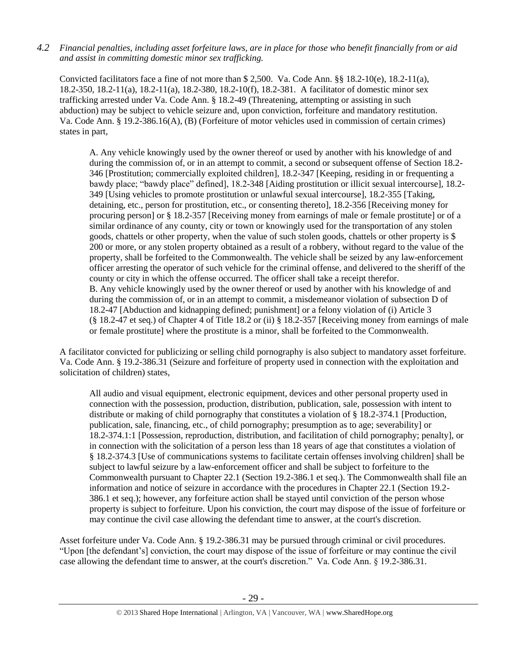*4.2 Financial penalties, including asset forfeiture laws, are in place for those who benefit financially from or aid and assist in committing domestic minor sex trafficking.*

Convicted facilitators face a fine of not more than \$ 2,500. Va. Code Ann. §§ 18.2-10(e), 18.2-11(a), 18.2-350, 18.2-11(a), 18.2-11(a), 18.2-380, 18.2-10(f), 18.2-381. A facilitator of domestic minor sex trafficking arrested under Va. Code Ann. § 18.2-49 (Threatening, attempting or assisting in such abduction) may be subject to vehicle seizure and, upon conviction, forfeiture and mandatory restitution. Va. Code Ann. § 19.2-386.16(A), (B) (Forfeiture of motor vehicles used in commission of certain crimes) states in part,

A. Any vehicle knowingly used by the owner thereof or used by another with his knowledge of and during the commission of, or in an attempt to commit, a second or subsequent offense of Section 18.2- 346 [Prostitution; commercially exploited children], 18.2-347 [Keeping, residing in or frequenting a bawdy place; "bawdy place" defined], 18.2-348 [Aiding prostitution or illicit sexual intercourse], 18.2- 349 [Using vehicles to promote prostitution or unlawful sexual intercourse], 18.2-355 [Taking, detaining, etc., person for prostitution, etc., or consenting thereto], 18.2-356 [Receiving money for procuring person] or § 18.2-357 [Receiving money from earnings of male or female prostitute] or of a similar ordinance of any county, city or town or knowingly used for the transportation of any stolen goods, chattels or other property, when the value of such stolen goods, chattels or other property is \$ 200 or more, or any stolen property obtained as a result of a robbery, without regard to the value of the property, shall be forfeited to the Commonwealth. The vehicle shall be seized by any law-enforcement officer arresting the operator of such vehicle for the criminal offense, and delivered to the sheriff of the county or city in which the offense occurred. The officer shall take a receipt therefor. B. Any vehicle knowingly used by the owner thereof or used by another with his knowledge of and during the commission of, or in an attempt to commit, a misdemeanor violation of subsection D of 18.2-47 [Abduction and kidnapping defined; punishment] or a felony violation of (i) Article 3 (§ 18.2-47 et seq.) of Chapter 4 of Title 18.2 or (ii) § 18.2-357 [Receiving money from earnings of male or female prostitute] where the prostitute is a minor, shall be forfeited to the Commonwealth.

A facilitator convicted for publicizing or selling child pornography is also subject to mandatory asset forfeiture. Va. Code Ann. § 19.2-386.31 (Seizure and forfeiture of property used in connection with the exploitation and solicitation of children) states,

All audio and visual equipment, electronic equipment, devices and other personal property used in connection with the possession, production, distribution, publication, sale, possession with intent to distribute or making of child pornography that constitutes a violation of § 18.2-374.1 [Production, publication, sale, financing, etc., of child pornography; presumption as to age; severability] or 18.2-374.1:1 [Possession, reproduction, distribution, and facilitation of child pornography; penalty], or in connection with the solicitation of a person less than 18 years of age that constitutes a violation of § 18.2-374.3 [Use of communications systems to facilitate certain offenses involving children] shall be subject to lawful seizure by a law-enforcement officer and shall be subject to forfeiture to the Commonwealth pursuant to Chapter 22.1 (Section 19.2-386.1 et seq.). The Commonwealth shall file an information and notice of seizure in accordance with the procedures in Chapter 22.1 (Section 19.2- 386.1 et seq.); however, any forfeiture action shall be stayed until conviction of the person whose property is subject to forfeiture. Upon his conviction, the court may dispose of the issue of forfeiture or may continue the civil case allowing the defendant time to answer, at the court's discretion.

Asset forfeiture under Va. Code Ann. § 19.2-386.31 may be pursued through criminal or civil procedures. "Upon [the defendant's] conviction, the court may dispose of the issue of forfeiture or may continue the civil case allowing the defendant time to answer, at the court's discretion." Va. Code Ann. § 19.2-386.31.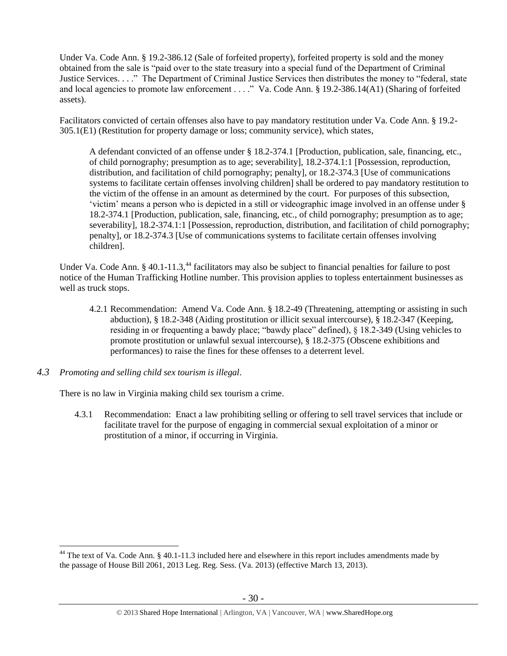Under Va. Code Ann. § 19.2-386.12 (Sale of forfeited property), forfeited property is sold and the money obtained from the sale is "paid over to the state treasury into a special fund of the Department of Criminal Justice Services. . . ." The Department of Criminal Justice Services then distributes the money to "federal, state and local agencies to promote law enforcement . . . ." Va. Code Ann. § 19.2-386.14(A1) (Sharing of forfeited assets).

Facilitators convicted of certain offenses also have to pay mandatory restitution under Va. Code Ann. § 19.2- 305.1(E1) (Restitution for property damage or loss; community service), which states,

A defendant convicted of an offense under § 18.2-374.1 [Production, publication, sale, financing, etc., of child pornography; presumption as to age; severability], 18.2-374.1:1 [Possession, reproduction, distribution, and facilitation of child pornography; penalty], or 18.2-374.3 [Use of communications systems to facilitate certain offenses involving children] shall be ordered to pay mandatory restitution to the victim of the offense in an amount as determined by the court. For purposes of this subsection, 'victim' means a person who is depicted in a still or videographic image involved in an offense under § 18.2-374.1 [Production, publication, sale, financing, etc., of child pornography; presumption as to age; severability], 18.2-374.1:1 [Possession, reproduction, distribution, and facilitation of child pornography; penalty], or 18.2-374.3 [Use of communications systems to facilitate certain offenses involving children].

Under Va. Code Ann. § 40.1-11.3,<sup>44</sup> facilitators may also be subject to financial penalties for failure to post notice of the Human Trafficking Hotline number. This provision applies to topless entertainment businesses as well as truck stops.

- 4.2.1 Recommendation: Amend Va. Code Ann. § 18.2-49 (Threatening, attempting or assisting in such abduction), § 18.2-348 (Aiding prostitution or illicit sexual intercourse), § 18.2-347 (Keeping, residing in or frequenting a bawdy place; "bawdy place" defined), § 18.2-349 (Using vehicles to promote prostitution or unlawful sexual intercourse), § 18.2-375 (Obscene exhibitions and performances) to raise the fines for these offenses to a deterrent level.
- *4.3 Promoting and selling child sex tourism is illegal*.

 $\overline{a}$ 

There is no law in Virginia making child sex tourism a crime.

4.3.1 Recommendation: Enact a law prohibiting selling or offering to sell travel services that include or facilitate travel for the purpose of engaging in commercial sexual exploitation of a minor or prostitution of a minor, if occurring in Virginia.

<sup>&</sup>lt;sup>44</sup> The text of Va. Code Ann. § 40.1-11.3 included here and elsewhere in this report includes amendments made by the passage of House Bill 2061, 2013 Leg. Reg. Sess. (Va. 2013) (effective March 13, 2013).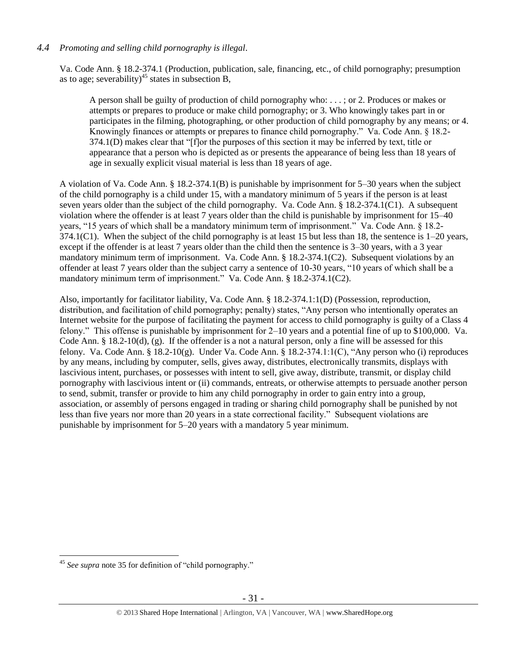# *4.4 Promoting and selling child pornography is illegal*.

Va. Code Ann. § 18.2-374.1 (Production, publication, sale, financing, etc., of child pornography; presumption as to age; severability)<sup>45</sup> states in subsection B,

A person shall be guilty of production of child pornography who: . . . ; or 2. Produces or makes or attempts or prepares to produce or make child pornography; or 3. Who knowingly takes part in or participates in the filming, photographing, or other production of child pornography by any means; or 4. Knowingly finances or attempts or prepares to finance child pornography." Va. Code Ann. § 18.2- 374.1(D) makes clear that "[f]or the purposes of this section it may be inferred by text, title or appearance that a person who is depicted as or presents the appearance of being less than 18 years of age in sexually explicit visual material is less than 18 years of age.

A violation of Va. Code Ann. § 18.2-374.1(B) is punishable by imprisonment for 5–30 years when the subject of the child pornography is a child under 15, with a mandatory minimum of 5 years if the person is at least seven years older than the subject of the child pornography. Va. Code Ann. § 18.2-374.1(C1). A subsequent violation where the offender is at least 7 years older than the child is punishable by imprisonment for 15–40 years, "15 years of which shall be a mandatory minimum term of imprisonment." Va. Code Ann. § 18.2- 374.1(C1). When the subject of the child pornography is at least 15 but less than 18, the sentence is  $1-20$  years, except if the offender is at least 7 years older than the child then the sentence is 3–30 years, with a 3 year mandatory minimum term of imprisonment. Va. Code Ann. § 18.2-374.1(C2). Subsequent violations by an offender at least 7 years older than the subject carry a sentence of 10-30 years, "10 years of which shall be a mandatory minimum term of imprisonment." Va. Code Ann. § 18.2-374.1(C2).

Also, importantly for facilitator liability, Va. Code Ann. § 18.2-374.1:1(D) (Possession, reproduction, distribution, and facilitation of child pornography; penalty) states, "Any person who intentionally operates an Internet website for the purpose of facilitating the payment for access to child pornography is guilty of a Class 4 felony." This offense is punishable by imprisonment for 2–10 years and a potential fine of up to \$100,000. Va. Code Ann.  $\S$  18.2-10(d), (g). If the offender is a not a natural person, only a fine will be assessed for this felony. Va. Code Ann. § 18.2-10(g). Under Va. Code Ann. § 18.2-374.1:1(C), "Any person who (i) reproduces by any means, including by computer, sells, gives away, distributes, electronically transmits, displays with lascivious intent, purchases, or possesses with intent to sell, give away, distribute, transmit, or display child pornography with lascivious intent or (ii) commands, entreats, or otherwise attempts to persuade another person to send, submit, transfer or provide to him any child pornography in order to gain entry into a group, association, or assembly of persons engaged in trading or sharing child pornography shall be punished by not less than five years nor more than 20 years in a state correctional facility." Subsequent violations are punishable by imprisonment for 5–20 years with a mandatory 5 year minimum.

<sup>45</sup> *See supra* note [35](#page-19-0) for definition of "child pornography."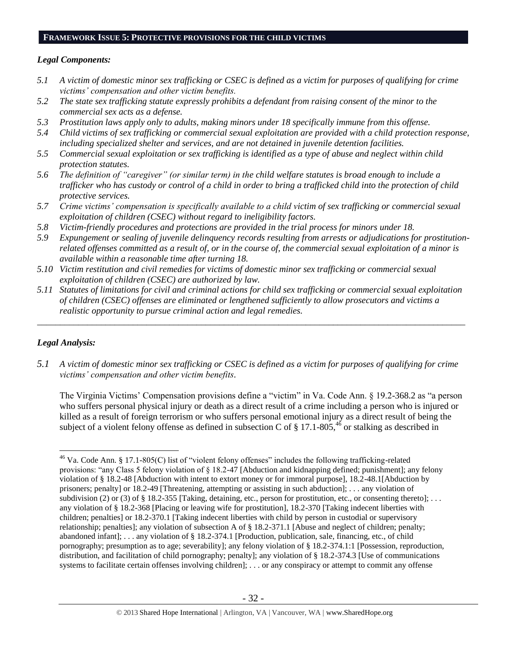## **FRAMEWORK ISSUE 5: PROTECTIVE PROVISIONS FOR THE CHILD VICTIMS**

## *Legal Components:*

- *5.1 A victim of domestic minor sex trafficking or CSEC is defined as a victim for purposes of qualifying for crime victims' compensation and other victim benefits.*
- *5.2 The state sex trafficking statute expressly prohibits a defendant from raising consent of the minor to the commercial sex acts as a defense.*
- *5.3 Prostitution laws apply only to adults, making minors under 18 specifically immune from this offense.*
- *5.4 Child victims of sex trafficking or commercial sexual exploitation are provided with a child protection response, including specialized shelter and services, and are not detained in juvenile detention facilities.*
- *5.5 Commercial sexual exploitation or sex trafficking is identified as a type of abuse and neglect within child protection statutes.*
- *5.6 The definition of "caregiver" (or similar term) in the child welfare statutes is broad enough to include a trafficker who has custody or control of a child in order to bring a trafficked child into the protection of child protective services.*
- *5.7 Crime victims' compensation is specifically available to a child victim of sex trafficking or commercial sexual exploitation of children (CSEC) without regard to ineligibility factors.*
- *5.8 Victim-friendly procedures and protections are provided in the trial process for minors under 18.*
- *5.9 Expungement or sealing of juvenile delinquency records resulting from arrests or adjudications for prostitutionrelated offenses committed as a result of, or in the course of, the commercial sexual exploitation of a minor is available within a reasonable time after turning 18.*
- *5.10 Victim restitution and civil remedies for victims of domestic minor sex trafficking or commercial sexual exploitation of children (CSEC) are authorized by law.*
- *5.11 Statutes of limitations for civil and criminal actions for child sex trafficking or commercial sexual exploitation of children (CSEC) offenses are eliminated or lengthened sufficiently to allow prosecutors and victims a realistic opportunity to pursue criminal action and legal remedies.*

*\_\_\_\_\_\_\_\_\_\_\_\_\_\_\_\_\_\_\_\_\_\_\_\_\_\_\_\_\_\_\_\_\_\_\_\_\_\_\_\_\_\_\_\_\_\_\_\_\_\_\_\_\_\_\_\_\_\_\_\_\_\_\_\_\_\_\_\_\_\_\_\_\_\_\_\_\_\_\_\_\_\_\_\_\_\_\_\_\_\_\_\_\_\_*

# *Legal Analysis:*

*5.1 A victim of domestic minor sex trafficking or CSEC is defined as a victim for purposes of qualifying for crime victims' compensation and other victim benefits.*

The Virginia Victims' Compensation provisions define a "victim" in Va. Code Ann. § 19.2-368.2 as "a person who suffers personal physical injury or death as a direct result of a crime including a person who is injured or killed as a result of foreign terrorism or who suffers personal emotional injury as a direct result of being the subject of a violent felony offense as defined in subsection C of § 17.1-805,<sup>46</sup> or stalking as described in

 $\overline{a}$ <sup>46</sup> Va. Code Ann. § 17.1-805(C) list of "violent felony offenses" includes the following trafficking-related provisions: "any Class 5 felony violation of § 18.2-47 [Abduction and kidnapping defined; punishment]; any felony violation of § 18.2-48 [Abduction with intent to extort money or for immoral purpose], 18.2-48.1[Abduction by prisoners; penalty] or 18.2-49 [Threatening, attempting or assisting in such abduction]; . . . any violation of subdivision (2) or (3) of § 18.2-355 [Taking, detaining, etc., person for prostitution, etc., or consenting thereto]; ... any violation of § 18.2-368 [Placing or leaving wife for prostitution], 18.2-370 [Taking indecent liberties with children; penalties] or 18.2-370.1 [Taking indecent liberties with child by person in custodial or supervisory relationship; penalties]; any violation of subsection A of § 18.2-371.1 [Abuse and neglect of children; penalty; abandoned infant]; . . . any violation of § 18.2-374.1 [Production, publication, sale, financing, etc., of child pornography; presumption as to age; severability]; any felony violation of § 18.2-374.1:1 [Possession, reproduction, distribution, and facilitation of child pornography; penalty]; any violation of § 18.2-374.3 [Use of communications systems to facilitate certain offenses involving children]; ... or any conspiracy or attempt to commit any offense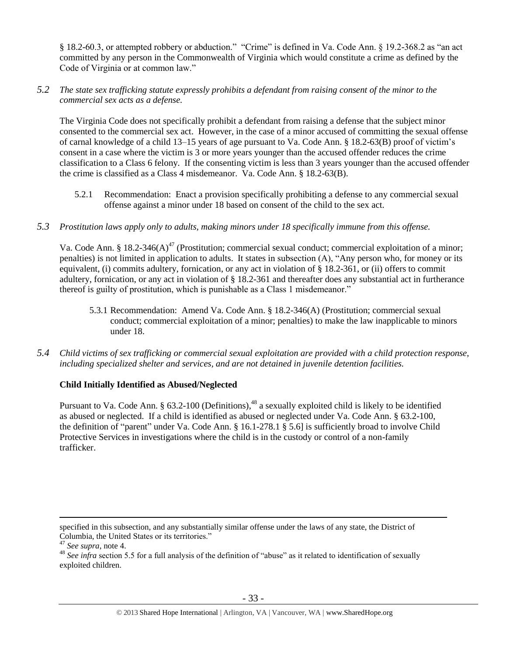§ 18.2-60.3, or attempted robbery or abduction." "Crime" is defined in Va. Code Ann. § 19.2-368.2 as "an act committed by any person in the Commonwealth of Virginia which would constitute a crime as defined by the Code of Virginia or at common law."

# *5.2 The state sex trafficking statute expressly prohibits a defendant from raising consent of the minor to the commercial sex acts as a defense.*

The Virginia Code does not specifically prohibit a defendant from raising a defense that the subject minor consented to the commercial sex act. However, in the case of a minor accused of committing the sexual offense of carnal knowledge of a child 13–15 years of age pursuant to Va. Code Ann. § 18.2-63(B) proof of victim's consent in a case where the victim is 3 or more years younger than the accused offender reduces the crime classification to a Class 6 felony. If the consenting victim is less than 3 years younger than the accused offender the crime is classified as a Class 4 misdemeanor. Va. Code Ann. § 18.2-63(B).

5.2.1 Recommendation: Enact a provision specifically prohibiting a defense to any commercial sexual offense against a minor under 18 based on consent of the child to the sex act.

## *5.3 Prostitution laws apply only to adults, making minors under 18 specifically immune from this offense.*

Va. Code Ann. § 18.2-346(A)<sup>47</sup> (Prostitution; commercial sexual conduct; commercial exploitation of a minor; penalties) is not limited in application to adults. It states in subsection (A), "Any person who, for money or its equivalent, (i) commits adultery, fornication, or any act in violation of § 18.2-361, or (ii) offers to commit adultery, fornication, or any act in violation of § 18.2-361 and thereafter does any substantial act in furtherance thereof is guilty of prostitution, which is punishable as a Class 1 misdemeanor."

- 5.3.1 Recommendation: Amend Va. Code Ann. § 18.2-346(A) (Prostitution; commercial sexual conduct; commercial exploitation of a minor; penalties) to make the law inapplicable to minors under 18.
- *5.4 Child victims of sex trafficking or commercial sexual exploitation are provided with a child protection response, including specialized shelter and services, and are not detained in juvenile detention facilities.*

# **Child Initially Identified as Abused/Neglected**

Pursuant to Va. Code Ann. § 63.2-100 (Definitions),<sup>48</sup> a sexually exploited child is likely to be identified as abused or neglected. If a child is identified as abused or neglected under Va. Code Ann. § 63.2-100, the definition of "parent" under Va. Code Ann. § 16.1-278.1 § 5.6] is sufficiently broad to involve Child Protective Services in investigations where the child is in the custody or control of a non-family trafficker.

specified in this subsection, and any substantially similar offense under the laws of any state, the District of Columbia, the United States or its territories."

<sup>47</sup> *See supra*, note [4.](#page-1-1)

<sup>&</sup>lt;sup>48</sup> *See infra* section 5.5 for a full analysis of the definition of "abuse" as it related to identification of sexually exploited children.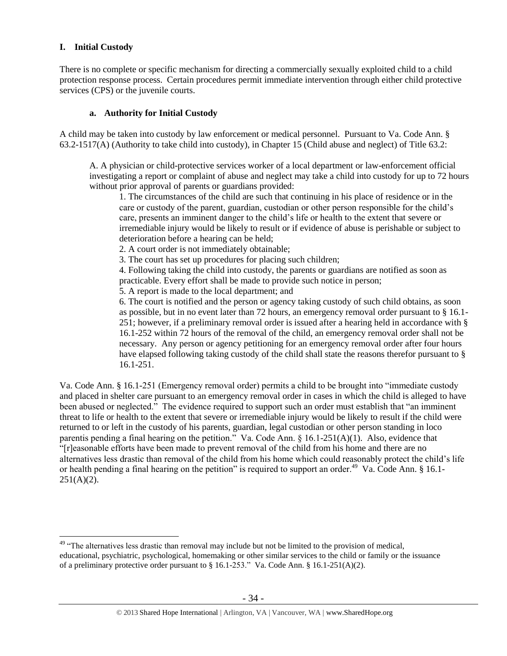## **I. Initial Custody**

 $\overline{a}$ 

There is no complete or specific mechanism for directing a commercially sexually exploited child to a child protection response process. Certain procedures permit immediate intervention through either child protective services (CPS) or the juvenile courts.

## **a. Authority for Initial Custody**

A child may be taken into custody by law enforcement or medical personnel. Pursuant to Va. Code Ann. § 63.2-1517(A) (Authority to take child into custody), in Chapter 15 (Child abuse and neglect) of Title 63.2:

A. A physician or child-protective services worker of a local department or law-enforcement official investigating a report or complaint of abuse and neglect may take a child into custody for up to 72 hours without prior approval of parents or guardians provided:

1. The circumstances of the child are such that continuing in his place of residence or in the care or custody of the parent, guardian, custodian or other person responsible for the child's care, presents an imminent danger to the child's life or health to the extent that severe or irremediable injury would be likely to result or if evidence of abuse is perishable or subject to deterioration before a hearing can be held;

2. A court order is not immediately obtainable;

3. The court has set up procedures for placing such children;

4. Following taking the child into custody, the parents or guardians are notified as soon as practicable. Every effort shall be made to provide such notice in person;

5. A report is made to the local department; and

6. The court is notified and the person or agency taking custody of such child obtains, as soon as possible, but in no event later than 72 hours, an emergency removal order pursuant to § 16.1- 251; however, if a preliminary removal order is issued after a hearing held in accordance with § 16.1-252 within 72 hours of the removal of the child, an emergency removal order shall not be necessary. Any person or agency petitioning for an emergency removal order after four hours have elapsed following taking custody of the child shall state the reasons therefor pursuant to § 16.1-251.

Va. Code Ann. § 16.1-251 (Emergency removal order) permits a child to be brought into "immediate custody and placed in shelter care pursuant to an emergency removal order in cases in which the child is alleged to have been abused or neglected." The evidence required to support such an order must establish that "an imminent threat to life or health to the extent that severe or irremediable injury would be likely to result if the child were returned to or left in the custody of his parents, guardian, legal custodian or other person standing in loco parentis pending a final hearing on the petition." Va. Code Ann. § 16.1-251(A)(1). Also, evidence that "[r]easonable efforts have been made to prevent removal of the child from his home and there are no alternatives less drastic than removal of the child from his home which could reasonably protect the child's life or health pending a final hearing on the petition" is required to support an order.<sup>49</sup> Va. Code Ann. § 16.1- $251(A)(2)$ .

 $49$  "The alternatives less drastic than removal may include but not be limited to the provision of medical, educational, psychiatric, psychological, homemaking or other similar services to the child or family or the issuance of a preliminary protective order pursuant to § 16.1-253." Va. Code Ann. § 16.1-251(A)(2).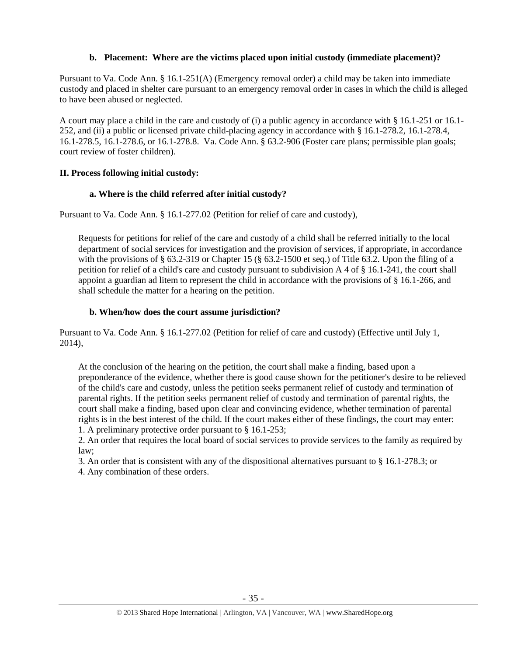# **b. Placement: Where are the victims placed upon initial custody (immediate placement)?**

Pursuant to Va. Code Ann. § 16.1-251(A) (Emergency removal order) a child may be taken into immediate custody and placed in shelter care pursuant to an emergency removal order in cases in which the child is alleged to have been abused or neglected.

A court may place a child in the care and custody of (i) a public agency in accordance with § 16.1-251 or 16.1- 252, and (ii) a public or licensed private child-placing agency in accordance with § 16.1-278.2, 16.1-278.4, 16.1-278.5, 16.1-278.6, or 16.1-278.8. Va. Code Ann. § 63.2-906 (Foster care plans; permissible plan goals; court review of foster children).

# **II. Process following initial custody:**

# **a. Where is the child referred after initial custody?**

Pursuant to Va. Code Ann. § 16.1-277.02 (Petition for relief of care and custody),

Requests for petitions for relief of the care and custody of a child shall be referred initially to the local department of social services for investigation and the provision of services, if appropriate, in accordance with the provisions of § 63.2-319 or Chapter 15 (§ 63.2-1500 et seq.) of Title 63.2. Upon the filing of a petition for relief of a child's care and custody pursuant to subdivision A 4 of § 16.1-241, the court shall appoint a guardian ad litem to represent the child in accordance with the provisions of § 16.1-266, and shall schedule the matter for a hearing on the petition.

# **b. When/how does the court assume jurisdiction?**

Pursuant to Va. Code Ann. § 16.1-277.02 (Petition for relief of care and custody) (Effective until July 1, 2014),

At the conclusion of the hearing on the petition, the court shall make a finding, based upon a preponderance of the evidence, whether there is good cause shown for the petitioner's desire to be relieved of the child's care and custody, unless the petition seeks permanent relief of custody and termination of parental rights. If the petition seeks permanent relief of custody and termination of parental rights, the court shall make a finding, based upon clear and convincing evidence, whether termination of parental rights is in the best interest of the child. If the court makes either of these findings, the court may enter: 1. A preliminary protective order pursuant to § 16.1-253;

2. An order that requires the local board of social services to provide services to the family as required by law;

3. An order that is consistent with any of the dispositional alternatives pursuant to § 16.1-278.3; or

4. Any combination of these orders.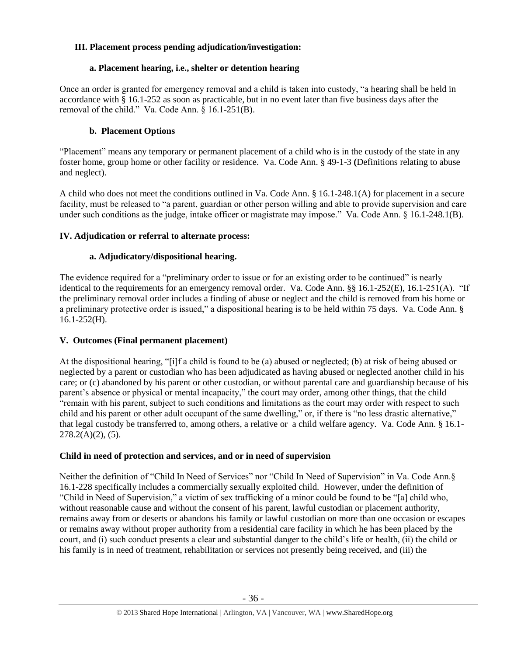# **III. Placement process pending adjudication/investigation:**

# **a. Placement hearing, i.e., shelter or detention hearing**

Once an order is granted for emergency removal and a child is taken into custody, "a hearing shall be held in accordance with § 16.1-252 as soon as practicable, but in no event later than five business days after the removal of the child." Va. Code Ann. § 16.1-251(B).

# **b. Placement Options**

"Placement" means any temporary or permanent placement of a child who is in the custody of the state in any foster home, group home or other facility or residence. Va. Code Ann. § 49-1-3 **(**Definitions relating to abuse and neglect).

A child who does not meet the conditions outlined in Va. Code Ann. § 16.1-248.1(A) for placement in a secure facility, must be released to "a parent, guardian or other person willing and able to provide supervision and care under such conditions as the judge, intake officer or magistrate may impose." Va. Code Ann. § 16.1-248.1(B).

# **IV. Adjudication or referral to alternate process:**

# **a. Adjudicatory/dispositional hearing.**

The evidence required for a "preliminary order to issue or for an existing order to be continued" is nearly identical to the requirements for an emergency removal order. Va. Code Ann. §§ 16.1-252(E), 16.1-251(A). "If the preliminary removal order includes a finding of abuse or neglect and the child is removed from his home or a preliminary protective order is issued," a dispositional hearing is to be held within 75 days. Va. Code Ann. §  $16.1 - 252$ (H).

# **V. Outcomes (Final permanent placement)**

At the dispositional hearing, "[i]f a child is found to be (a) abused or neglected; (b) at risk of being abused or neglected by a parent or custodian who has been adjudicated as having abused or neglected another child in his care; or (c) abandoned by his parent or other custodian, or without parental care and guardianship because of his parent's absence or physical or mental incapacity," the court may order, among other things, that the child "remain with his parent, subject to such conditions and limitations as the court may order with respect to such child and his parent or other adult occupant of the same dwelling," or, if there is "no less drastic alternative," that legal custody be transferred to, among others, a relative or a child welfare agency. Va. Code Ann. § 16.1-  $278.2(A)(2)$ , (5).

# **Child in need of protection and services, and or in need of supervision**

Neither the definition of "Child In Need of Services" nor "Child In Need of Supervision" in Va. Code Ann.§ 16.1-228 specifically includes a commercially sexually exploited child. However, under the definition of "Child in Need of Supervision," a victim of sex trafficking of a minor could be found to be "[a] child who, without reasonable cause and without the consent of his parent, lawful custodian or placement authority, remains away from or deserts or abandons his family or lawful custodian on more than one occasion or escapes or remains away without proper authority from a residential care facility in which he has been placed by the court, and (i) such conduct presents a clear and substantial danger to the child's life or health, (ii) the child or his family is in need of treatment, rehabilitation or services not presently being received, and (iii) the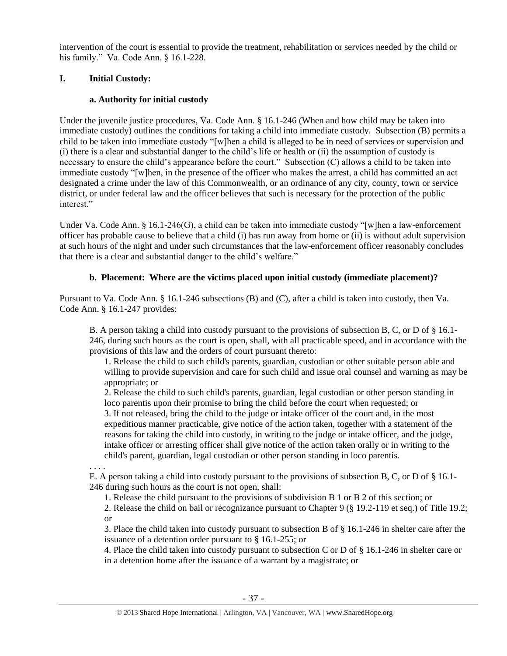intervention of the court is essential to provide the treatment, rehabilitation or services needed by the child or his family." Va. Code Ann. § 16.1-228.

# **I. Initial Custody:**

# **a. Authority for initial custody**

Under the juvenile justice procedures, Va. Code Ann. § 16.1-246 (When and how child may be taken into immediate custody) outlines the conditions for taking a child into immediate custody. Subsection (B) permits a child to be taken into immediate custody "[w]hen a child is alleged to be in need of services or supervision and (i) there is a clear and substantial danger to the child's life or health or (ii) the assumption of custody is necessary to ensure the child's appearance before the court." Subsection (C) allows a child to be taken into immediate custody "[w]hen, in the presence of the officer who makes the arrest, a child has committed an act designated a crime under the law of this Commonwealth, or an ordinance of any city, county, town or service district, or under federal law and the officer believes that such is necessary for the protection of the public interest."

Under Va. Code Ann. § 16.1-246(G), a child can be taken into immediate custody "[w]hen a law-enforcement officer has probable cause to believe that a child (i) has run away from home or (ii) is without adult supervision at such hours of the night and under such circumstances that the law-enforcement officer reasonably concludes that there is a clear and substantial danger to the child's welfare."

# **b. Placement: Where are the victims placed upon initial custody (immediate placement)?**

Pursuant to Va. Code Ann. § 16.1-246 subsections (B) and (C), after a child is taken into custody, then Va. Code Ann. § 16.1-247 provides:

B. A person taking a child into custody pursuant to the provisions of subsection B, C, or D of § 16.1- 246, during such hours as the court is open, shall, with all practicable speed, and in accordance with the provisions of this law and the orders of court pursuant thereto:

1. Release the child to such child's parents, guardian, custodian or other suitable person able and willing to provide supervision and care for such child and issue oral counsel and warning as may be appropriate; or

2. Release the child to such child's parents, guardian, legal custodian or other person standing in loco parentis upon their promise to bring the child before the court when requested; or 3. If not released, bring the child to the judge or intake officer of the court and, in the most

expeditious manner practicable, give notice of the action taken, together with a statement of the reasons for taking the child into custody, in writing to the judge or intake officer, and the judge, intake officer or arresting officer shall give notice of the action taken orally or in writing to the child's parent, guardian, legal custodian or other person standing in loco parentis.

. . . .

E. A person taking a child into custody pursuant to the provisions of subsection B, C, or D of § 16.1- 246 during such hours as the court is not open, shall:

1. Release the child pursuant to the provisions of subdivision B 1 or B 2 of this section; or

2. Release the child on bail or recognizance pursuant to Chapter 9 (§ 19.2-119 et seq.) of Title 19.2; or

3. Place the child taken into custody pursuant to subsection B of § 16.1-246 in shelter care after the issuance of a detention order pursuant to § 16.1-255; or

4. Place the child taken into custody pursuant to subsection C or D of § 16.1-246 in shelter care or in a detention home after the issuance of a warrant by a magistrate; or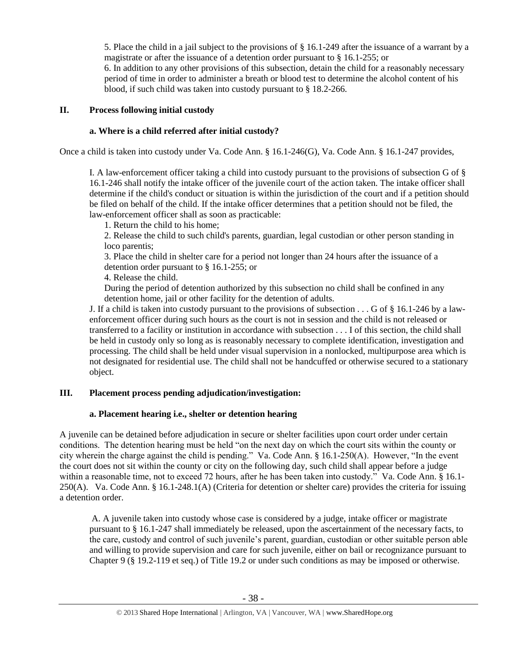5. Place the child in a jail subject to the provisions of § 16.1-249 after the issuance of a warrant by a magistrate or after the issuance of a detention order pursuant to § 16.1-255; or

6. In addition to any other provisions of this subsection, detain the child for a reasonably necessary period of time in order to administer a breath or blood test to determine the alcohol content of his blood, if such child was taken into custody pursuant to § 18.2-266.

## **II. Process following initial custody**

## **a. Where is a child referred after initial custody?**

Once a child is taken into custody under Va. Code Ann. § 16.1-246(G), Va. Code Ann. § 16.1-247 provides,

I. A law-enforcement officer taking a child into custody pursuant to the provisions of subsection G of § 16.1-246 shall notify the intake officer of the juvenile court of the action taken. The intake officer shall determine if the child's conduct or situation is within the jurisdiction of the court and if a petition should be filed on behalf of the child. If the intake officer determines that a petition should not be filed, the law-enforcement officer shall as soon as practicable:

1. Return the child to his home;

2. Release the child to such child's parents, guardian, legal custodian or other person standing in loco parentis;

3. Place the child in shelter care for a period not longer than 24 hours after the issuance of a detention order pursuant to § 16.1-255; or

4. Release the child.

During the period of detention authorized by this subsection no child shall be confined in any detention home, jail or other facility for the detention of adults.

J. If a child is taken into custody pursuant to the provisions of subsection . . . G of § 16.1-246 by a lawenforcement officer during such hours as the court is not in session and the child is not released or transferred to a facility or institution in accordance with subsection . . . I of this section, the child shall be held in custody only so long as is reasonably necessary to complete identification, investigation and processing. The child shall be held under visual supervision in a nonlocked, multipurpose area which is not designated for residential use. The child shall not be handcuffed or otherwise secured to a stationary object.

# **III. Placement process pending adjudication/investigation:**

#### **a. Placement hearing i.e., shelter or detention hearing**

A juvenile can be detained before adjudication in secure or shelter facilities upon court order under certain conditions. The detention hearing must be held "on the next day on which the court sits within the county or city wherein the charge against the child is pending." Va. Code Ann. § 16.1-250(A). However, "In the event the court does not sit within the county or city on the following day, such child shall appear before a judge within a reasonable time, not to exceed 72 hours, after he has been taken into custody." Va. Code Ann. § 16.1- 250(A). Va. Code Ann. § 16.1-248.1(A) (Criteria for detention or shelter care) provides the criteria for issuing a detention order.

A. A juvenile taken into custody whose case is considered by a judge, intake officer or magistrate pursuant to § 16.1-247 shall immediately be released, upon the ascertainment of the necessary facts, to the care, custody and control of such juvenile's parent, guardian, custodian or other suitable person able and willing to provide supervision and care for such juvenile, either on bail or recognizance pursuant to Chapter 9 (§ 19.2-119 et seq.) of Title 19.2 or under such conditions as may be imposed or otherwise.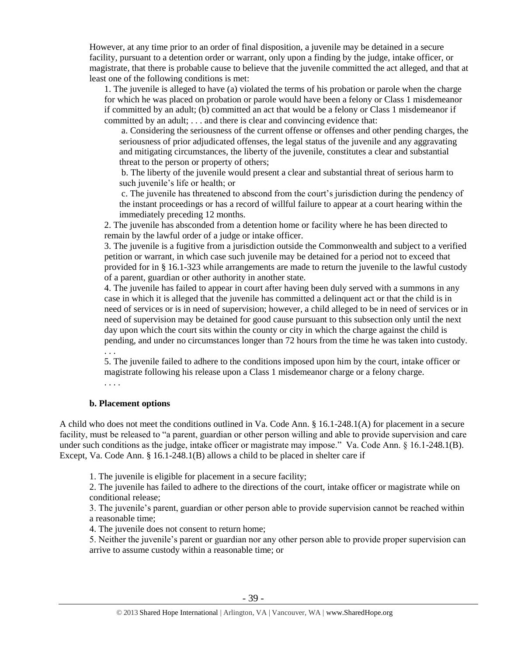However, at any time prior to an order of final disposition, a juvenile may be detained in a secure facility, pursuant to a detention order or warrant, only upon a finding by the judge, intake officer, or magistrate, that there is probable cause to believe that the juvenile committed the act alleged, and that at least one of the following conditions is met:

1. The juvenile is alleged to have (a) violated the terms of his probation or parole when the charge for which he was placed on probation or parole would have been a felony or Class 1 misdemeanor if committed by an adult; (b) committed an act that would be a felony or Class 1 misdemeanor if committed by an adult; . . . and there is clear and convincing evidence that:

a. Considering the seriousness of the current offense or offenses and other pending charges, the seriousness of prior adjudicated offenses, the legal status of the juvenile and any aggravating and mitigating circumstances, the liberty of the juvenile, constitutes a clear and substantial threat to the person or property of others;

b. The liberty of the juvenile would present a clear and substantial threat of serious harm to such juvenile's life or health; or

c. The juvenile has threatened to abscond from the court's jurisdiction during the pendency of the instant proceedings or has a record of willful failure to appear at a court hearing within the immediately preceding 12 months.

2. The juvenile has absconded from a detention home or facility where he has been directed to remain by the lawful order of a judge or intake officer.

3. The juvenile is a fugitive from a jurisdiction outside the Commonwealth and subject to a verified petition or warrant, in which case such juvenile may be detained for a period not to exceed that provided for in § 16.1-323 while arrangements are made to return the juvenile to the lawful custody of a parent, guardian or other authority in another state.

4. The juvenile has failed to appear in court after having been duly served with a summons in any case in which it is alleged that the juvenile has committed a delinquent act or that the child is in need of services or is in need of supervision; however, a child alleged to be in need of services or in need of supervision may be detained for good cause pursuant to this subsection only until the next day upon which the court sits within the county or city in which the charge against the child is pending, and under no circumstances longer than 72 hours from the time he was taken into custody.

. . . 5. The juvenile failed to adhere to the conditions imposed upon him by the court, intake officer or magistrate following his release upon a Class 1 misdemeanor charge or a felony charge.

. . . .

#### **b. Placement options**

A child who does not meet the conditions outlined in Va. Code Ann. § 16.1-248.1(A) for placement in a secure facility, must be released to "a parent, guardian or other person willing and able to provide supervision and care under such conditions as the judge, intake officer or magistrate may impose." Va. Code Ann. § 16.1-248.1(B). Except, Va. Code Ann. § 16.1-248.1(B) allows a child to be placed in shelter care if

1. The juvenile is eligible for placement in a secure facility;

2. The juvenile has failed to adhere to the directions of the court, intake officer or magistrate while on conditional release;

3. The juvenile's parent, guardian or other person able to provide supervision cannot be reached within a reasonable time;

4. The juvenile does not consent to return home;

5. Neither the juvenile's parent or guardian nor any other person able to provide proper supervision can arrive to assume custody within a reasonable time; or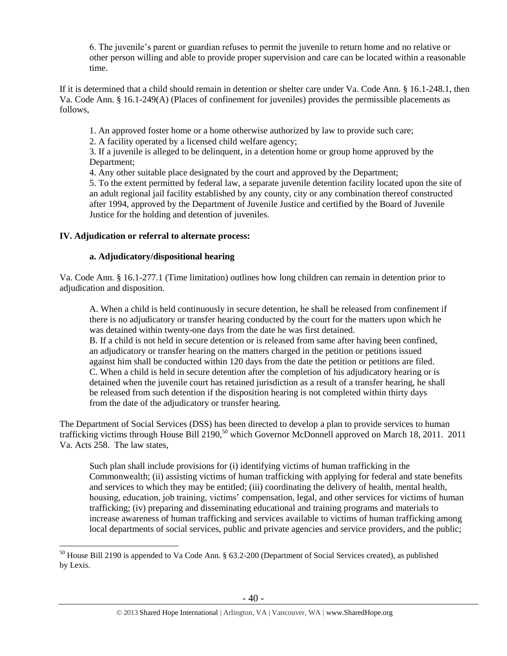6. The juvenile's parent or guardian refuses to permit the juvenile to return home and no relative or other person willing and able to provide proper supervision and care can be located within a reasonable time.

If it is determined that a child should remain in detention or shelter care under Va. Code Ann. § 16.1-248.1, then Va. Code Ann. § 16.1-249(A) (Places of confinement for juveniles) provides the permissible placements as follows,

1. An approved foster home or a home otherwise authorized by law to provide such care;

2. A facility operated by a licensed child welfare agency;

3. If a juvenile is alleged to be delinquent, in a detention home or group home approved by the Department;

4. Any other suitable place designated by the court and approved by the Department;

5. To the extent permitted by federal law, a separate juvenile detention facility located upon the site of an adult regional jail facility established by any county, city or any combination thereof constructed after 1994, approved by the Department of Juvenile Justice and certified by the Board of Juvenile Justice for the holding and detention of juveniles.

# **IV. Adjudication or referral to alternate process:**

 $\overline{a}$ 

# **a. Adjudicatory/dispositional hearing**

Va. Code Ann. § 16.1-277.1 (Time limitation) outlines how long children can remain in detention prior to adjudication and disposition.

A. When a child is held continuously in secure detention, he shall be released from confinement if there is no adjudicatory or transfer hearing conducted by the court for the matters upon which he was detained within twenty-one days from the date he was first detained.

B. If a child is not held in secure detention or is released from same after having been confined, an adjudicatory or transfer hearing on the matters charged in the petition or petitions issued against him shall be conducted within 120 days from the date the petition or petitions are filed. C. When a child is held in secure detention after the completion of his adjudicatory hearing or is detained when the juvenile court has retained jurisdiction as a result of a transfer hearing, he shall be released from such detention if the disposition hearing is not completed within thirty days from the date of the adjudicatory or transfer hearing.

The Department of Social Services (DSS) has been directed to develop a plan to provide services to human trafficking victims through House Bill 2190,<sup>50</sup> which Governor McDonnell approved on March 18, 2011. 2011 Va. Acts 258. The law states,

Such plan shall include provisions for (i) identifying victims of human trafficking in the Commonwealth; (ii) assisting victims of human trafficking with applying for federal and state benefits and services to which they may be entitled; (iii) coordinating the delivery of health, mental health, housing, education, job training, victims' compensation, legal, and other services for victims of human trafficking; (iv) preparing and disseminating educational and training programs and materials to increase awareness of human trafficking and services available to victims of human trafficking among local departments of social services, public and private agencies and service providers, and the public;

<sup>&</sup>lt;sup>50</sup> House Bill 2190 is appended to Va Code Ann. § 63.2-200 (Department of Social Services created), as published by Lexis.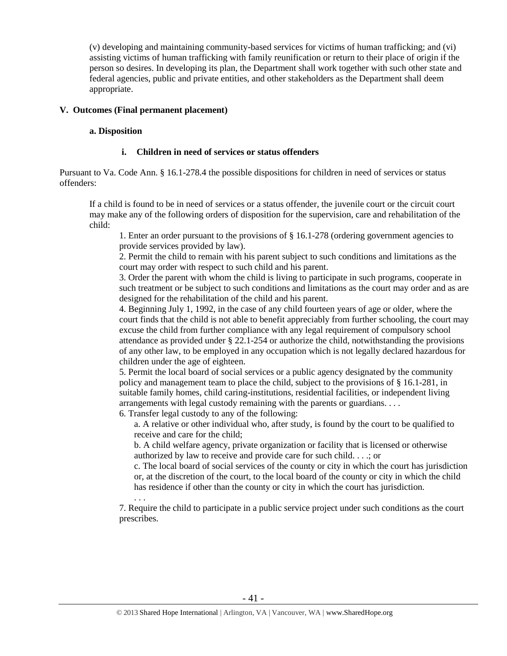(v) developing and maintaining community-based services for victims of human trafficking; and (vi) assisting victims of human trafficking with family reunification or return to their place of origin if the person so desires. In developing its plan, the Department shall work together with such other state and federal agencies, public and private entities, and other stakeholders as the Department shall deem appropriate.

## **V. Outcomes (Final permanent placement)**

. . .

#### **a. Disposition**

## **i. Children in need of services or status offenders**

Pursuant to Va. Code Ann. § 16.1-278.4 the possible dispositions for children in need of services or status offenders:

If a child is found to be in need of services or a status offender, the juvenile court or the circuit court may make any of the following orders of disposition for the supervision, care and rehabilitation of the child:

1. Enter an order pursuant to the provisions of § 16.1-278 (ordering government agencies to provide services provided by law).

2. Permit the child to remain with his parent subject to such conditions and limitations as the court may order with respect to such child and his parent.

3. Order the parent with whom the child is living to participate in such programs, cooperate in such treatment or be subject to such conditions and limitations as the court may order and as are designed for the rehabilitation of the child and his parent.

4. Beginning July 1, 1992, in the case of any child fourteen years of age or older, where the court finds that the child is not able to benefit appreciably from further schooling, the court may excuse the child from further compliance with any legal requirement of compulsory school attendance as provided under § 22.1-254 or authorize the child, notwithstanding the provisions of any other law, to be employed in any occupation which is not legally declared hazardous for children under the age of eighteen.

5. Permit the local board of social services or a public agency designated by the community policy and management team to place the child, subject to the provisions of § 16.1-281, in suitable family homes, child caring-institutions, residential facilities, or independent living arrangements with legal custody remaining with the parents or guardians. . . .

6. Transfer legal custody to any of the following:

a. A relative or other individual who, after study, is found by the court to be qualified to receive and care for the child;

b. A child welfare agency, private organization or facility that is licensed or otherwise authorized by law to receive and provide care for such child. . . .; or

c. The local board of social services of the county or city in which the court has jurisdiction or, at the discretion of the court, to the local board of the county or city in which the child has residence if other than the county or city in which the court has jurisdiction.

7. Require the child to participate in a public service project under such conditions as the court prescribes.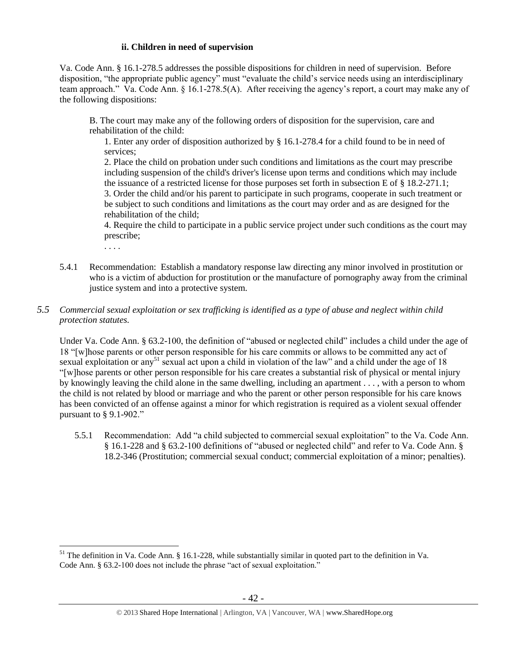## **ii. Children in need of supervision**

Va. Code Ann. § 16.1-278.5 addresses the possible dispositions for children in need of supervision. Before disposition, "the appropriate public agency" must "evaluate the child's service needs using an interdisciplinary team approach." Va. Code Ann. § 16.1-278.5(A). After receiving the agency's report, a court may make any of the following dispositions:

B. The court may make any of the following orders of disposition for the supervision, care and rehabilitation of the child:

1. Enter any order of disposition authorized by § 16.1-278.4 for a child found to be in need of services;

2. Place the child on probation under such conditions and limitations as the court may prescribe including suspension of the child's driver's license upon terms and conditions which may include the issuance of a restricted license for those purposes set forth in subsection E of § 18.2-271.1; 3. Order the child and/or his parent to participate in such programs, cooperate in such treatment or be subject to such conditions and limitations as the court may order and as are designed for the rehabilitation of the child;

4. Require the child to participate in a public service project under such conditions as the court may prescribe;

. . . .

 $\overline{a}$ 

5.4.1 Recommendation: Establish a mandatory response law directing any minor involved in prostitution or who is a victim of abduction for prostitution or the manufacture of pornography away from the criminal justice system and into a protective system.

## *5.5 Commercial sexual exploitation or sex trafficking is identified as a type of abuse and neglect within child protection statutes.*

Under Va. Code Ann. § 63.2-100, the definition of "abused or neglected child" includes a child under the age of 18 "[w]hose parents or other person responsible for his care commits or allows to be committed any act of sexual exploitation or any<sup>51</sup> sexual act upon a child in violation of the law" and a child under the age of 18 "[w]hose parents or other person responsible for his care creates a substantial risk of physical or mental injury by knowingly leaving the child alone in the same dwelling, including an apartment . . . , with a person to whom the child is not related by blood or marriage and who the parent or other person responsible for his care knows has been convicted of an offense against a minor for which registration is required as a violent sexual offender pursuant to § 9.1-902."

5.5.1 Recommendation: Add "a child subjected to commercial sexual exploitation" to the Va. Code Ann. § 16.1-228 and § 63.2-100 definitions of "abused or neglected child" and refer to Va. Code Ann. § 18.2-346 (Prostitution; commercial sexual conduct; commercial exploitation of a minor; penalties).

 $51$  The definition in Va. Code Ann. § 16.1-228, while substantially similar in quoted part to the definition in Va. Code Ann. § 63.2-100 does not include the phrase "act of sexual exploitation."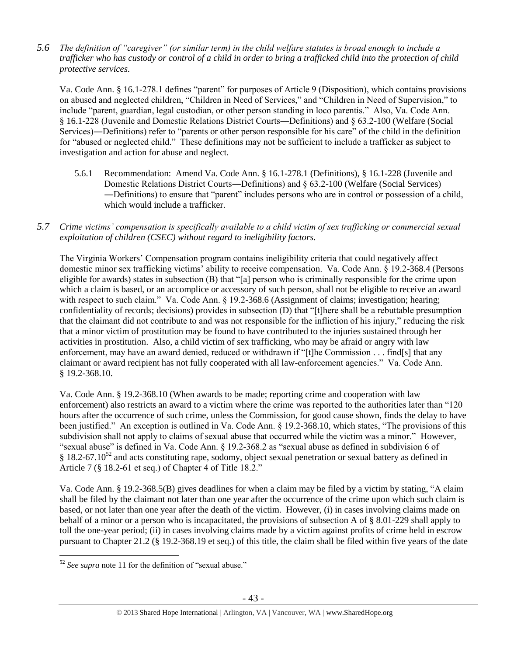*5.6 The definition of "caregiver" (or similar term) in the child welfare statutes is broad enough to include a trafficker who has custody or control of a child in order to bring a trafficked child into the protection of child protective services.*

Va. Code Ann. § 16.1-278.1 defines "parent" for purposes of Article 9 (Disposition), which contains provisions on abused and neglected children, "Children in Need of Services," and "Children in Need of Supervision," to include "parent, guardian, legal custodian, or other person standing in loco parentis." Also, Va. Code Ann. § 16.1-228 (Juvenile and Domestic Relations District Courts―Definitions) and § 63.2-100 (Welfare (Social Services)―Definitions) refer to "parents or other person responsible for his care" of the child in the definition for "abused or neglected child." These definitions may not be sufficient to include a trafficker as subject to investigation and action for abuse and neglect.

- 5.6.1 Recommendation: Amend Va. Code Ann. § 16.1-278.1 (Definitions), § 16.1-228 (Juvenile and Domestic Relations District Courts―Definitions) and § 63.2-100 (Welfare (Social Services) ―Definitions) to ensure that "parent" includes persons who are in control or possession of a child, which would include a trafficker.
- *5.7 Crime victims' compensation is specifically available to a child victim of sex trafficking or commercial sexual exploitation of children (CSEC) without regard to ineligibility factors.*

The Virginia Workers' Compensation program contains ineligibility criteria that could negatively affect domestic minor sex trafficking victims' ability to receive compensation. Va. Code Ann. § 19.2-368.4 (Persons eligible for awards) states in subsection (B) that "[a] person who is criminally responsible for the crime upon which a claim is based, or an accomplice or accessory of such person, shall not be eligible to receive an award with respect to such claim." Va. Code Ann. § 19.2-368.6 (Assignment of claims; investigation; hearing; confidentiality of records; decisions) provides in subsection (D) that "[t]here shall be a rebuttable presumption that the claimant did not contribute to and was not responsible for the infliction of his injury," reducing the risk that a minor victim of prostitution may be found to have contributed to the injuries sustained through her activities in prostitution. Also, a child victim of sex trafficking, who may be afraid or angry with law enforcement, may have an award denied, reduced or withdrawn if "[t]he Commission . . . find[s] that any claimant or award recipient has not fully cooperated with all law-enforcement agencies." Va. Code Ann. § 19.2-368.10.

Va. Code Ann. § 19.2-368.10 (When awards to be made; reporting crime and cooperation with law enforcement) also restricts an award to a victim where the crime was reported to the authorities later than "120 hours after the occurrence of such crime, unless the Commission, for good cause shown, finds the delay to have been justified." An exception is outlined in Va. Code Ann. § 19.2-368.10, which states, "The provisions of this subdivision shall not apply to claims of sexual abuse that occurred while the victim was a minor." However, "sexual abuse" is defined in Va. Code Ann. § 19.2-368.2 as "sexual abuse as defined in subdivision 6 of  $§$  18.2-67.10<sup>52</sup> and acts constituting rape, sodomy, object sexual penetration or sexual battery as defined in Article 7 (§ 18.2-61 et seq.) of Chapter 4 of Title 18.2."

Va. Code Ann. § 19.2-368.5(B) gives deadlines for when a claim may be filed by a victim by stating, "A claim shall be filed by the claimant not later than one year after the occurrence of the crime upon which such claim is based, or not later than one year after the death of the victim. However, (i) in cases involving claims made on behalf of a minor or a person who is incapacitated, the provisions of subsection A of § 8.01-229 shall apply to toll the one-year period; (ii) in cases involving claims made by a victim against profits of crime held in escrow pursuant to Chapter 21.2 (§ 19.2-368.19 et seq.) of this title, the claim shall be filed within five years of the date

 $\overline{a}$ <sup>52</sup> *See supra* note [11](#page-3-0) for the definition of "sexual abuse."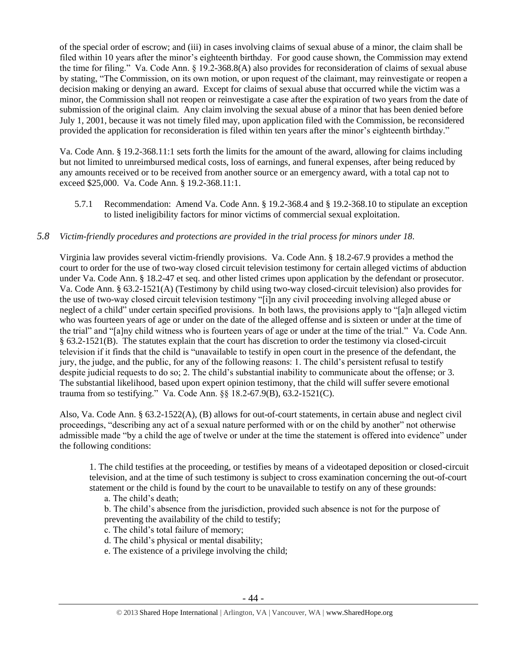of the special order of escrow; and (iii) in cases involving claims of sexual abuse of a minor, the claim shall be filed within 10 years after the minor's eighteenth birthday. For good cause shown, the Commission may extend the time for filing." Va. Code Ann. § 19.2-368.8(A) also provides for reconsideration of claims of sexual abuse by stating, "The Commission, on its own motion, or upon request of the claimant, may reinvestigate or reopen a decision making or denying an award. Except for claims of sexual abuse that occurred while the victim was a minor, the Commission shall not reopen or reinvestigate a case after the expiration of two years from the date of submission of the original claim. Any claim involving the sexual abuse of a minor that has been denied before July 1, 2001, because it was not timely filed may, upon application filed with the Commission, be reconsidered provided the application for reconsideration is filed within ten years after the minor's eighteenth birthday."

Va. Code Ann. § 19.2-368.11:1 sets forth the limits for the amount of the award, allowing for claims including but not limited to unreimbursed medical costs, loss of earnings, and funeral expenses, after being reduced by any amounts received or to be received from another source or an emergency award, with a total cap not to exceed \$25,000. Va. Code Ann. § 19.2-368.11:1.

5.7.1 Recommendation: Amend Va. Code Ann. § 19.2-368.4 and § 19.2-368.10 to stipulate an exception to listed ineligibility factors for minor victims of commercial sexual exploitation.

# *5.8 Victim-friendly procedures and protections are provided in the trial process for minors under 18.*

Virginia law provides several victim-friendly provisions. Va. Code Ann. § 18.2-67.9 provides a method the court to order for the use of two-way closed circuit television testimony for certain alleged victims of abduction under Va. Code Ann. § 18.2-47 et seq. and other listed crimes upon application by the defendant or prosecutor. Va. Code Ann. § 63.2-1521(A) (Testimony by child using two-way closed-circuit television) also provides for the use of two-way closed circuit television testimony "[i]n any civil proceeding involving alleged abuse or neglect of a child" under certain specified provisions. In both laws, the provisions apply to "[a]n alleged victim who was fourteen years of age or under on the date of the alleged offense and is sixteen or under at the time of the trial" and "[a]ny child witness who is fourteen years of age or under at the time of the trial." Va. Code Ann. § 63.2-1521(B). The statutes explain that the court has discretion to order the testimony via closed-circuit television if it finds that the child is "unavailable to testify in open court in the presence of the defendant, the jury, the judge, and the public, for any of the following reasons: 1. The child's persistent refusal to testify despite judicial requests to do so; 2. The child's substantial inability to communicate about the offense; or 3. The substantial likelihood, based upon expert opinion testimony, that the child will suffer severe emotional trauma from so testifying." Va. Code Ann. §§ 18.2-67.9(B), 63.2-1521(C).

Also, Va. Code Ann. § 63.2-1522(A), (B) allows for out-of-court statements, in certain abuse and neglect civil proceedings, "describing any act of a sexual nature performed with or on the child by another" not otherwise admissible made "by a child the age of twelve or under at the time the statement is offered into evidence" under the following conditions:

1. The child testifies at the proceeding, or testifies by means of a videotaped deposition or closed-circuit television, and at the time of such testimony is subject to cross examination concerning the out-of-court statement or the child is found by the court to be unavailable to testify on any of these grounds:

a. The child's death;

b. The child's absence from the jurisdiction, provided such absence is not for the purpose of preventing the availability of the child to testify;

- c. The child's total failure of memory;
- d. The child's physical or mental disability;
- e. The existence of a privilege involving the child;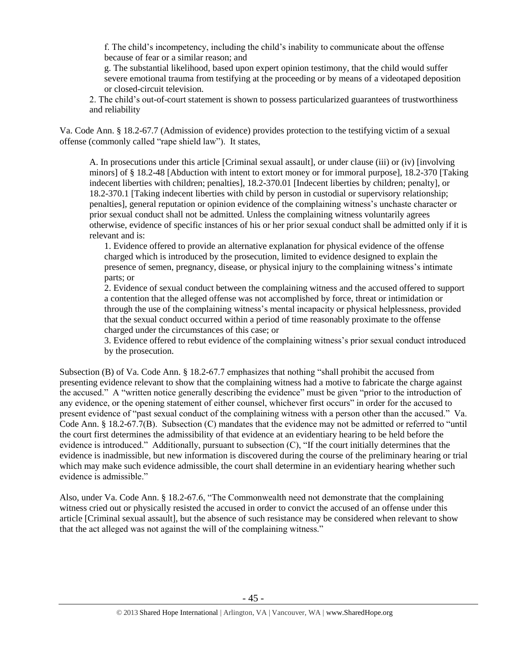f. The child's incompetency, including the child's inability to communicate about the offense because of fear or a similar reason; and

g. The substantial likelihood, based upon expert opinion testimony, that the child would suffer severe emotional trauma from testifying at the proceeding or by means of a videotaped deposition or closed-circuit television.

2. The child's out-of-court statement is shown to possess particularized guarantees of trustworthiness and reliability

Va. Code Ann. § 18.2-67.7 (Admission of evidence) provides protection to the testifying victim of a sexual offense (commonly called "rape shield law"). It states,

A. In prosecutions under this article [Criminal sexual assault], or under clause (iii) or (iv) [involving minors] of § 18.2-48 [Abduction with intent to extort money or for immoral purpose], 18.2-370 [Taking indecent liberties with children; penalties], 18.2-370.01 [Indecent liberties by children; penalty], or 18.2-370.1 [Taking indecent liberties with child by person in custodial or supervisory relationship; penalties], general reputation or opinion evidence of the complaining witness's unchaste character or prior sexual conduct shall not be admitted. Unless the complaining witness voluntarily agrees otherwise, evidence of specific instances of his or her prior sexual conduct shall be admitted only if it is relevant and is:

1. Evidence offered to provide an alternative explanation for physical evidence of the offense charged which is introduced by the prosecution, limited to evidence designed to explain the presence of semen, pregnancy, disease, or physical injury to the complaining witness's intimate parts; or

2. Evidence of sexual conduct between the complaining witness and the accused offered to support a contention that the alleged offense was not accomplished by force, threat or intimidation or through the use of the complaining witness's mental incapacity or physical helplessness, provided that the sexual conduct occurred within a period of time reasonably proximate to the offense charged under the circumstances of this case; or

3. Evidence offered to rebut evidence of the complaining witness's prior sexual conduct introduced by the prosecution.

Subsection (B) of Va. Code Ann. § 18.2-67.7 emphasizes that nothing "shall prohibit the accused from presenting evidence relevant to show that the complaining witness had a motive to fabricate the charge against the accused." A "written notice generally describing the evidence" must be given "prior to the introduction of any evidence, or the opening statement of either counsel, whichever first occurs" in order for the accused to present evidence of "past sexual conduct of the complaining witness with a person other than the accused." Va. Code Ann. § 18.2-67.7(B). Subsection (C) mandates that the evidence may not be admitted or referred to "until the court first determines the admissibility of that evidence at an evidentiary hearing to be held before the evidence is introduced." Additionally, pursuant to subsection (C), "If the court initially determines that the evidence is inadmissible, but new information is discovered during the course of the preliminary hearing or trial which may make such evidence admissible, the court shall determine in an evidentiary hearing whether such evidence is admissible."

Also, under Va. Code Ann. § 18.2-67.6, "The Commonwealth need not demonstrate that the complaining witness cried out or physically resisted the accused in order to convict the accused of an offense under this article [Criminal sexual assault], but the absence of such resistance may be considered when relevant to show that the act alleged was not against the will of the complaining witness."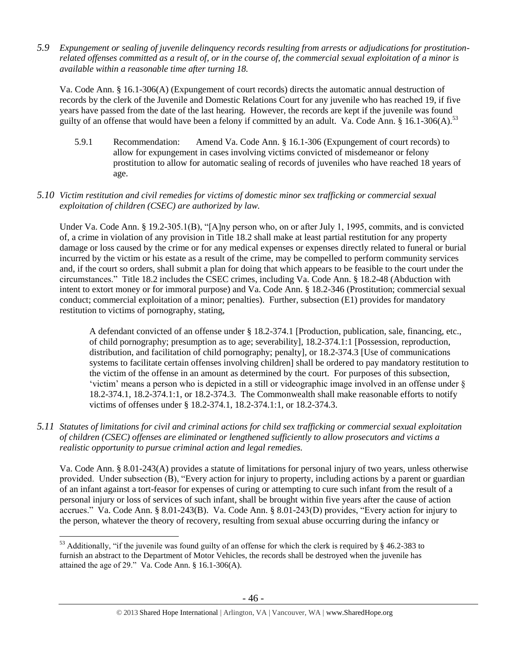*5.9 Expungement or sealing of juvenile delinquency records resulting from arrests or adjudications for prostitutionrelated offenses committed as a result of, or in the course of, the commercial sexual exploitation of a minor is available within a reasonable time after turning 18.*

Va. Code Ann. § 16.1-306(A) (Expungement of court records) directs the automatic annual destruction of records by the clerk of the Juvenile and Domestic Relations Court for any juvenile who has reached 19, if five years have passed from the date of the last hearing. However, the records are kept if the juvenile was found guilty of an offense that would have been a felony if committed by an adult. Va. Code Ann. § 16.1-306(A).<sup>53</sup>

5.9.1 Recommendation: Amend Va. Code Ann. § 16.1-306 (Expungement of court records) to allow for expungement in cases involving victims convicted of misdemeanor or felony prostitution to allow for automatic sealing of records of juveniles who have reached 18 years of age.

## *5.10 Victim restitution and civil remedies for victims of domestic minor sex trafficking or commercial sexual exploitation of children (CSEC) are authorized by law.*

Under Va. Code Ann. § 19.2-305.1(B), "[A]ny person who, on or after July 1, 1995, commits, and is convicted of, a crime in violation of any provision in Title 18.2 shall make at least partial restitution for any property damage or loss caused by the crime or for any medical expenses or expenses directly related to funeral or burial incurred by the victim or his estate as a result of the crime, may be compelled to perform community services and, if the court so orders, shall submit a plan for doing that which appears to be feasible to the court under the circumstances." Title 18.2 includes the CSEC crimes, including Va. Code Ann. § 18.2-48 (Abduction with intent to extort money or for immoral purpose) and Va. Code Ann. § 18.2-346 (Prostitution; commercial sexual conduct; commercial exploitation of a minor; penalties). Further, subsection (E1) provides for mandatory restitution to victims of pornography, stating,

A defendant convicted of an offense under § 18.2-374.1 [Production, publication, sale, financing, etc., of child pornography; presumption as to age; severability], 18.2-374.1:1 [Possession, reproduction, distribution, and facilitation of child pornography; penalty], or 18.2-374.3 [Use of communications systems to facilitate certain offenses involving children] shall be ordered to pay mandatory restitution to the victim of the offense in an amount as determined by the court. For purposes of this subsection, 'victim' means a person who is depicted in a still or videographic image involved in an offense under § 18.2-374.1, 18.2-374.1:1, or 18.2-374.3. The Commonwealth shall make reasonable efforts to notify victims of offenses under § 18.2-374.1, 18.2-374.1:1, or 18.2-374.3.

*5.11 Statutes of limitations for civil and criminal actions for child sex trafficking or commercial sexual exploitation of children (CSEC) offenses are eliminated or lengthened sufficiently to allow prosecutors and victims a realistic opportunity to pursue criminal action and legal remedies.*

Va. Code Ann. § 8.01-243(A) provides a statute of limitations for personal injury of two years, unless otherwise provided. Under subsection (B), "Every action for injury to property, including actions by a parent or guardian of an infant against a tort-feasor for expenses of curing or attempting to cure such infant from the result of a personal injury or loss of services of such infant, shall be brought within five years after the cause of action accrues." Va. Code Ann. § 8.01-243(B). Va. Code Ann. § 8.01-243(D) provides, "Every action for injury to the person, whatever the theory of recovery, resulting from sexual abuse occurring during the infancy or

 $53$  Additionally, "if the juvenile was found guilty of an offense for which the clerk is required by § 46.2-383 to furnish an abstract to the Department of Motor Vehicles, the records shall be destroyed when the juvenile has attained the age of 29." Va. Code Ann. § 16.1-306(A).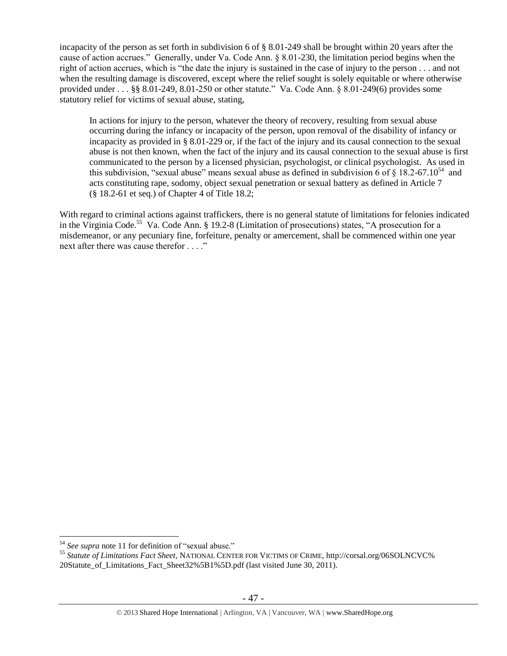incapacity of the person as set forth in subdivision 6 of § 8.01-249 shall be brought within 20 years after the cause of action accrues." Generally, under Va. Code Ann. § 8.01-230, the limitation period begins when the right of action accrues, which is "the date the injury is sustained in the case of injury to the person . . . and not when the resulting damage is discovered, except where the relief sought is solely equitable or where otherwise provided under . . . §§ 8.01-249, 8.01-250 or other statute." Va. Code Ann. § 8.01-249(6) provides some statutory relief for victims of sexual abuse, stating,

In actions for injury to the person, whatever the theory of recovery, resulting from sexual abuse occurring during the infancy or incapacity of the person, upon removal of the disability of infancy or incapacity as provided in § 8.01-229 or, if the fact of the injury and its causal connection to the sexual abuse is not then known, when the fact of the injury and its causal connection to the sexual abuse is first communicated to the person by a licensed physician, psychologist, or clinical psychologist. As used in this subdivision, "sexual abuse" means sexual abuse as defined in subdivision 6 of  $\S$  18.2-67.10<sup>54</sup> and acts constituting rape, sodomy, object sexual penetration or sexual battery as defined in Article 7 (§ 18.2-61 et seq.) of Chapter 4 of Title 18.2;

With regard to criminal actions against traffickers, there is no general statute of limitations for felonies indicated in the Virginia Code.<sup>55</sup> Va. Code Ann. § 19.2-8 (Limitation of prosecutions) states, "A prosecution for a misdemeanor, or any pecuniary fine, forfeiture, penalty or amercement, shall be commenced within one year next after there was cause therefor . . . ."

<sup>54</sup> *See supra* note [11](#page-3-0) for definition of "sexual abuse."

<sup>55</sup> *Statute of Limitations Fact Sheet*, NATIONAL CENTER FOR VICTIMS OF CRIME, http://corsal.org/06SOLNCVC% 20Statute\_of\_Limitations\_Fact\_Sheet32%5B1%5D.pdf (last visited June 30, 2011).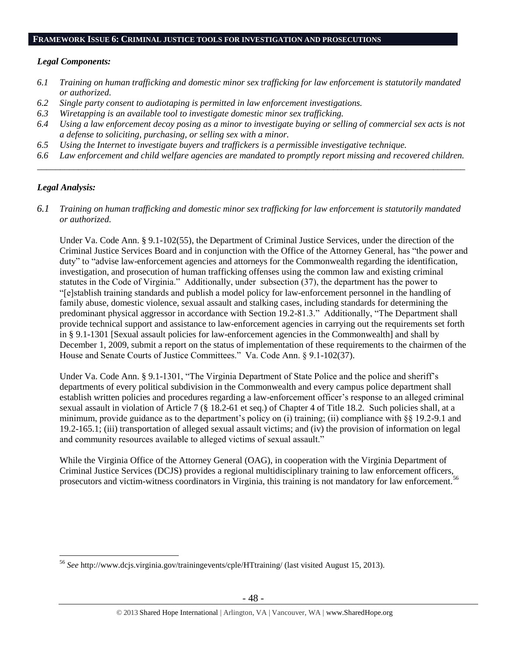#### **FRAMEWORK ISSUE 6: CRIMINAL JUSTICE TOOLS FOR INVESTIGATION AND PROSECUTIONS**

## *Legal Components:*

- *6.1 Training on human trafficking and domestic minor sex trafficking for law enforcement is statutorily mandated or authorized.*
- *6.2 Single party consent to audiotaping is permitted in law enforcement investigations.*
- *6.3 Wiretapping is an available tool to investigate domestic minor sex trafficking.*
- *6.4 Using a law enforcement decoy posing as a minor to investigate buying or selling of commercial sex acts is not a defense to soliciting, purchasing, or selling sex with a minor.*
- *6.5 Using the Internet to investigate buyers and traffickers is a permissible investigative technique.*
- *6.6 Law enforcement and child welfare agencies are mandated to promptly report missing and recovered children. \_\_\_\_\_\_\_\_\_\_\_\_\_\_\_\_\_\_\_\_\_\_\_\_\_\_\_\_\_\_\_\_\_\_\_\_\_\_\_\_\_\_\_\_\_\_\_\_\_\_\_\_\_\_\_\_\_\_\_\_\_\_\_\_\_\_\_\_\_\_\_\_\_\_\_\_\_\_\_\_\_\_\_\_\_\_\_\_\_\_\_\_\_\_*

# *Legal Analysis:*

 $\overline{a}$ 

*6.1 Training on human trafficking and domestic minor sex trafficking for law enforcement is statutorily mandated or authorized.*

Under Va. Code Ann. § 9.1-102(55), the Department of Criminal Justice Services, under the direction of the Criminal Justice Services Board and in conjunction with the Office of the Attorney General, has "the power and duty" to "advise law-enforcement agencies and attorneys for the Commonwealth regarding the identification, investigation, and prosecution of human trafficking offenses using the common law and existing criminal statutes in the Code of Virginia." Additionally, under subsection (37), the department has the power to "[e]stablish training standards and publish a model policy for law-enforcement personnel in the handling of family abuse, domestic violence, sexual assault and stalking cases, including standards for determining the predominant physical aggressor in accordance with Section 19.2-81.3." Additionally, "The Department shall provide technical support and assistance to law-enforcement agencies in carrying out the requirements set forth in § 9.1-1301 [Sexual assault policies for law-enforcement agencies in the Commonwealth] and shall by December 1, 2009, submit a report on the status of implementation of these requirements to the chairmen of the House and Senate Courts of Justice Committees." Va. Code Ann. § 9.1-102(37).

Under Va. Code Ann. § 9.1-1301, "The Virginia Department of State Police and the police and sheriff's departments of every political subdivision in the Commonwealth and every campus police department shall establish written policies and procedures regarding a law-enforcement officer's response to an alleged criminal sexual assault in violation of Article 7 (§ 18.2-61 et seq.) of Chapter 4 of Title 18.2. Such policies shall, at a minimum, provide guidance as to the department's policy on (i) training; (ii) compliance with §§ 19.2-9.1 and 19.2-165.1; (iii) transportation of alleged sexual assault victims; and (iv) the provision of information on legal and community resources available to alleged victims of sexual assault."

While the Virginia Office of the Attorney General (OAG), in cooperation with the Virginia Department of Criminal Justice Services (DCJS) provides a regional multidisciplinary training to law enforcement officers, prosecutors and victim-witness coordinators in Virginia, this training is not mandatory for law enforcement.<sup>5</sup>

<sup>56</sup> *See* http://www.dcjs.virginia.gov/trainingevents/cple/HTtraining/ (last visited August 15, 2013).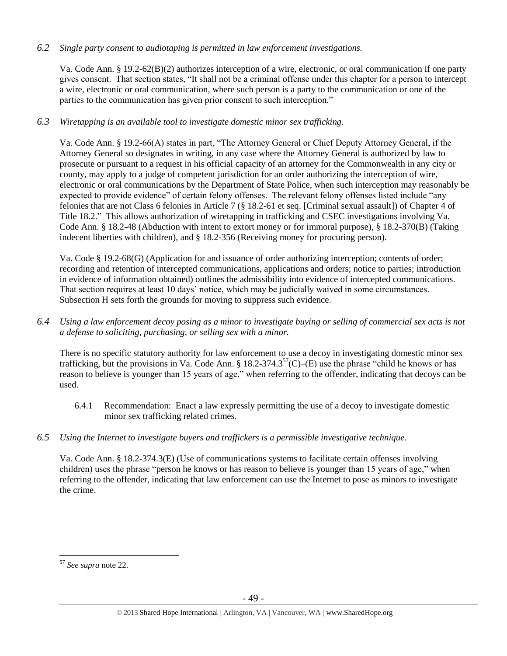# *6.2 Single party consent to audiotaping is permitted in law enforcement investigations.*

Va. Code Ann. § 19.2-62(B)(2) authorizes interception of a wire, electronic, or oral communication if one party gives consent. That section states, "It shall not be a criminal offense under this chapter for a person to intercept a wire, electronic or oral communication, where such person is a party to the communication or one of the parties to the communication has given prior consent to such interception."

# *6.3 Wiretapping is an available tool to investigate domestic minor sex trafficking.*

Va. Code Ann. § 19.2-66(A) states in part, "The Attorney General or Chief Deputy Attorney General, if the Attorney General so designates in writing, in any case where the Attorney General is authorized by law to prosecute or pursuant to a request in his official capacity of an attorney for the Commonwealth in any city or county, may apply to a judge of competent jurisdiction for an order authorizing the interception of wire, electronic or oral communications by the Department of State Police, when such interception may reasonably be expected to provide evidence" of certain felony offenses. The relevant felony offenses listed include "any felonies that are not Class 6 felonies in Article 7 (§ 18.2-61 et seq. [Criminal sexual assault]) of Chapter 4 of Title 18.2." This allows authorization of wiretapping in trafficking and CSEC investigations involving Va. Code Ann. § 18.2-48 (Abduction with intent to extort money or for immoral purpose), § 18.2-370(B) (Taking indecent liberties with children), and § 18.2-356 (Receiving money for procuring person).

Va. Code § 19.2-68(G) (Application for and issuance of order authorizing interception; contents of order; recording and retention of intercepted communications, applications and orders; notice to parties; introduction in evidence of information obtained) outlines the admissibility into evidence of intercepted communications. That section requires at least 10 days' notice, which may be judicially waived in some circumstances. Subsection H sets forth the grounds for moving to suppress such evidence.

*6.4 Using a law enforcement decoy posing as a minor to investigate buying or selling of commercial sex acts is not a defense to soliciting, purchasing, or selling sex with a minor.*

There is no specific statutory authority for law enforcement to use a decoy in investigating domestic minor sex trafficking, but the provisions in Va. Code Ann. § 18.2-374.3<sup>57</sup>(C)–(E) use the phrase "child he knows or has reason to believe is younger than 15 years of age," when referring to the offender, indicating that decoys can be used.

- 6.4.1 Recommendation: Enact a law expressly permitting the use of a decoy to investigate domestic minor sex trafficking related crimes.
- *6.5 Using the Internet to investigate buyers and traffickers is a permissible investigative technique.*

Va. Code Ann. § 18.2-374.3(E) (Use of communications systems to facilitate certain offenses involving children) uses the phrase "person he knows or has reason to believe is younger than 15 years of age," when referring to the offender, indicating that law enforcement can use the Internet to pose as minors to investigate the crime.

 $\overline{a}$ <sup>57</sup> *See supra* note [22.](#page-10-3)